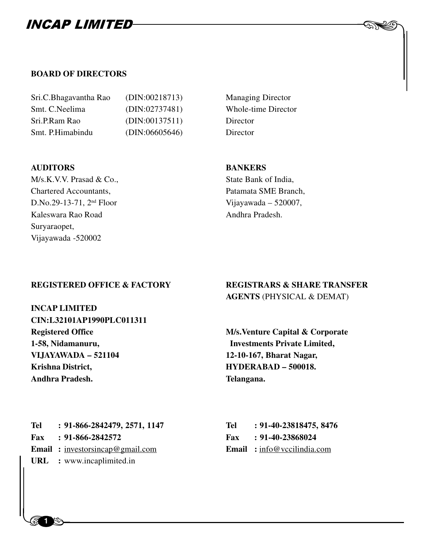

| (DIN:00218713) | Managin  |
|----------------|----------|
| (DIN:02737481) | Whole-t  |
| (DIN:00137511) | Director |
| (DIN:06605646) | Director |
|                |          |

#### **AUDITORS BANKERS**

M/s.K.V.V. Prasad & Co., State Bank of India, Chartered Accountants, Patamata SME Branch, D.No.29-13-71,  $2<sup>nd</sup> Floor$  Vijayawada – 520007, Kaleswara Rao Road Andhra Pradesh. Suryaraopet, Vijayawada -520002

### Managing Director **Whole-time Director** Director

**INCAP LIMITED CIN:L32101AP1990PLC011311 Registered Office M/s.Venture Capital & Corporate 1-58, Nidamanuru, Investments Private Limited, VIJAYAWADA – 521104 12-10-167, Bharat Nagar,** Krishna District, **HYDERABAD – 500018. Andhra Pradesh. Telangana.**

#### **REGISTERED OFFICE & FACTORY REGISTRARS & SHARE TRANSFER AGENTS** (PHYSICAL & DEMAT)

 $\begin{picture}(20,20) \put(0,0){\line(1,0){10}} \put(15,0){\line(1,0){10}} \put(15,0){\line(1,0){10}} \put(15,0){\line(1,0){10}} \put(15,0){\line(1,0){10}} \put(15,0){\line(1,0){10}} \put(15,0){\line(1,0){10}} \put(15,0){\line(1,0){10}} \put(15,0){\line(1,0){10}} \put(15,0){\line(1,0){10}} \put(15,0){\line(1,0){10}} \put(15,0){\line(1$ 

**Email :** <u>investorsincap@gmail.com</u> **Email :** <u>info@vccilindia.com</u> **URL** : www.incaplimited.in Tel : 91-866-2842479, 2571, 1147 **Fax** : 91-866-2842572 **URL :** www.incaplimited.in

| Tel | : 91-40-23818475, 8476             |
|-----|------------------------------------|
| Fax | : 91-40-23868024                   |
|     | <b>Email</b> : info@vccilindia.com |

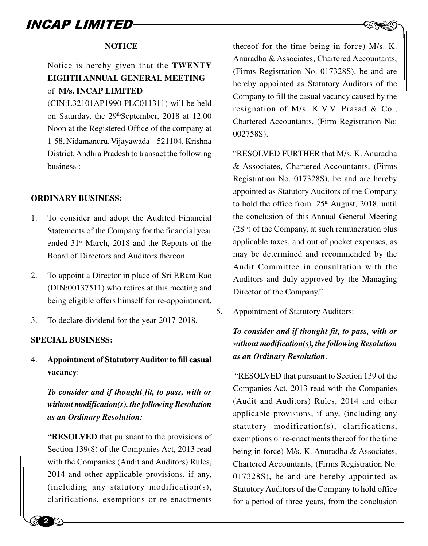#### **NOTICE**

### Notice is hereby given that the **TWENTY EIGHTH ANNUAL GENERAL MEETING** of **M/s. INCAP LIMITED**

(CIN:L32101AP1990 PLC011311) will be held on Saturday, the 29<sup>th</sup>September, 2018 at 12.00 Noon at the Registered Office of the company at 1-58, Nidamanuru, Vijayawada – 521104, Krishna District, Andhra Pradesh to transact the following business :

#### **ORDINARY BUSINESS:**

- 1. To consider and adopt the Audited Financial Statements of the Company for the financial year ended 31st March, 2018 and the Reports of the Board of Directors and Auditors thereon.
- 2. To appoint a Director in place of Sri P.Ram Rao (DIN:00137511) who retires at this meeting and being eligible offers himself for re-appointment.
- 3. To declare dividend for the year 2017-2018.

#### **SPECIAL BUSINESS:**

4. **Appointment of Statutory Auditor to fill casual vacancy**:

*To consider and if thought fit, to pass, with or without modification(s), the following Resolution as an Ordinary Resolution:*

Section<br>
with the<br>
2014 a<br>
(include) **"RESOLVED** that pursuant to the provisions of Section 139(8) of the Companies Act, 2013 read with the Companies (Audit and Auditors) Rules, 2014 and other applicable provisions, if any, (including any statutory modification(s), clarifications, exemptions or re-enactments

 $\begin{picture}(120,140) \put(0,0){\line(1,0){150}} \put(15,0){\line(1,0){150}} \put(15,0){\line(1,0){150}} \put(15,0){\line(1,0){150}} \put(15,0){\line(1,0){150}} \put(15,0){\line(1,0){150}} \put(15,0){\line(1,0){150}} \put(15,0){\line(1,0){150}} \put(15,0){\line(1,0){150}} \put(15,0){\line(1,0){150}} \put(15,0){\line(1,0){150$ thereof for the time being in force) M/s. K. Anuradha & Associates, Chartered Accountants, (Firms Registration No. 017328S), be and are hereby appointed as Statutory Auditors of the Company to fill the casual vacancy caused by the resignation of M/s. K.V.V. Prasad & Co., Chartered Accountants, (Firm Registration No: 002758S).

"RESOLVED FURTHER that M/s. K. Anuradha & Associates, Chartered Accountants, (Firms Registration No. 017328S), be and are hereby appointed as Statutory Auditors of the Company to hold the office from  $25<sup>th</sup>$  August, 2018, until the conclusion of this Annual General Meeting  $(28<sup>th</sup>)$  of the Company, at such remuneration plus applicable taxes, and out of pocket expenses, as may be determined and recommended by the Audit Committee in consultation with the Auditors and duly approved by the Managing Director of the Company."

5. Appointment of Statutory Auditors:

### *To consider and if thought fit, to pass, with or without modification(s), the following Resolution as an Ordinary Resolution:*

 "RESOLVED that pursuant to Section 139 of the Companies Act, 2013 read with the Companies (Audit and Auditors) Rules, 2014 and other applicable provisions, if any, (including any statutory modification(s), clarifications, exemptions or re-enactments thereof for the time being in force) M/s. K. Anuradha & Associates, Chartered Accountants, (Firms Registration No. 017328S), be and are hereby appointed as Statutory Auditors of the Company to hold office for a period of three years, from the conclusion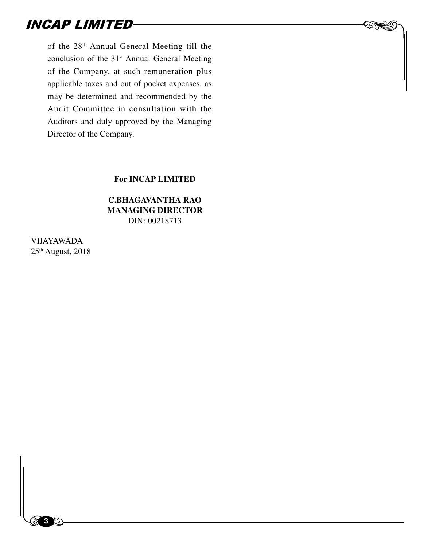of the 28th Annual General Meeting till the conclusion of the 31<sup>st</sup> Annual General Meeting of the Company, at such remuneration plus applicable taxes and out of pocket expenses, as may be determined and recommended by the Audit Committee in consultation with the Auditors and duly approved by the Managing Director of the Company.

#### **For INCAP LIMITED**

 $\begin{picture}(20,20) \put(0,0){\line(1,0){10}} \put(15,0){\line(1,0){10}} \put(15,0){\line(1,0){10}} \put(15,0){\line(1,0){10}} \put(15,0){\line(1,0){10}} \put(15,0){\line(1,0){10}} \put(15,0){\line(1,0){10}} \put(15,0){\line(1,0){10}} \put(15,0){\line(1,0){10}} \put(15,0){\line(1,0){10}} \put(15,0){\line(1,0){10}} \put(15,0){\line(1$ 

#### **C.BHAGAVANTHA RAO MANAGING DIRECTOR** DIN: 00218713

VIJAYAWADA 25th August, 2018

 $\begin{bmatrix} 1 & 1 \\ 1 & 1 \end{bmatrix}$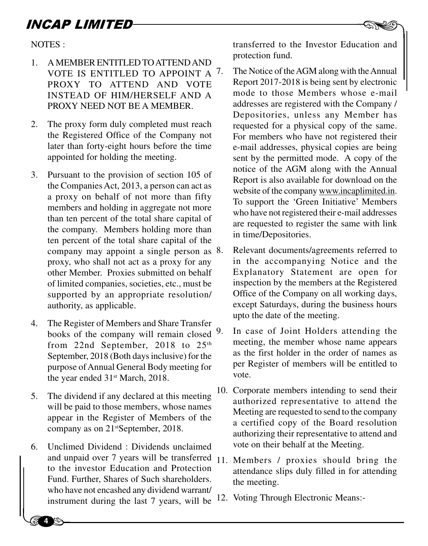NOTES :

- 1. A MEMBER ENTITLED TO ATTEND AND VOTE IS ENTITLED TO APPOINT A 7. PROXY TO ATTEND AND VOTE INSTEAD OF HIM/HERSELF AND A PROXY NEED NOT BE A MEMBER.
- 2. The proxy form duly completed must reach the Registered Office of the Company not later than forty-eight hours before the time appointed for holding the meeting.
- 3. Pursuant to the provision of section 105 of the Companies Act, 2013, a person can act as a proxy on behalf of not more than fifty members and holding in aggregate not more than ten percent of the total share capital of the company. Members holding more than ten percent of the total share capital of the company may appoint a single person as 8. proxy, who shall not act as a proxy for any other Member. Proxies submitted on behalf of limited companies, societies, etc., must be supported by an appropriate resolution/ authority, as applicable.
- 4. The Register of Members and Share Transfer books of the company will remain closed from 22nd September, 2018 to  $25<sup>th</sup>$ September, 2018 (Both days inclusive) for the purpose of Annual General Body meeting for the year ended 31st March, 2018.
- 5. The dividend if any declared at this meeting will be paid to those members, whose names appear in the Register of Members of the company as on 21<sup>st</sup>September, 2018.
- 6. Unclin<br>
and un<br>
to the<br>
Fund. 1<br>
who ha 6. Unclimed Dividend : Dividends unclaimed and unpaid over 7 years will be transferred 11. Members / proxies should bring the to the investor Education and Protection Fund. Further, Shares of Such shareholders. who have not encashed any dividend warrant/ instrument during the last 7 years, will be <sup>12</sup>. Voting Through Electronic Means:-

EXTRED transferred to the Investor Education and protection fund.

- The Notice of the AGM along with the Annual Report 2017-2018 is being sent by electronic mode to those Members whose e-mail addresses are registered with the Company / Depositories, unless any Member has requested for a physical copy of the same. For members who have not registered their e-mail addresses, physical copies are being sent by the permitted mode. A copy of the notice of the AGM along with the Annual Report is also available for download on the website of the company www.incaplimited.in. To support the 'Green Initiative' Members who have not registered their e-mail addresses are requested to register the same with link in time/Depositories.
- Relevant documents/agreements referred to in the accompanying Notice and the Explanatory Statement are open for inspection by the members at the Registered Office of the Company on all working days, except Saturdays, during the business hours upto the date of the meeting.
- 9. In case of Joint Holders attending the meeting, the member whose name appears as the first holder in the order of names as per Register of members will be entitled to vote.
- 10. Corporate members intending to send their authorized representative to attend the Meeting are requested to send to the company a certified copy of the Board resolution authorizing their representative to attend and vote on their behalf at the Meeting.
- attendance slips duly filled in for attending the meeting.
-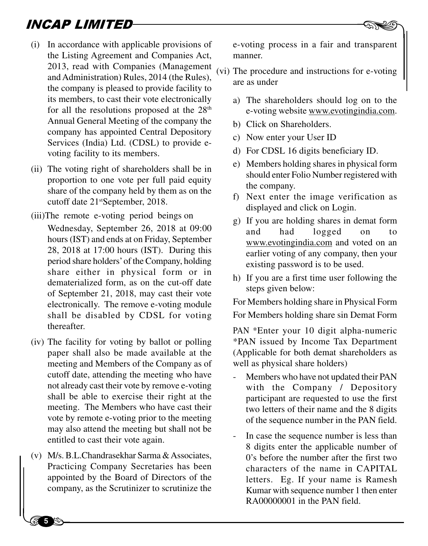- (i) In accordance with applicable provisions of the Listing Agreement and Companies Act, 2013, read with Companies (Management and Administration) Rules, 2014 (the Rules), the company is pleased to provide facility to its members, to cast their vote electronically for all the resolutions proposed at the  $28<sup>th</sup>$ Annual General Meeting of the company the company has appointed Central Depository Services (India) Ltd. (CDSL) to provide evoting facility to its members.
- (ii) The voting right of shareholders shall be in proportion to one vote per full paid equity share of the company held by them as on the cutoff date 21<sup>st</sup>September, 2018.
- (iii)The remote e-voting period beings on
	- Wednesday, September 26, 2018 at 09:00 hours (IST) and ends at on Friday, September 28, 2018 at 17:00 hours (IST). During this period share holders' of the Company, holding share either in physical form or in dematerialized form, as on the cut-off date of September 21, 2018, may cast their vote electronically. The remove e-voting module shall be disabled by CDSL for voting thereafter.
- (iv) The facility for voting by ballot or polling paper shall also be made available at the meeting and Members of the Company as of cutoff date, attending the meeting who have not already cast their vote by remove e-voting shall be able to exercise their right at the meeting. The Members who have cast their vote by remote e-voting prior to the meeting may also attend the meeting but shall not be entitled to cast their vote again.
- (v) M/s. B.<br>Practic<br>ppoin<br>compa (v) M/s. B.L.Chandrasekhar Sarma & Associates, Practicing Company Secretaries has been appointed by the Board of Directors of the company, as the Scrutinizer to scrutinize the

e-voting process in a fair and transparent manner.

- (vi) The procedure and instructions for e-voting are as under
	- a) The shareholders should log on to the e-voting website www.evotingindia.com.
	- b) Click on Shareholders.
	- c) Now enter your User ID
	- d) For CDSL 16 digits beneficiary ID.
	- e) Members holding shares in physical form should enter Folio Number registered with the company.
	- f) Next enter the image verification as displayed and click on Login.
	- g) If you are holding shares in demat form and had logged on to www.evotingindia.com and voted on an earlier voting of any company, then your existing password is to be used.
	- h) If you are a first time user following the steps given below:

For Members holding share in Physical Form For Members holding share sin Demat Form

PAN \*Enter your 10 digit alpha-numeric \*PAN issued by Income Tax Department (Applicable for both demat shareholders as well as physical share holders)

- Members who have not updated their PAN with the Company / Depository participant are requested to use the first two letters of their name and the 8 digits of the sequence number in the PAN field.
- In case the sequence number is less than 8 digits enter the applicable number of 0's before the number after the first two characters of the name in CAPITAL letters. Eg. If your name is Ramesh Kumar with sequence number 1 then enter RA00000001 in the PAN field.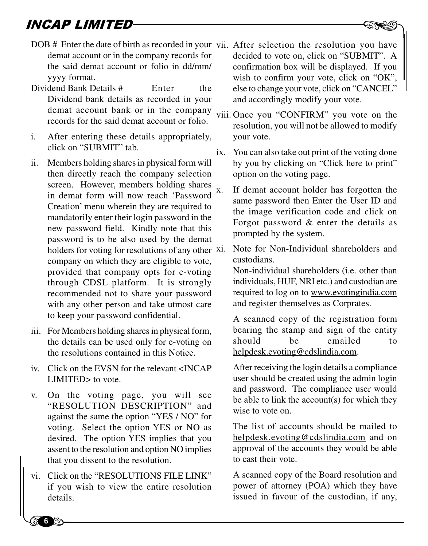- **NCAP LIMITED**<br>DOB # Enter the date of birth as recorded in your vii. After selection the resolution you have demat account or in the company records for the said demat account or folio in dd/mm/ yyyy format.
- Dividend Bank Details # Enter the Dividend bank details as recorded in your demat account bank or in the company records for the said demat account or folio.
- i. After entering these details appropriately, click on "SUBMIT" tab.
- ii. Members holding shares in physical form will then directly reach the company selection screen. However, members holding shares in demat form will now reach 'Password Creation' menu wherein they are required to mandatorily enter their login password in the new password field. Kindly note that this password is to be also used by the demat holders for voting for resolutions of any other xi. company on which they are eligible to vote, provided that company opts for e-voting through CDSL platform. It is strongly recommended not to share your password with any other person and take utmost care to keep your password confidential.
- iii. For Members holding shares in physical form, the details can be used only for e-voting on the resolutions contained in this Notice.
- iv. Click on the EVSN for the relevant <INCAP LIMITED> to vote.
- v. On the voting page, you will see "RESOLUTION DESCRIPTION" and against the same the option "YES / NO" for voting. Select the option YES or NO as desired. The option YES implies that you assent to the resolution and option NO implies that you dissent to the resolution.
- assent that you<br>that you<br>vi. Click c<br>if you vi. Click on the "RESOLUTIONS FILE LINK" if you wish to view the entire resolution details.

**6**

- decided to vote on, click on "SUBMIT". A confirmation box will be displayed. If you wish to confirm your vote, click on "OK", else to change your vote, click on "CANCEL" and accordingly modify your vote.
- viii. Once you "CONFIRM" you vote on the resolution, you will not be allowed to modify your vote.
- ix. You can also take out print of the voting done by you by clicking on "Click here to print" option on the voting page.
- x. If demat account holder has forgotten the same password then Enter the User ID and the image verification code and click on Forgot password & enter the details as prompted by the system.

Note for Non-Individual shareholders and custodians.

Non-individual shareholders (i.e. other than individuals, HUF, NRI etc.) and custodian are required to log on to www.evotingindia.com and register themselves as Corprates.

A scanned copy of the registration form bearing the stamp and sign of the entity should be emailed to helpdesk.evoting@cdslindia.com.

After receiving the login details a compliance user should be created using the admin login and password. The compliance user would be able to link the account(s) for which they wise to vote on.

The list of accounts should be mailed to helpdesk.evoting@cdslindia.com and on approval of the accounts they would be able to cast their vote.

A scanned copy of the Board resolution and power of attorney (POA) which they have issued in favour of the custodian, if any,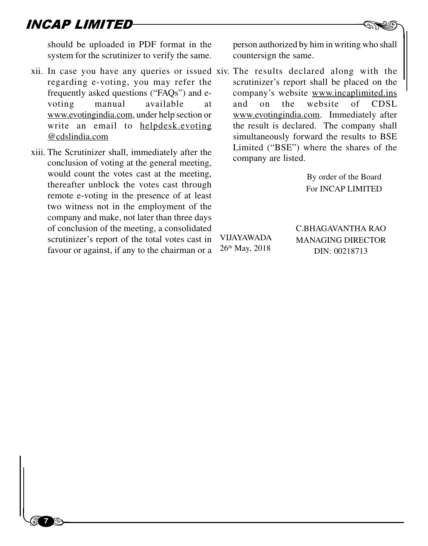$\begin{bmatrix} 1 & 1 \\ 1 & 1 \end{bmatrix}$ 

**7**

should be uploaded in PDF format in the system for the scrutinizer to verify the same.

- xii. In case you have any queries or issued xiv. The results declared along with the regarding e-voting, you may refer the frequently asked questions ("FAQs") and evoting manual available at www.evotingindia.com, under help section or write an email to helpdesk.evoting @cdslindia.com
- xiii. The Scrutinizer shall, immediately after the conclusion of voting at the general meeting, would count the votes cast at the meeting, thereafter unblock the votes cast through remote e-voting in the presence of at least two witness not in the employment of the company and make, not later than three days of conclusion of the meeting, a consolidated scrutinizer's report of the total votes cast in favour or against, if any to the chairman or a

**EXPERTHERE**<br>Berson authorized by him in writing who shall countersign the same.

scrutinizer's report shall be placed on the company's website www.incaplimited.ins and on the website of CDSL www.evotingindia.com. Immediately after the result is declared. The company shall simultaneously forward the results to BSE Limited ("BSE") where the shares of the company are listed.

> By order of the Board For INCAP LIMITED

VIJAYAWADA 26th May, 2018

C.BHAGAVANTHA RAO MANAGING DIRECTOR DIN: 00218713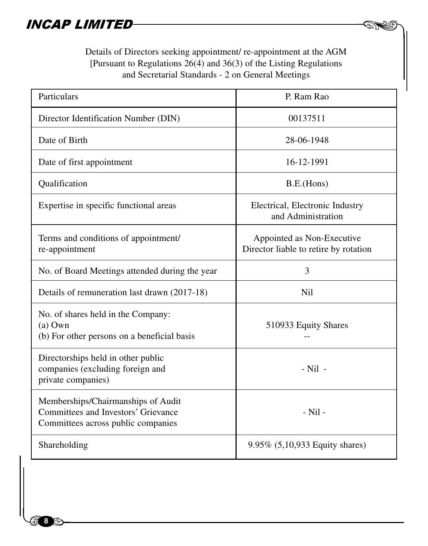Details of Directors seeking appointment/ re-appointment at the AGM [Pursuant to Regulations 26(4) and 36(3) of the Listing Regulations and Secretarial Standards - 2 on General Meetings

4 (F

| Particulars                                                                                                     | P. Ram Rao                                                          |  |
|-----------------------------------------------------------------------------------------------------------------|---------------------------------------------------------------------|--|
| Director Identification Number (DIN)                                                                            | 00137511                                                            |  |
| Date of Birth                                                                                                   | 28-06-1948                                                          |  |
| Date of first appointment                                                                                       | 16-12-1991                                                          |  |
| Qualification                                                                                                   | B.E.(Hons)                                                          |  |
| Expertise in specific functional areas                                                                          | Electrical, Electronic Industry<br>and Administration               |  |
| Terms and conditions of appointment/<br>re-appointment                                                          | Appointed as Non-Executive<br>Director liable to retire by rotation |  |
| No. of Board Meetings attended during the year                                                                  | 3                                                                   |  |
| Details of remuneration last drawn (2017-18)                                                                    | <b>Nil</b>                                                          |  |
| No. of shares held in the Company:<br>$(a)$ Own<br>(b) For other persons on a beneficial basis                  | 510933 Equity Shares                                                |  |
| Directorships held in other public<br>companies (excluding foreign and<br>private companies)                    | $-Nil$ -                                                            |  |
| Memberships/Chairmanships of Audit<br>Committees and Investors' Grievance<br>Committees across public companies | - Nil -                                                             |  |
| Shareholding                                                                                                    | 9.95% (5,10,933 Equity shares)                                      |  |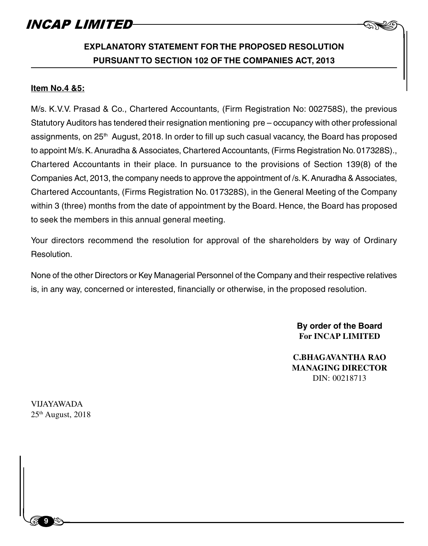### **EXPLANATORY STATEMENT FOR THE PROPOSED RESOLUTION PURSUANT TO SECTION 102 OF THE COMPANIES ACT, 2013**

#### **Item No.4 &5:**

M/s. K.V.V. Prasad & Co., Chartered Accountants, (Firm Registration No: 002758S), the previous Statutory Auditors has tendered their resignation mentioning pre – occupancy with other professional assignments, on  $25<sup>th</sup>$  August, 2018. In order to fill up such casual vacancy, the Board has proposed to appoint M/s. K. Anuradha & Associates, Chartered Accountants, (Firms Registration No. 017328S)., Chartered Accountants in their place. In pursuance to the provisions of Section 139(8) of the Companies Act, 2013, the company needs to approve the appointment of /s. K. Anuradha & Associates, Chartered Accountants, (Firms Registration No. 017328S), in the General Meeting of the Company within 3 (three) months from the date of appointment by the Board. Hence, the Board has proposed to seek the members in this annual general meeting.

Your directors recommend the resolution for approval of the shareholders by way of Ordinary Resolution.

None of the other Directors or Key Managerial Personnel of the Company and their respective relatives is, in any way, concerned or interested, financially or otherwise, in the proposed resolution.

> **By order of the Board For INCAP LIMITED**

 $\begin{picture}(20,20) \put(0,0){\line(1,0){10}} \put(15,0){\line(1,0){10}} \put(15,0){\line(1,0){10}} \put(15,0){\line(1,0){10}} \put(15,0){\line(1,0){10}} \put(15,0){\line(1,0){10}} \put(15,0){\line(1,0){10}} \put(15,0){\line(1,0){10}} \put(15,0){\line(1,0){10}} \put(15,0){\line(1,0){10}} \put(15,0){\line(1,0){10}} \put(15,0){\line(1$ 

**C.BHAGAVANTHA RAO MANAGING DIRECTOR** DIN: 00218713

VIJAYAWADA  $25<sup>th</sup>$  August,  $2018$ 

 $\begin{bmatrix} 1 & 1 \\ 1 & 1 \end{bmatrix}$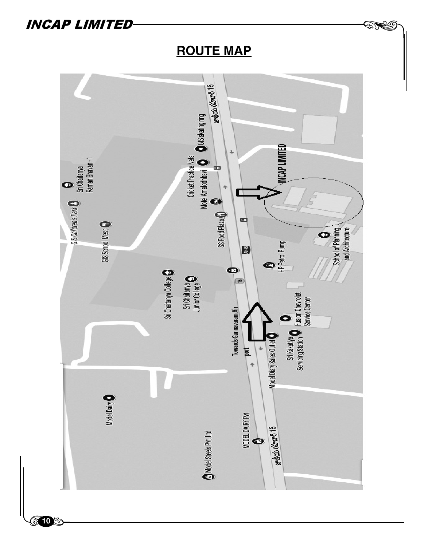

**ROUTE MAP**

**913**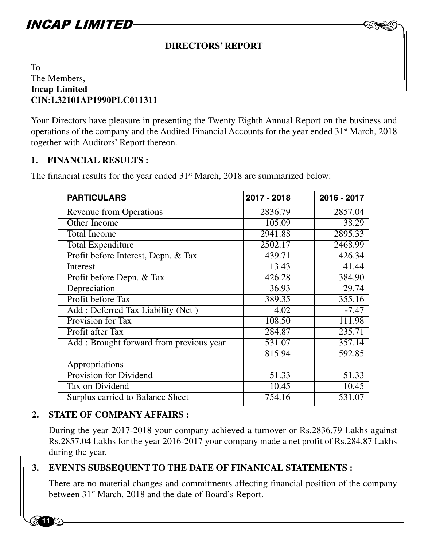### **DIRECTORS' REPORT**

 $\begin{picture}(20,20) \put(0,0){\line(1,0){10}} \put(15,0){\line(1,0){10}} \put(15,0){\line(1,0){10}} \put(15,0){\line(1,0){10}} \put(15,0){\line(1,0){10}} \put(15,0){\line(1,0){10}} \put(15,0){\line(1,0){10}} \put(15,0){\line(1,0){10}} \put(15,0){\line(1,0){10}} \put(15,0){\line(1,0){10}} \put(15,0){\line(1,0){10}} \put(15,0){\line(1$ 

### To The Members, **Incap Limited CIN:L32101AP1990PLC011311**

Your Directors have pleasure in presenting the Twenty Eighth Annual Report on the business and operations of the company and the Audited Financial Accounts for the year ended 31st March, 2018 together with Auditors' Report thereon.

#### **1. FINANCIAL RESULTS :**

The financial results for the year ended 31<sup>st</sup> March, 2018 are summarized below:

| <b>PARTICULARS</b>                       | 2017 - 2018 | 2016 - 2017 |
|------------------------------------------|-------------|-------------|
| <b>Revenue from Operations</b>           | 2836.79     | 2857.04     |
| Other Income                             | 105.09      | 38.29       |
| <b>Total Income</b>                      | 2941.88     | 2895.33     |
| Total Expenditure                        | 2502.17     | 2468.99     |
| Profit before Interest, Depn. & Tax      | 439.71      | 426.34      |
| Interest                                 | 13.43       | 41.44       |
| Profit before Depn. & Tax                | 426.28      | 384.90      |
| Depreciation                             | 36.93       | 29.74       |
| Profit before Tax                        | 389.35      | 355.16      |
| Add: Deferred Tax Liability (Net)        | 4.02        | $-7.47$     |
| Provision for Tax                        | 108.50      | 111.98      |
| Profit after Tax                         | 284.87      | 235.71      |
| Add : Brought forward from previous year | 531.07      | 357.14      |
|                                          | 815.94      | 592.85      |
| Appropriations                           |             |             |
| <b>Provision for Dividend</b>            | 51.33       | 51.33       |
| Tax on Dividend                          | 10.45       | 10.45       |
| Surplus carried to Balance Sheet         | 754.16      | 531.07      |
|                                          |             |             |

### **2. STATE OF COMPANY AFFAIRS :**

During the year 2017-2018 your company achieved a turnover or Rs.2836.79 Lakhs against Rs.2857.04 Lakhs for the year 2016-2017 your company made a net profit of Rs.284.87 Lakhs during the year.

# RS.28.<br>during<br>**3. EVEN**<br>There<br>bottues **3. EVENTS SUBSEQUENT TO THE DATE OF FINANICAL STATEMENTS :**

There are no material changes and commitments affecting financial position of the company between 31<sup>st</sup> March, 2018 and the date of Board's Report.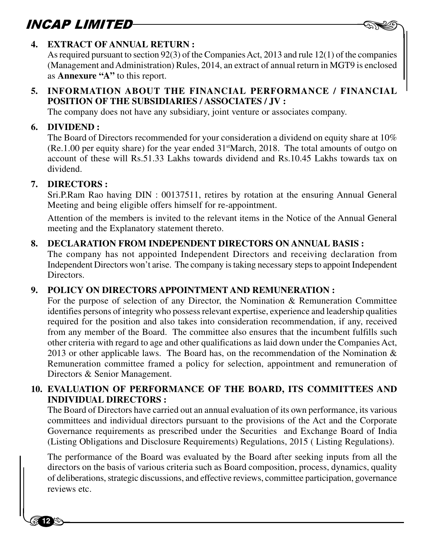

### **4. EXTRACT OF ANNUAL RETURN :**

As required pursuant to section 92(3) of the Companies Act, 2013 and rule 12(1) of the companies (Management and Administration) Rules, 2014, an extract of annual return in MGT9 is enclosed as **Annexure "A"** to this report.

### **5. INFORMATION ABOUT THE FINANCIAL PERFORMANCE / FINANCIAL POSITION OF THE SUBSIDIARIES / ASSOCIATES / JV :**

The company does not have any subsidiary, joint venture or associates company.

### **6. DIVIDEND :**

The Board of Directors recommended for your consideration a dividend on equity share at 10%  $(Re.1.00 \text{ per equity share})$  for the year ended  $31$ <sup>st</sup>March, 2018. The total amounts of outgo on account of these will Rs.51.33 Lakhs towards dividend and Rs.10.45 Lakhs towards tax on dividend.

### **7. DIRECTORS :**

**12 4** 

Sri.P.Ram Rao having DIN : 00137511, retires by rotation at the ensuring Annual General Meeting and being eligible offers himself for re-appointment.

Attention of the members is invited to the relevant items in the Notice of the Annual General meeting and the Explanatory statement thereto.

### **8. DECLARATION FROM INDEPENDENT DIRECTORS ON ANNUAL BASIS :**

The company has not appointed Independent Directors and receiving declaration from Independent Directors won't arise. The company is taking necessary steps to appoint Independent **Directors** 

### **9. POLICY ON DIRECTORS APPOINTMENT AND REMUNERATION :**

For the purpose of selection of any Director, the Nomination & Remuneration Committee identifies persons of integrity who possess relevant expertise, experience and leadership qualities required for the position and also takes into consideration recommendation, if any, received from any member of the Board. The committee also ensures that the incumbent fulfills such other criteria with regard to age and other qualifications as laid down under the Companies Act, 2013 or other applicable laws. The Board has, on the recommendation of the Nomination  $\&$ Remuneration committee framed a policy for selection, appointment and remuneration of Directors & Senior Management.

### **10. EVALUATION OF PERFORMANCE OF THE BOARD, ITS COMMITTEES AND INDIVIDUAL DIRECTORS :**

The Board of Directors have carried out an annual evaluation of its own performance, its various committees and individual directors pursuant to the provisions of the Act and the Corporate Governance requirements as prescribed under the Securities and Exchange Board of India (Listing Obligations and Disclosure Requirements) Regulations, 2015 ( Listing Regulations).

(Listin)<br>The pe<br>directo<br>of delit<br>review The performance of the Board was evaluated by the Board after seeking inputs from all the directors on the basis of various criteria such as Board composition, process, dynamics, quality of deliberations, strategic discussions, and effective reviews, committee participation, governance reviews etc.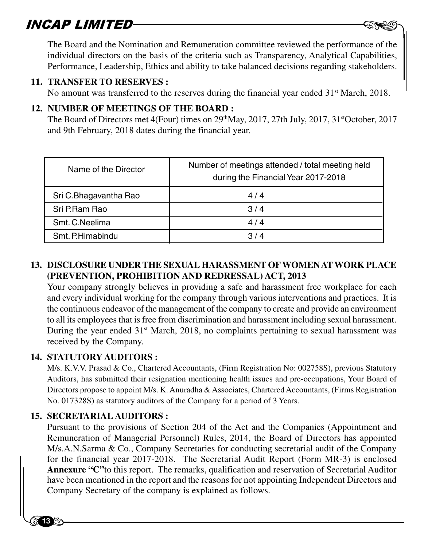$\mathbf{SAP}$  **LIMITED**<br>The Board and the Nomination and Remuneration committee reviewed the performance of the individual directors on the basis of the criteria such as Transparency, Analytical Capabilities, Performance, Leadership, Ethics and ability to take balanced decisions regarding stakeholders.

#### **11. TRANSFER TO RESERVES :**

No amount was transferred to the reserves during the financial year ended  $31<sup>st</sup>$  March, 2018.

### **12. NUMBER OF MEETINGS OF THE BOARD :**

The Board of Directors met  $4$ (Four) times on  $29<sup>th</sup>$ May,  $2017$ ,  $27th$  July,  $2017$ ,  $31<sup>st</sup>$ October,  $2017$ and 9th February, 2018 dates during the financial year.

| Name of the Director  | Number of meetings attended / total meeting held<br>during the Financial Year 2017-2018 |
|-----------------------|-----------------------------------------------------------------------------------------|
| Sri C.Bhagavantha Rao | 4/4                                                                                     |
| Sri P.Ram Rao         | 3/4                                                                                     |
| Smt. C. Neelima       | 4/4                                                                                     |
| Smt. P.Himabindu      | 3/4                                                                                     |

### **13. DISCLOSURE UNDER THE SEXUAL HARASSMENT OF WOMEN AT WORK PLACE (PREVENTION, PROHIBITION AND REDRESSAL) ACT, 2013**

Your company strongly believes in providing a safe and harassment free workplace for each and every individual working for the company through various interventions and practices. It is the continuous endeavor of the management of the company to create and provide an environment to all its employees that is free from discrimination and harassment including sexual harassment. During the year ended  $31<sup>st</sup>$  March, 2018, no complaints pertaining to sexual harassment was received by the Company.

### **14. STATUTORY AUDITORS :**

M/s. K.V.V. Prasad & Co., Chartered Accountants, (Firm Registration No: 002758S), previous Statutory Auditors, has submitted their resignation mentioning health issues and pre-occupations, Your Board of Directors propose to appoint M/s. K. Anuradha & Associates, Chartered Accountants, (Firms Registration No. 017328S) as statutory auditors of the Company for a period of 3 Years.

### **15. SECRETARIAL AUDITORS :**

**13 a** 

M/s.A.<br>for the<br>**Annex**<br>have be<br>Compa Pursuant to the provisions of Section 204 of the Act and the Companies (Appointment and Remuneration of Managerial Personnel) Rules, 2014, the Board of Directors has appointed M/s.A.N.Sarma & Co., Company Secretaries for conducting secretarial audit of the Company for the financial year 2017-2018. The Secretarial Audit Report (Form MR-3) is enclosed **Annexure "C"**to this report. The remarks, qualification and reservation of Secretarial Auditor have been mentioned in the report and the reasons for not appointing Independent Directors and Company Secretary of the company is explained as follows.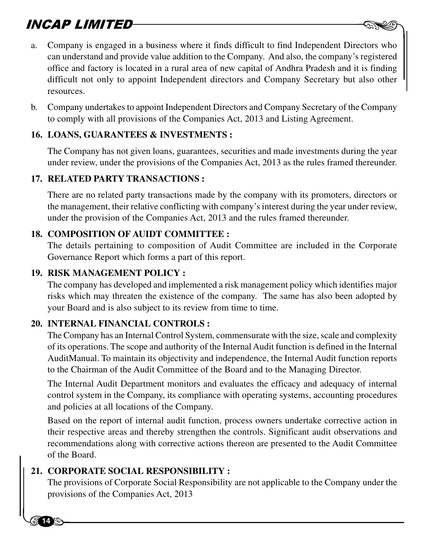- **SAP LIMITED**<br>a. Company is engaged in a business where it finds difficult to find Independent Directors who can understand and provide value addition to the Company. And also, the company's registered office and factory is located in a rural area of new capital of Andhra Pradesh and it is finding difficult not only to appoint Independent directors and Company Secretary but also other resources.
- b. Company undertakes to appoint Independent Directors and Company Secretary of the Company to comply with all provisions of the Companies Act, 2013 and Listing Agreement.

### **16. LOANS, GUARANTEES & INVESTMENTS :**

The Company has not given loans, guarantees, securities and made investments during the year under review, under the provisions of the Companies Act, 2013 as the rules framed thereunder.

### **17. RELATED PARTY TRANSACTIONS :**

There are no related party transactions made by the company with its promoters, directors or the management, their relative conflicting with company's interest during the year under review, under the provision of the Companies Act, 2013 and the rules framed thereunder.

### **18. COMPOSITION OF AUIDT COMMITTEE :**

The details pertaining to composition of Audit Committee are included in the Corporate Governance Report which forms a part of this report.

### **19. RISK MANAGEMENT POLICY :**

The company has developed and implemented a risk management policy which identifies major risks which may threaten the existence of the company. The same has also been adopted by your Board and is also subject to its review from time to time.

### **20. INTERNAL FINANCIAL CONTROLS :**

The Company has an Internal Control System, commensurate with the size, scale and complexity of its operations. The scope and authority of the Internal Audit function is defined in the Internal AuditManual. To maintain its objectivity and independence, the Internal Audit function reports to the Chairman of the Audit Committee of the Board and to the Managing Director.

The Internal Audit Department monitors and evaluates the efficacy and adequacy of internal control system in the Company, its compliance with operating systems, accounting procedures and policies at all locations of the Company.

Based on the report of internal audit function, process owners undertake corrective action in their respective areas and thereby strengthen the controls. Significant audit observations and recommendations along with corrective actions thereon are presented to the Audit Committee of the Board.

# recomm<br>of the 1<br>21. CORP<br>The proposition **21. CORPORATE SOCIAL RESPONSIBILITY :**

**14** 

The provisions of Corporate Social Responsibility are not applicable to the Company under the provisions of the Companies Act, 2013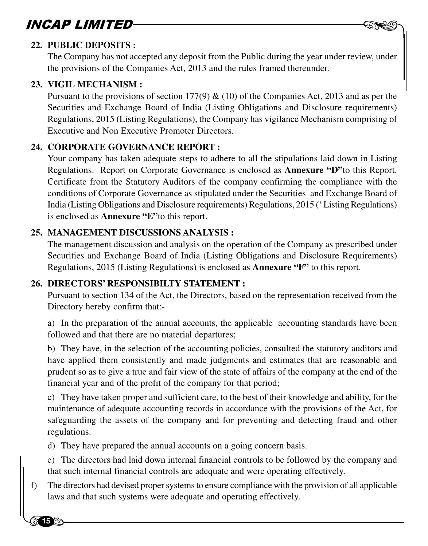### **22. PUBLIC DEPOSITS :**

The Company has not accepted any deposit from the Public during the year under review, under the provisions of the Companies Act, 2013 and the rules framed thereunder.

 $-$  AND

#### **23. VIGIL MECHANISM :**

**15**

Pursuant to the provisions of section 177(9)  $\&$  (10) of the Companies Act, 2013 and as per the Securities and Exchange Board of India (Listing Obligations and Disclosure requirements) Regulations, 2015 (Listing Regulations), the Company has vigilance Mechanism comprising of Executive and Non Executive Promoter Directors.

### **24. CORPORATE GOVERNANCE REPORT :**

Your company has taken adequate steps to adhere to all the stipulations laid down in Listing Regulations. Report on Corporate Governance is enclosed as **Annexure "D"**to this Report. Certificate from the Statutory Auditors of the company confirming the compliance with the conditions of Corporate Governance as stipulated under the Securities and Exchange Board of India (Listing Obligations and Disclosure requirements) Regulations, 2015 (' Listing Regulations) is enclosed as **Annexure "E"**to this report.

### **25. MANAGEMENT DISCUSSIONS ANALYSIS :**

The management discussion and analysis on the operation of the Company as prescribed under Securities and Exchange Board of India (Listing Obligations and Disclosure Requirements) Regulations, 2015 (Listing Regulations) is enclosed as **Annexure "F"** to this report.

### **26. DIRECTORS' RESPONSIBILTY STATEMENT :**

Pursuant to section 134 of the Act, the Directors, based on the representation received from the Directory hereby confirm that:-

a) In the preparation of the annual accounts, the applicable accounting standards have been followed and that there are no material departures;

b) They have, in the selection of the accounting policies, consulted the statutory auditors and have applied them consistently and made judgments and estimates that are reasonable and prudent so as to give a true and fair view of the state of affairs of the company at the end of the financial year and of the profit of the company for that period;

c) They have taken proper and sufficient care, to the best of their knowledge and ability, for the maintenance of adequate accounting records in accordance with the provisions of the Act, for safeguarding the assets of the company and for preventing and detecting fraud and other regulations.

d) They have prepared the annual accounts on a going concern basis.

e) The directors had laid down internal financial controls to be followed by the company and that such internal financial controls are adequate and were operating effectively.

 $\begin{array}{c}\n\text{d)} \text{ The} \\
\text{e)} \text{ The} \\
\text{that} \text{ such} \\
\text{f)} \text{ The} \text{ dir} \\
\end{array}$ f) The directors had devised proper systems to ensure compliance with the provision of all applicable laws and that such systems were adequate and operating effectively.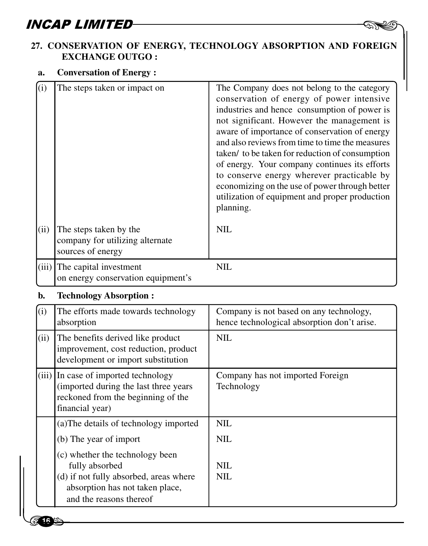### $\begin{picture}(120,115) \put(0,0){\line(1,0){150}} \put(15,0){\line(1,0){150}} \put(15,0){\line(1,0){150}} \put(15,0){\line(1,0){150}} \put(15,0){\line(1,0){150}} \put(15,0){\line(1,0){150}} \put(15,0){\line(1,0){150}} \put(15,0){\line(1,0){150}} \put(15,0){\line(1,0){150}} \put(15,0){\line(1,0){150}} \put(15,0){\line(1,0){150$ **27. CONSERVATION OF ENERGY, TECHNOLOGY ABSORPTION AND FOREIGN EXCHANGE OUTGO :**

### **a. Conversation of Energy :**

| (i)<br>(ii) | The steps taken or impact on<br>The steps taken by the<br>company for utilizing alternate                                              | The Company does not belong to the category<br>conservation of energy of power intensive<br>industries and hence consumption of power is<br>not significant. However the management is<br>aware of importance of conservation of energy<br>and also reviews from time to time the measures<br>taken/ to be taken for reduction of consumption<br>of energy. Your company continues its efforts<br>to conserve energy wherever practicable by<br>economizing on the use of power through better<br>utilization of equipment and proper production<br>planning.<br><b>NIL</b> |
|-------------|----------------------------------------------------------------------------------------------------------------------------------------|-----------------------------------------------------------------------------------------------------------------------------------------------------------------------------------------------------------------------------------------------------------------------------------------------------------------------------------------------------------------------------------------------------------------------------------------------------------------------------------------------------------------------------------------------------------------------------|
|             | sources of energy                                                                                                                      |                                                                                                                                                                                                                                                                                                                                                                                                                                                                                                                                                                             |
| (iii)       | The capital investment<br>on energy conservation equipment's                                                                           | <b>NIL</b>                                                                                                                                                                                                                                                                                                                                                                                                                                                                                                                                                                  |
| b.          | <b>Technology Absorption:</b>                                                                                                          |                                                                                                                                                                                                                                                                                                                                                                                                                                                                                                                                                                             |
| (i)         | The efforts made towards technology<br>absorption                                                                                      | Company is not based on any technology,<br>hence technological absorption don't arise.                                                                                                                                                                                                                                                                                                                                                                                                                                                                                      |
| (ii)        | The benefits derived like product<br>improvement, cost reduction, product<br>development or import substitution                        | <b>NIL</b>                                                                                                                                                                                                                                                                                                                                                                                                                                                                                                                                                                  |
|             | (iii) In case of imported technology<br>(imported during the last three years<br>reckoned from the beginning of the<br>financial year) | Company has not imported Foreign<br>Technology                                                                                                                                                                                                                                                                                                                                                                                                                                                                                                                              |
|             | (a) The details of technology imported                                                                                                 | <b>NIL</b>                                                                                                                                                                                                                                                                                                                                                                                                                                                                                                                                                                  |
|             | (b) The year of import                                                                                                                 | <b>NIL</b>                                                                                                                                                                                                                                                                                                                                                                                                                                                                                                                                                                  |
|             | (c) whether the technology been                                                                                                        |                                                                                                                                                                                                                                                                                                                                                                                                                                                                                                                                                                             |

 $\begin{bmatrix} 1 \\ 2 \\ 3 \\ 4 \end{bmatrix}$ <br>(c) v<br>f<br>(d) i<br>al (c) whether the technology been fully absorbed NIL (d) if not fully absorbed, areas where  $\parallel$  NIL absorption has not taken place, and the reasons thereof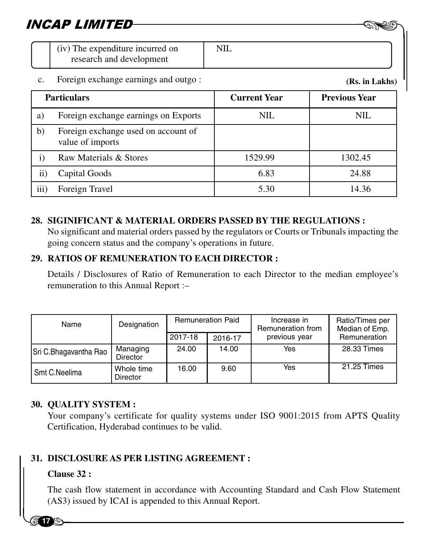| NCAP LIMITED- |                                                              |  |
|---------------|--------------------------------------------------------------|--|
|               | (iv) The expenditure incurred on<br>research and development |  |

### c. Foreign exchange earnings and outgo :

**(Rs. in Lakhs)**

|           | <b>Particulars</b>                                      | <b>Current Year</b> | <b>Previous Year</b> |
|-----------|---------------------------------------------------------|---------------------|----------------------|
| a)        | Foreign exchange earnings on Exports                    | NIL                 | NIL                  |
| b)        | Foreign exchange used on account of<br>value of imports |                     |                      |
| 1)        | Raw Materials & Stores                                  | 1529.99             | 1302.45              |
| $\rm ii)$ | Capital Goods                                           | 6.83                | 24.88                |
| iii)      | Foreign Travel                                          | 5.30                | 14.36                |

### **28. SIGINIFICANT & MATERIAL ORDERS PASSED BY THE REGULATIONS :**

No significant and material orders passed by the regulators or Courts or Tribunals impacting the going concern status and the company's operations in future.

### **29. RATIOS OF REMUNERATION TO EACH DIRECTOR :**

Details / Disclosures of Ratio of Remuneration to each Director to the median employee's remuneration to this Annual Report :–

| Name                  | Designation                   | <b>Remuneration Paid</b> |         |               |               | Increase in<br>Remuneration from | Ratio/Times per<br>Median of Emp. |
|-----------------------|-------------------------------|--------------------------|---------|---------------|---------------|----------------------------------|-----------------------------------|
|                       |                               | 2017-18                  | 2016-17 | previous year | Remuneration  |                                  |                                   |
| Sri C.Bhagavantha Rao | Managing<br><b>Director</b>   | 24.00                    | 14.00   | Yes           | 28.33 Times   |                                  |                                   |
| Smt C.Neelima         | Whole time<br><b>Director</b> | 16.00                    | 9.60    | Yes           | $21.25$ Times |                                  |                                   |

### **30. QUALITY SYSTEM :**

Your company's certificate for quality systems under ISO 9001:2015 from APTS Quality Certification, Hyderabad continues to be valid.

# 31. DISCI<br>Clause<br>The ca **31. DISCLOSURE AS PER LISTING AGREEMENT :**

### **Clause 32 :**

**17**

The cash flow statement in accordance with Accounting Standard and Cash Flow Statement (AS3) issued by ICAI is appended to this Annual Report.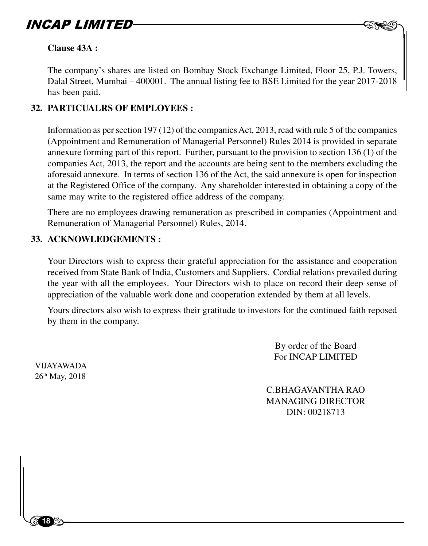

#### **Clause 43A :**

The company's shares are listed on Bombay Stock Exchange Limited, Floor 25, P.J. Towers, Dalal Street, Mumbai – 400001. The annual listing fee to BSE Limited for the year 2017-2018 has been paid.

### **32. PARTICUALRS OF EMPLOYEES :**

Information as per section 197 (12) of the companies Act, 2013, read with rule 5 of the companies (Appointment and Remuneration of Managerial Personnel) Rules 2014 is provided in separate annexure forming part of this report. Further, pursuant to the provision to section 136 (1) of the companies Act, 2013, the report and the accounts are being sent to the members excluding the aforesaid annexure. In terms of section 136 of the Act, the said annexure is open for inspection at the Registered Office of the company. Any shareholder interested in obtaining a copy of the same may write to the registered office address of the company.

There are no employees drawing remuneration as prescribed in companies (Appointment and Remuneration of Managerial Personnel) Rules, 2014.

#### **33. ACKNOWLEDGEMENTS :**

Your Directors wish to express their grateful appreciation for the assistance and cooperation received from State Bank of India, Customers and Suppliers. Cordial relations prevailed during the year with all the employees. Your Directors wish to place on record their deep sense of appreciation of the valuable work done and cooperation extended by them at all levels.

Yours directors also wish to express their gratitude to investors for the continued faith reposed by them in the company.

> By order of the Board For INCAP LIMITED

VIJAYAWADA 26th May, 2018

 $\begin{bmatrix} 1 & 1 \\ 1 & 1 \end{bmatrix}$ 

**18**

C.BHAGAVANTHA RAO MANAGING DIRECTOR DIN: 00218713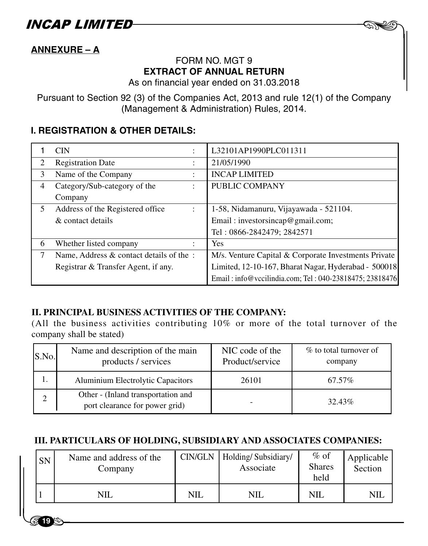INCAP LIMITED

### **ANNEXURE – A**

**19**

### FORM NO. MGT 9 **EXTRACT OF ANNUAL RETURN**

 $-$  AND

As on financial year ended on 31.03.2018

Pursuant to Section 92 (3) of the Companies Act, 2013 and rule 12(1) of the Company (Management & Administration) Rules, 2014.

### **I. REGISTRATION & OTHER DETAILS:**

|                | <b>CIN</b>                                               | L32101AP1990PLC011311                                   |
|----------------|----------------------------------------------------------|---------------------------------------------------------|
| $\mathfrak{D}$ | <b>Registration Date</b><br>٠                            | 21/05/1990                                              |
| 3              | Name of the Company<br>٠                                 | <b>INCAP LIMITED</b>                                    |
| 4              | Category/Sub-category of the<br>$\ddot{\phantom{a}}$     | PUBLIC COMPANY                                          |
|                | Company                                                  |                                                         |
| 5              | Address of the Registered office<br>$\ddot{\phantom{a}}$ | 1-58, Nidamanuru, Vijayawada - 521104.                  |
|                | & contact details                                        | Email: investorsincap@gmail.com;                        |
|                |                                                          | Tel: 0866-2842479; 2842571                              |
| 6              | Whether listed company<br>$\ddot{\phantom{a}}$           | Yes                                                     |
| 7              | Name, Address & contact details of the:                  | M/s. Venture Capital & Corporate Investments Private    |
|                | Registrar & Transfer Agent, if any.                      | Limited, 12-10-167, Bharat Nagar, Hyderabad - 500018    |
|                |                                                          | Email: info@vccilindia.com; Tel: 040-23818475; 23818476 |

#### **II. PRINCIPAL BUSINESS ACTIVITIES OF THE COMPANY:**

(All the business activities contributing 10% or more of the total turnover of the company shall be stated)

| S.No. | Name and description of the main<br>products / services              | NIC code of the<br>Product/service | % to total turnover of<br>company |
|-------|----------------------------------------------------------------------|------------------------------------|-----------------------------------|
|       | Aluminium Electrolytic Capacitors                                    | 26101                              | 67.57%                            |
|       | Other - (Inland transportation and<br>port clearance for power grid) |                                    | 32.43%                            |

### **III. PARTICULARS OF HOLDING, SUBSIDIARY AND ASSOCIATES COMPANIES:**

| SN | Name and address of the<br>Company |            | CIN/GLN   Holding/ Subsidiary/<br>Associate | $\%$ of<br><b>Shares</b><br>held | Applicable<br>Section |
|----|------------------------------------|------------|---------------------------------------------|----------------------------------|-----------------------|
|    | NIL                                | <b>NIL</b> | <b>NIL</b>                                  | <b>NIL</b>                       | NIL                   |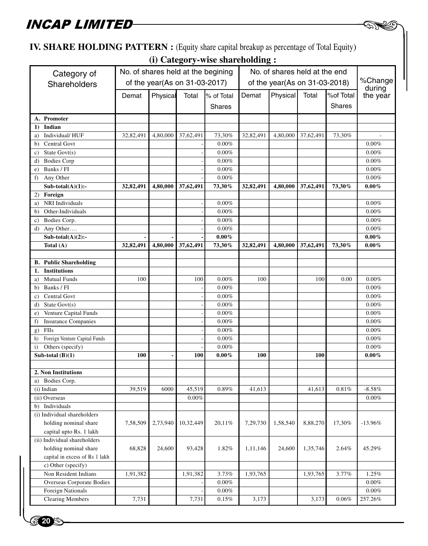**20** 

### **IV. SHARE HOLDING PATTERN :** (Equity share capital breakup as percentage of Total Equity)

**(i) Category-wise shareholding :**

**DA** 

|                                     |           | No. of shares held at the begining |                               |            | No. of shares held at the end |                               |           |               |           |
|-------------------------------------|-----------|------------------------------------|-------------------------------|------------|-------------------------------|-------------------------------|-----------|---------------|-----------|
| Category of                         |           |                                    |                               |            |                               |                               |           |               | %Change   |
| Shareholders                        |           |                                    | of the year(As on 31-03-2017) |            |                               | of the year(As on 31-03-2018) |           |               | during    |
|                                     | Demat     | Physical                           | Total                         | % of Total | Demat                         | Physical                      | Total     | %of Total     | the year  |
|                                     |           |                                    |                               | Shares     |                               |                               |           | <b>Shares</b> |           |
|                                     |           |                                    |                               |            |                               |                               |           |               |           |
| A. Promoter                         |           |                                    |                               |            |                               |                               |           |               |           |
| Indian<br>1)                        |           |                                    |                               |            |                               |                               |           |               |           |
| Individual/HUF<br>a)                | 32,82,491 | 4,80,000                           | 37,62,491                     | 73,30%     | 32,82,491                     | 4,80,000                      | 37,62,491 | 73,30%        |           |
| Central Govt<br>b)                  |           |                                    |                               | 0.00%      |                               |                               |           |               | $0.00\%$  |
| State $Govt(s)$<br>c)               |           |                                    |                               | 0.00%      |                               |                               |           |               | 0.00%     |
| <b>Bodies Corp</b><br>d)            |           |                                    |                               | $0.00\%$   |                               |                               |           |               | $0.00\%$  |
| Banks / FI<br>e)                    |           |                                    |                               | 0.00%      |                               |                               |           |               | $0.00\%$  |
| Any Other<br>f)                     |           |                                    |                               | 0.00%      |                               |                               |           |               | 0.00%     |
| $Sub-total(A)(1)$ :-                | 32,82,491 | 4,80,000                           | 37,62,491                     | 73,30%     | 32,82,491                     | 4,80,000                      | 37,62,491 | 73,30%        | $0.00\%$  |
| 2) Foreign                          |           |                                    |                               |            |                               |                               |           |               |           |
| <b>NRI</b> Individuals<br>a)        |           |                                    |                               | 0.00%      |                               |                               |           |               | 0.00%     |
| Other-Individuals<br>b)             |           |                                    |                               | 0.00%      |                               |                               |           |               | $0.00\%$  |
| Bodies Corp.<br>c)                  |           |                                    |                               | $0.00\%$   |                               |                               |           |               | $0.00\%$  |
| Any Other<br>d)                     |           |                                    |                               | 0.00%      |                               |                               |           |               | $0.00\%$  |
| $Sub-total(A)(2)$ :-                |           |                                    |                               | $0.00\%$   |                               |                               |           |               | $0.00\%$  |
| Total $(A)$                         | 32,82,491 | 4,80,000                           | 37,62,491                     | 73,30%     | 32,82,491                     | 4,80,000                      | 37,62,491 | 73,30%        | $0.00\%$  |
|                                     |           |                                    |                               |            |                               |                               |           |               |           |
| <b>B.</b> Public Shareholding       |           |                                    |                               |            |                               |                               |           |               |           |
| <b>Institutions</b><br>1.           |           |                                    |                               |            |                               |                               |           |               |           |
| <b>Mutual Funds</b><br>a)           | 100       |                                    | 100                           | 0.00%      | 100                           |                               | 100       | 0.00          | $0.00\%$  |
| Banks / FI<br>b)                    |           |                                    |                               | 0.00%      |                               |                               |           |               | $0.00\%$  |
| Central Govt<br>c)                  |           |                                    |                               | $0.00\%$   |                               |                               |           |               | $0.00\%$  |
| State $Govt(s)$<br>d)               |           |                                    |                               | $0.00\%$   |                               |                               |           |               | $0.00\%$  |
| Venture Capital Funds<br>e)         |           |                                    |                               | 0.00%      |                               |                               |           |               | 0.00%     |
| <b>Insurance Companies</b><br>f)    |           |                                    |                               | $0.00\%$   |                               |                               |           |               | 0.00%     |
| <b>FIIs</b><br>g)                   |           |                                    |                               | $0.00\%$   |                               |                               |           |               | $0.00\%$  |
| Foreign Venture Capital Funds<br>h) |           |                                    |                               | 0.00%      |                               |                               |           |               | $0.00\%$  |
| Others (specify)<br>$\mathbf{i}$    |           |                                    |                               | 0.00%      |                               |                               |           |               | $0.00\%$  |
| Sub-total $(B)(1)$                  | 100       |                                    | <b>100</b>                    | $0.00\%$   | 100                           |                               | 100       |               | $0.00\%$  |
|                                     |           |                                    |                               |            |                               |                               |           |               |           |
| 2. Non Institutions                 |           |                                    |                               |            |                               |                               |           |               |           |
| a) Bodies Corp.                     |           |                                    |                               |            |                               |                               |           |               |           |
| (i) Indian                          | 39,519    | 6000                               | 45,519                        | $0.89\%$   | 41,613                        |                               | 41,613    | 0.81%         | $-8.58\%$ |
| (ii) Overseas                       |           |                                    | 0.00%                         |            |                               |                               |           |               | $0.00\%$  |
| b) Individuals                      |           |                                    |                               |            |                               |                               |           |               |           |
| (i) Individual shareholders         |           |                                    |                               |            |                               |                               |           |               |           |
| holding nominal share               | 7,58,509  | 2,73,940                           | 10,32,449                     | 20.11%     | 7,29,730                      | 1,58,540                      | 8,88,270  | 17,30%        | $-13.96%$ |
| capital upto Rs. 1 lakh             |           |                                    |                               |            |                               |                               |           |               |           |
| (ii) Individual shareholders        |           |                                    |                               |            |                               |                               |           |               |           |
| holding nominal share               | 68,828    | 24,600                             | 93,428                        | $1.82\%$   | 1,11,146                      | 24,600                        | 1,35,746  | 2.64%         | 45.29%    |
| capital in excess of Rs 1 lakh      |           |                                    |                               |            |                               |                               |           |               |           |
| c) Other (specify)                  |           |                                    |                               |            |                               |                               |           |               |           |
| Non Resident Indians                | 1,91,382  |                                    | 1,91,382                      | 3.73%      | 1,93,765                      |                               | 1,93,765  | 3.77%         | 1.25%     |
| <b>Overseas Corporate Bodies</b>    |           |                                    |                               | $0.00\%$   |                               |                               |           |               | $0.00\%$  |
| Foreign Nationals                   |           |                                    |                               | $0.00\%$   |                               |                               |           |               | $0.00\%$  |
| <b>Clearing Members</b>             | 7,731     |                                    | 7,731                         | 0.15%      | 3,173                         |                               | 3,173     | 0.06%         | 257.26%   |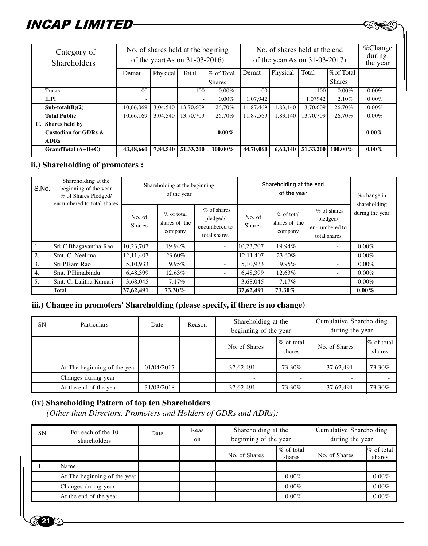| <i>NCAP LIMITED</i>                                      |                                                                        |          |           |                                                                   |           |          |           |                                   |          |
|----------------------------------------------------------|------------------------------------------------------------------------|----------|-----------|-------------------------------------------------------------------|-----------|----------|-----------|-----------------------------------|----------|
| Category of<br><b>Shareholders</b>                       | No. of shares held at the begining<br>of the year(As on $31-03-2016$ ) |          |           | No. of shares held at the end<br>of the year(As on $31-03-2017$ ) |           |          |           | $\%$ Change<br>during<br>the year |          |
|                                                          | Demat                                                                  | Physical | Total     | % of Total                                                        | Demat     | Physical | Total     | %of Total                         |          |
|                                                          |                                                                        |          |           | <b>Shares</b>                                                     |           |          |           | <b>Shares</b>                     |          |
| Trusts                                                   | 100                                                                    |          | 100       | $0.00\%$                                                          | 100       |          | 100       | $0.00\%$                          | $0.00\%$ |
| <b>IEPF</b>                                              |                                                                        |          |           | $0.00\%$                                                          | 1,07,942  |          | 1.07942   | 2.10%                             | $0.00\%$ |
| $Sub-total(B)(2)$                                        | 10,66,069                                                              | 3,04,540 | 13,70,609 | 26.70%                                                            | 11,87,469 | 1,83,140 | 13,70,609 | 26.70%                            | $0.00\%$ |
| <b>Total Public</b>                                      | 10.66.169                                                              | 3.04.540 | 13,70,709 | 26.70%                                                            | 11,87,569 | 1,83,140 | 13,70,709 | 26.70%                            | $0.00\%$ |
| C. Shares held by<br>Custodian for GDRs &<br><b>ADRs</b> |                                                                        |          |           | $0.00\%$                                                          |           |          |           |                                   | $0.00\%$ |
| $GrandTotal (A+B+C)$                                     | 43,48,660                                                              | 7,84,540 | 51,33,200 | 100.00%                                                           | 44,70,060 | 6,63,140 | 51,33,200 | 100.00%                           | $0.00\%$ |

### **ii.) Shareholding of promoters :**

| S.No. | Shareholding at the<br>beginning of the year<br>% of Shares Pledged/<br>encumbered to total shares |                         | Shareholding at the beginning<br>of the year |                                                            | Shareholding at the end<br>of the year |                                          |                                                           | $%$ change in<br>shareholding |
|-------|----------------------------------------------------------------------------------------------------|-------------------------|----------------------------------------------|------------------------------------------------------------|----------------------------------------|------------------------------------------|-----------------------------------------------------------|-------------------------------|
|       |                                                                                                    | No. of<br><b>Shares</b> | $%$ of total<br>shares of the<br>company     | $%$ of shares<br>pledged/<br>encumbered to<br>total shares | No. of<br><b>Shares</b>                | $%$ of total<br>shares of the<br>company | % of shares<br>pledged/<br>en-cumbered to<br>total shares | during the year               |
| 1.    | Sri C.Bhagavantha Rao                                                                              | 10.23.707               | 19.94%                                       | ٠                                                          | 10.23.707                              | 19.94%                                   |                                                           | $0.00\%$                      |
| 2.    | Smt. C. Neelima                                                                                    | 12, 11, 407             | 23.60%                                       | ٠                                                          | 12, 11, 407                            | 23.60%                                   |                                                           | $0.00\%$                      |
| 3.    | Sri P.Ram Rao                                                                                      | 5,10,933                | 9.95%                                        | $\overline{\phantom{a}}$                                   | 5,10,933                               | 9.95%                                    |                                                           | $0.00\%$                      |
| 4.    | Smt. P.Himabindu                                                                                   | 6,48,399                | 12.63%                                       | $\overline{\phantom{a}}$                                   | 6,48,399                               | 12.63%                                   |                                                           | $0.00\%$                      |
| 5.    | Smt. C. Lalitha Kumari                                                                             | 3,68,045                | 7.17%                                        | $\overline{\phantom{a}}$                                   | 3.68.045                               | 7.17%                                    |                                                           | $0.00\%$                      |
|       | Total                                                                                              | 37,62,491               | 73.30%                                       |                                                            | 37,62,491                              | 73.30%                                   |                                                           | $0.00\%$                      |

#### **iii.) Change in promoters' Shareholding (please specify, if there is no change)**

| <b>SN</b> | Particulars                  | Date       | Reason | Shareholding at the<br>beginning of the year |                        | Cumulative Shareholding<br>during the year |                        |
|-----------|------------------------------|------------|--------|----------------------------------------------|------------------------|--------------------------------------------|------------------------|
|           |                              |            |        | No. of Shares                                | $%$ of total<br>shares | No. of Shares                              | $%$ of total<br>shares |
|           | At The beginning of the year | 01/04/2017 |        | 37,62,491                                    | 73.30%                 | 37.62.491                                  | 73.30%                 |
|           | Changes during year          |            |        |                                              |                        |                                            |                        |
|           | At the end of the year       | 31/03/2018 |        | 37,62,491                                    | 73.30%                 | 37.62,491                                  | 73.30%                 |

### **(iv) Shareholding Pattern of top ten Shareholders**

**21**

 *(Other than Directors, Promoters and Holders of GDRs and ADRs):*

| <b>SN</b> | For each of the 10<br>shareholders | Date | Reas<br>$_{\rm on}$ |               | Cumulative Shareholding<br>Shareholding at the<br>beginning of the year<br>during the year |               |                        |
|-----------|------------------------------------|------|---------------------|---------------|--------------------------------------------------------------------------------------------|---------------|------------------------|
|           |                                    |      |                     | No. of Shares | $%$ of total<br>shares                                                                     | No. of Shares | $%$ of total<br>shares |
| Ι.        | Name                               |      |                     |               |                                                                                            |               |                        |
|           | At The beginning of the year       |      |                     |               | $0.00\%$                                                                                   |               | $0.00\%$               |
|           | Changes during year                |      |                     |               | $0.00\%$                                                                                   |               | $0.00\%$               |
|           | At the end of the year             |      |                     |               | $0.00\%$                                                                                   |               | $0.00\%$               |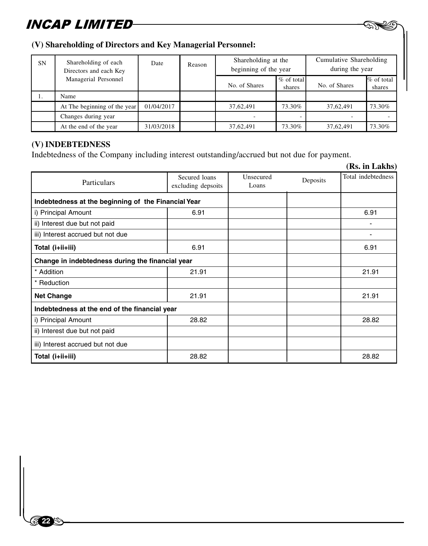#### **(V) Shareholding of Directors and Key Managerial Personnel:**

| <b>SN</b> | Shareholding of each<br>Directors and each Key | Date       | Reason |               | Shareholding at the<br>beginning of the year |               | Cumulative Shareholding<br>during the year |
|-----------|------------------------------------------------|------------|--------|---------------|----------------------------------------------|---------------|--------------------------------------------|
|           | Managerial Personnel                           |            |        | No. of Shares | $\%$ of total<br>shares                      | No. of Shares | % of total<br>shares                       |
| .,        | Name                                           |            |        |               |                                              |               |                                            |
|           | At The beginning of the year                   | 01/04/2017 |        | 37,62,491     | 73.30%                                       | 37.62.491     | 73.30%                                     |
|           | Changes during year                            |            |        |               |                                              |               |                                            |
|           | At the end of the year                         | 31/03/2018 |        | 37,62,491     | 73.30%                                       | 37.62.491     | 73.30%                                     |

 $-$  AND

### **(V) INDEBTEDNESS**

 $\begin{bmatrix} 1 & 1 \\ 1 & 1 \end{bmatrix}$ 

**22**

Indebtedness of the Company including interest outstanding/accrued but not due for payment.

|                                                     |                                     |                    |          | (Rs. in Lakhs)     |
|-----------------------------------------------------|-------------------------------------|--------------------|----------|--------------------|
| Particulars                                         | Secured loans<br>excluding depsoits | Unsecured<br>Loans | Deposits | Total indebtedness |
| Indebtedness at the beginning of the Financial Year |                                     |                    |          |                    |
| i) Principal Amount                                 | 6.91                                |                    |          | 6.91               |
| ii) Interest due but not paid                       |                                     |                    |          |                    |
| iii) Interest accrued but not due                   |                                     |                    |          |                    |
| Total (i+ii+iii)                                    | 6.91                                |                    |          | 6.91               |
| Change in indebtedness during the financial year    |                                     |                    |          |                    |
| * Addition                                          | 21.91                               |                    |          | 21.91              |
| * Reduction                                         |                                     |                    |          |                    |
| <b>Net Change</b>                                   | 21.91                               |                    |          | 21.91              |
| Indebtedness at the end of the financial year       |                                     |                    |          |                    |
| i) Principal Amount                                 | 28.82                               |                    |          | 28.82              |
| ii) Interest due but not paid                       |                                     |                    |          |                    |
| iii) Interest accrued but not due                   |                                     |                    |          |                    |
| Total (i+ii+iii)                                    | 28.82                               |                    |          | 28.82              |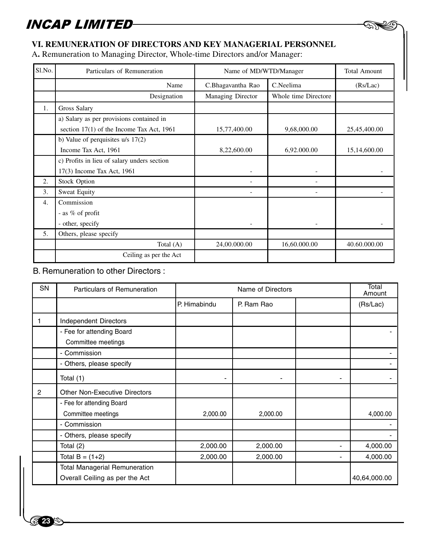### **VI. REMUNERATION OF DIRECTORS AND KEY MANAGERIAL PERSONNEL**

A**.** Remuneration to Managing Director, Whole-time Directors and/or Manager:

| Sl.No.           | Particulars of Remuneration                 | Name of MD/WTD/Manager |                      | <b>Total Amount</b> |
|------------------|---------------------------------------------|------------------------|----------------------|---------------------|
|                  | Name                                        | C.Bhagavantha Rao      | C.Neelima            | (Rs/Lac)            |
|                  | Designation                                 | Managing Director      | Whole time Directore |                     |
| $\mathbf{1}$ .   | Gross Salary                                |                        |                      |                     |
|                  | a) Salary as per provisions contained in    |                        |                      |                     |
|                  | section $17(1)$ of the Income Tax Act, 1961 | 15,77,400.00           | 9,68,000.00          | 25,45,400.00        |
|                  | b) Value of perquisites $u/s$ 17(2)         |                        |                      |                     |
|                  | Income Tax Act, 1961                        | 8,22,600.00            | 6,92.000.00          | 15,14,600.00        |
|                  | c) Profits in lieu of salary unders section |                        |                      |                     |
|                  | 17(3) Income Tax Act, 1961                  |                        |                      |                     |
| 2.               | <b>Stock Option</b>                         |                        |                      |                     |
| 3.               | <b>Sweat Equity</b>                         |                        |                      |                     |
| $\overline{4}$ . | Commission                                  |                        |                      |                     |
|                  | - as % of profit                            |                        |                      |                     |
|                  | - other, specify                            |                        |                      |                     |
| 5.               | Others, please specify                      |                        |                      |                     |
|                  | Total $(A)$                                 | 24,00.000.00           | 16,60.000.00         | 40.60.000.00        |
|                  | Ceiling as per the Act                      |                        |                      |                     |

 $-$  AND

### B. Remuneration to other Directors :

| <b>SN</b>      | Particulars of Remuneration          |              | Name of Directors |   | Total<br>Amount |
|----------------|--------------------------------------|--------------|-------------------|---|-----------------|
|                |                                      | P. Himabindu | P. Ram Rao        |   | (Rs/Lac)        |
|                | <b>Independent Directors</b>         |              |                   |   |                 |
|                | - Fee for attending Board            |              |                   |   |                 |
|                | Committee meetings                   |              |                   |   |                 |
|                | - Commission                         |              |                   |   |                 |
|                | - Others, please specify             |              |                   |   |                 |
|                | Total (1)                            |              |                   |   |                 |
| $\overline{2}$ | <b>Other Non-Executive Directors</b> |              |                   |   |                 |
|                | - Fee for attending Board            |              |                   |   |                 |
|                | Committee meetings                   | 2,000.00     | 2,000.00          |   | 4,000.00        |
|                | - Commission                         |              |                   |   |                 |
|                | - Others, please specify             |              |                   |   |                 |
|                | Total (2)                            | 2,000.00     | 2,000.00          | ۰ | 4,000.00        |
|                | Total $B = (1+2)$                    | 2,000.00     | 2,000.00          | ۰ | 4,000.00        |
|                | <b>Total Managerial Remuneration</b> |              |                   |   |                 |
|                | Overall Ceiling as per the Act       |              |                   |   | 40,64,000.00    |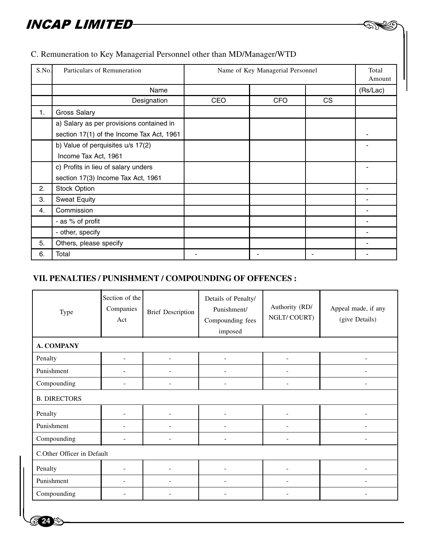| S.No. | Particulars of Remuneration               | Name of Key Managerial Personnel |     |     | Total<br>Amount |
|-------|-------------------------------------------|----------------------------------|-----|-----|-----------------|
|       | Name                                      |                                  |     |     | (Rs/Lac)        |
|       | Designation                               | <b>CEO</b>                       | CFO | CS. |                 |
| 1.    | Gross Salary                              |                                  |     |     |                 |
|       | a) Salary as per provisions contained in  |                                  |     |     |                 |
|       | section 17(1) of the Income Tax Act, 1961 |                                  |     |     |                 |
|       | b) Value of perquisites u/s 17(2)         |                                  |     |     |                 |
|       | Income Tax Act, 1961                      |                                  |     |     |                 |
|       | c) Profits in lieu of salary unders       |                                  |     |     |                 |
|       | section 17(3) Income Tax Act, 1961        |                                  |     |     |                 |
| 2.    | <b>Stock Option</b>                       |                                  |     |     |                 |
| 3.    | <b>Sweat Equity</b>                       |                                  |     |     |                 |
| 4.    | Commission                                |                                  |     |     |                 |
|       | - as % of profit                          |                                  |     |     |                 |
|       | - other, specify                          |                                  |     |     |                 |
| 5.    | Others, please specify                    |                                  |     |     |                 |
| 6.    | Total                                     |                                  |     |     |                 |

 $-$  AND

### C. Remuneration to Key Managerial Personnel other than MD/Manager/WTD

### **VII. PENALTIES / PUNISHMENT / COMPOUNDING OF OFFENCES :**

| Type                       | Section of the<br>Companies<br>Act | <b>Brief Description</b> | Details of Penalty/<br>Punishment/<br>Compounding fees<br>imposed | Authority (RD/<br>NGLT/COURT) | Appeal made, if any<br>(give Details) |
|----------------------------|------------------------------------|--------------------------|-------------------------------------------------------------------|-------------------------------|---------------------------------------|
| <b>A. COMPANY</b>          |                                    |                          |                                                                   |                               |                                       |
| Penalty                    |                                    | $\overline{\phantom{a}}$ | ۰                                                                 | ٠                             | -                                     |
| Punishment                 |                                    | ۰                        | ٠                                                                 | ٠                             |                                       |
| Compounding                | ٠                                  | ٠                        | ٠                                                                 | ٠                             |                                       |
| <b>B. DIRECTORS</b>        |                                    |                          |                                                                   |                               |                                       |
| Penalty                    |                                    |                          | ٠                                                                 | ٠                             | ۰                                     |
| Punishment                 |                                    | ٠                        | ٠                                                                 | $\sim$                        | ۰                                     |
| Compounding                | ٠                                  | $\overline{\phantom{a}}$ | $\overline{\phantom{a}}$                                          | $\overline{\phantom{a}}$      | $\overline{\phantom{0}}$              |
| C.Other Officer in Default |                                    |                          |                                                                   |                               |                                       |
| Penalty                    |                                    | ٠                        | ÷                                                                 | ٠                             |                                       |
| Punishment                 |                                    |                          | ۰                                                                 | ۰.                            |                                       |
| Compounding                |                                    |                          |                                                                   | ٠                             |                                       |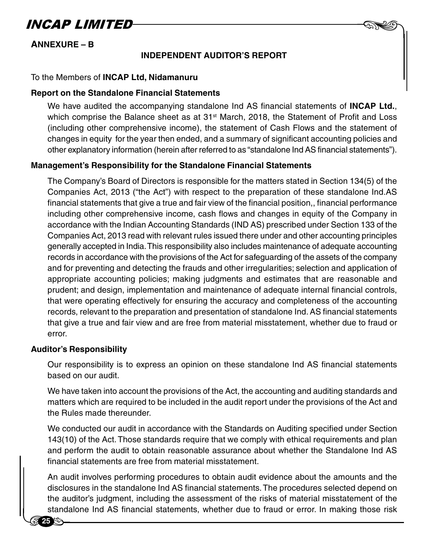

#### **INDEPENDENT AUDITOR'S REPORT**

 $-$  AND

#### To the Members of **INCAP Ltd, Nidamanuru**

#### **Report on the Standalone Financial Statements**

We have audited the accompanying standalone Ind AS financial statements of **INCAP Ltd.**, which comprise the Balance sheet as at  $31<sup>st</sup>$  March, 2018, the Statement of Profit and Loss (including other comprehensive income), the statement of Cash Flows and the statement of changes in equity for the year then ended, and a summary of significant accounting policies and other explanatory information (herein after referred to as "standalone Ind AS financial statements").

#### **Management's Responsibility for the Standalone Financial Statements**

The Company's Board of Directors is responsible for the matters stated in Section 134(5) of the Companies Act, 2013 ("the Act") with respect to the preparation of these standalone Ind.AS financial statements that give a true and fair view of the financial position,, financial performance including other comprehensive income, cash flows and changes in equity of the Company in accordance with the Indian Accounting Standards (IND AS) prescribed under Section 133 of the Companies Act, 2013 read with relevant rules issued there under and other accounting principles generally accepted in India. This responsibility also includes maintenance of adequate accounting records in accordance with the provisions of the Act for safeguarding of the assets of the company and for preventing and detecting the frauds and other irregularities; selection and application of appropriate accounting policies; making judgments and estimates that are reasonable and prudent; and design, implementation and maintenance of adequate internal financial controls, that were operating effectively for ensuring the accuracy and completeness of the accounting records, relevant to the preparation and presentation of standalone Ind. AS financial statements that give a true and fair view and are free from material misstatement, whether due to fraud or error.

#### **Auditor's Responsibility**

**25**

Our responsibility is to express an opinion on these standalone Ind AS financial statements based on our audit.

We have taken into account the provisions of the Act, the accounting and auditing standards and matters which are required to be included in the audit report under the provisions of the Act and the Rules made thereunder.

and pe<br>
financi<br>
An aud<br>
disclos We conducted our audit in accordance with the Standards on Auditing specified under Section 143(10) of the Act. Those standards require that we comply with ethical requirements and plan and perform the audit to obtain reasonable assurance about whether the Standalone Ind AS financial statements are free from material misstatement.

An audit involves performing procedures to obtain audit evidence about the amounts and the disclosures in the standalone Ind AS financial statements. The procedures selected depend on the auditor's judgment, including the assessment of the risks of material misstatement of the standalone Ind AS financial statements, whether due to fraud or error. In making those risk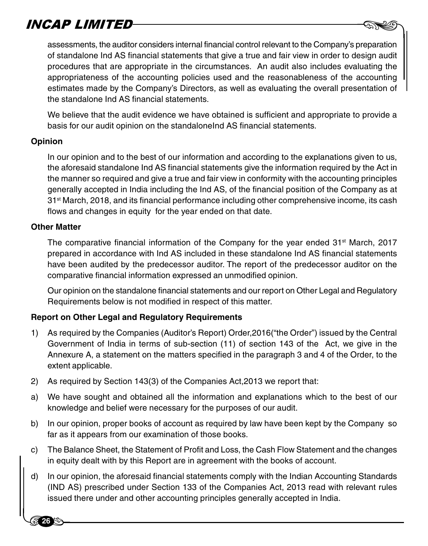8assessments, the auditor considers internal financial control relevant to the Company's preparation of standalone Ind AS financial statements that give a true and fair view in order to design audit procedures that are appropriate in the circumstances. An audit also includes evaluating the appropriateness of the accounting policies used and the reasonableness of the accounting estimates made by the Company's Directors, as well as evaluating the overall presentation of the standalone Ind AS financial statements.

We believe that the audit evidence we have obtained is sufficient and appropriate to provide a basis for our audit opinion on the standaloneInd AS financial statements.

#### **Opinion**

In our opinion and to the best of our information and according to the explanations given to us, the aforesaid standalone Ind AS financial statements give the information required by the Act in the manner so required and give a true and fair view in conformity with the accounting principles generally accepted in India including the Ind AS, of the financial position of the Company as at 31st March, 2018, and its financial performance including other comprehensive income, its cash flows and changes in equity for the year ended on that date.

#### **Other Matter**

**26**

The comparative financial information of the Company for the year ended  $31<sup>st</sup>$  March, 2017 prepared in accordance with Ind AS included in these standalone Ind AS financial statements have been audited by the predecessor auditor. The report of the predecessor auditor on the comparative financial information expressed an unmodified opinion.

Our opinion on the standalone financial statements and our report on Other Legal and Regulatory Requirements below is not modified in respect of this matter.

### **Report on Other Legal and Regulatory Requirements**

- 1) As required by the Companies (Auditor's Report) Order,2016("the Order") issued by the Central Government of India in terms of sub-section (11) of section 143 of the Act, we give in the Annexure A, a statement on the matters specified in the paragraph 3 and 4 of the Order, to the extent applicable.
- 2) As required by Section 143(3) of the Companies Act,2013 we report that:
- a) We have sought and obtained all the information and explanations which to the best of our knowledge and belief were necessary for the purposes of our audit.
- b) In our opinion, proper books of account as required by law have been kept by the Company so far as it appears from our examination of those books.
- c) The Balance Sheet, the Statement of Profit and Loss, the Cash Flow Statement and the changes in equity dealt with by this Report are in agreement with the books of account.
- c) The Ba<br>
in equi<br>
d) In our o<br>
(IND A d) In our opinion, the aforesaid financial statements comply with the Indian Accounting Standards (IND AS) prescribed under Section 133 of the Companies Act, 2013 read with relevant rules issued there under and other accounting principles generally accepted in India.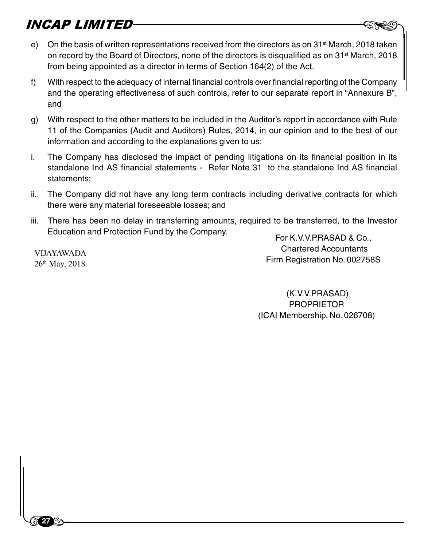- **NCAP LIMITED**<br>e) On the basis of written representations received from the directors as on 31st March, 2018 taken on record by the Board of Directors, none of the directors is disqualified as on 31<sup>st</sup> March, 2018 from being appointed as a director in terms of Section 164(2) of the Act.
- f) With respect to the adequacy of internal financial controls over financial reporting of the Company and the operating effectiveness of such controls, refer to our separate report in "Annexure B", and
- g) With respect to the other matters to be included in the Auditor's report in accordance with Rule 11 of the Companies (Audit and Auditors) Rules, 2014, in our opinion and to the best of our information and according to the explanations given to us:
- i. The Company has disclosed the impact of pending litigations on its financial position in its standalone Ind AS financial statements - Refer Note 31 to the standalone Ind AS financial statements;
- ii. The Company did not have any long term contracts including derivative contracts for which there were any material foreseeable losses; and
- iii. There has been no delay in transferring amounts, required to be transferred, to the Investor Education and Protection Fund by the Company.<br>For K.V.V.PRASAD & Co.,

VIJAYAWADA 26th May, 2018

 $\begin{bmatrix} 1 & 1 \\ 1 & 1 \end{bmatrix}$ 

**27**

 Chartered Accountants Firm Registration No. 002758S

 (K.V.V.PRASAD) PROPRIETOR (ICAI Membership. No. 026708)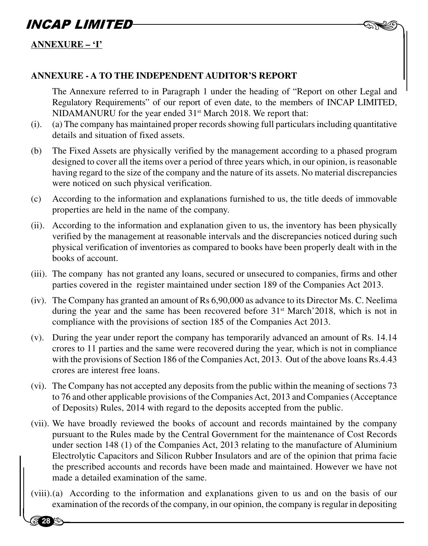

### **ANNEXURE – 'I'**

**28** 

#### **ANNEXURE - A TO THE INDEPENDENT AUDITOR'S REPORT**

The Annexure referred to in Paragraph 1 under the heading of "Report on other Legal and Regulatory Requirements" of our report of even date, to the members of INCAP LIMITED, NIDAMANURU for the year ended 31st March 2018. We report that:

- (i). (a) The company has maintained proper records showing full particulars including quantitative details and situation of fixed assets.
- (b) The Fixed Assets are physically verified by the management according to a phased program designed to cover all the items over a period of three years which, in our opinion, is reasonable having regard to the size of the company and the nature of its assets. No material discrepancies were noticed on such physical verification.
- (c) According to the information and explanations furnished to us, the title deeds of immovable properties are held in the name of the company.
- (ii). According to the information and explanation given to us, the inventory has been physically verified by the management at reasonable intervals and the discrepancies noticed during such physical verification of inventories as compared to books have been properly dealt with in the books of account.
- (iii). The company has not granted any loans, secured or unsecured to companies, firms and other parties covered in the register maintained under section 189 of the Companies Act 2013.
- (iv). The Company has granted an amount of Rs 6,90,000 as advance to its Director Ms. C. Neelima during the year and the same has been recovered before  $31<sup>st</sup>$  March' 2018, which is not in compliance with the provisions of section 185 of the Companies Act 2013.
- (v). During the year under report the company has temporarily advanced an amount of Rs. 14.14 crores to 11 parties and the same were recovered during the year, which is not in compliance with the provisions of Section 186 of the Companies Act, 2013. Out of the above loans Rs.4.43 crores are interest free loans.
- (vi). The Company has not accepted any deposits from the public within the meaning of sections 73 to 76 and other applicable provisions of the Companies Act, 2013 and Companies (Acceptance of Deposits) Rules, 2014 with regard to the deposits accepted from the public.
- under<br>Electi<br>the pi<br>made<br> $(xiiii)$  (a) (vii). We have broadly reviewed the books of account and records maintained by the company pursuant to the Rules made by the Central Government for the maintenance of Cost Records under section 148 (1) of the Companies Act, 2013 relating to the manufacture of Aluminium Electrolytic Capacitors and Silicon Rubber Insulators and are of the opinion that prima facie the prescribed accounts and records have been made and maintained. However we have not made a detailed examination of the same.
	- (viii).(a) According to the information and explanations given to us and on the basis of our examination of the records of the company, in our opinion, the company is regular in depositing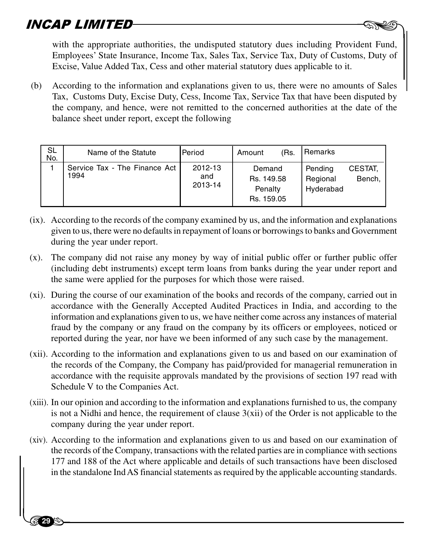**29**

**AP LIMITED**<br>with the appropriate authorities, the undisputed statutory dues including Provident Fund, Employees' State Insurance, Income Tax, Sales Tax, Service Tax, Duty of Customs, Duty of Excise, Value Added Tax, Cess and other material statutory dues applicable to it.

(b) According to the information and explanations given to us, there were no amounts of Sales Tax, Customs Duty, Excise Duty, Cess, Income Tax, Service Tax that have been disputed by the company, and hence, were not remitted to the concerned authorities at the date of the balance sheet under report, except the following

| <b>SL</b><br>No. | Name of the Statute                   | <b>Period</b>             | Amount                                        | 'Rs. | Remarks                          |                   |
|------------------|---------------------------------------|---------------------------|-----------------------------------------------|------|----------------------------------|-------------------|
|                  | Service Tax - The Finance Act<br>1994 | 2012-13<br>and<br>2013-14 | Demand<br>Rs. 149.58<br>Penalty<br>Rs. 159.05 |      | Pending<br>Regional<br>Hyderabad | CESTAT.<br>Bench, |

- (ix). According to the records of the company examined by us, and the information and explanations given to us, there were no defaults in repayment of loans or borrowings to banks and Government during the year under report.
- (x). The company did not raise any money by way of initial public offer or further public offer (including debt instruments) except term loans from banks during the year under report and the same were applied for the purposes for which those were raised.
- (xi). During the course of our examination of the books and records of the company, carried out in accordance with the Generally Accepted Audited Practices in India, and according to the information and explanations given to us, we have neither come across any instances of material fraud by the company or any fraud on the company by its officers or employees, noticed or reported during the year, nor have we been informed of any such case by the management.
- (xii). According to the information and explanations given to us and based on our examination of the records of the Company, the Company has paid/provided for managerial remuneration in accordance with the requisite approvals mandated by the provisions of section 197 read with Schedule V to the Companies Act.
- (xiii). In our opinion and according to the information and explanations furnished to us, the company is not a Nidhi and hence, the requirement of clause  $3(xii)$  of the Order is not applicable to the company during the year under report.
- the red<br>the red<br>177 as<br>in the (xiv). According to the information and explanations given to us and based on our examination of the records of the Company, transactions with the related parties are in compliance with sections 177 and 188 of the Act where applicable and details of such transactions have been disclosed in the standalone Ind AS financial statements as required by the applicable accounting standards.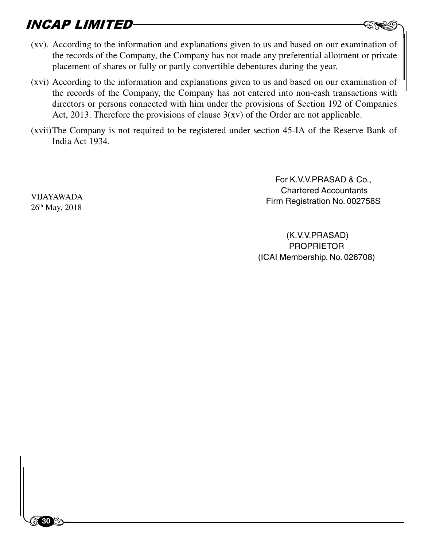- $\text{NCAP}$  *LIMITED*<br>(xv). According to the information and explanations given to us and based on our examination of the records of the Company, the Company has not made any preferential allotment or private placement of shares or fully or partly convertible debentures during the year.
- (xvi) According to the information and explanations given to us and based on our examination of the records of the Company, the Company has not entered into non-cash transactions with directors or persons connected with him under the provisions of Section 192 of Companies Act, 2013. Therefore the provisions of clause  $3(xy)$  of the Order are not applicable.
- (xvii)The Company is not required to be registered under section 45-IA of the Reserve Bank of India Act 1934.

For K.V.V.PRASAD & Co., Chartered Accountants Firm Registration No. 002758S

 (K.V.V.PRASAD) PROPRIETOR (ICAI Membership. No. 026708)

VIJAYAWADA 26<sup>th</sup> May, 2018

 $\begin{bmatrix} 1 & 1 \\ 1 & 1 \end{bmatrix}$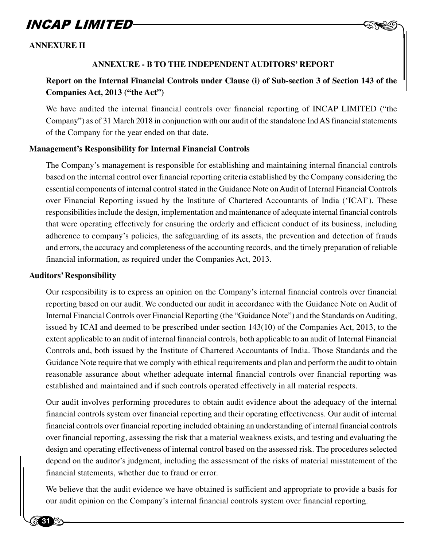#### **ANNEXURE II**

#### **ANNEXURE - B TO THE INDEPENDENT AUDITORS' REPORT**

### **Report on the Internal Financial Controls under Clause (i) of Sub-section 3 of Section 143 of the Companies Act, 2013 ("the Act")**

 $-$  AND

We have audited the internal financial controls over financial reporting of INCAP LIMITED ("the Company") as of 31 March 2018 in conjunction with our audit of the standalone Ind AS financial statements of the Company for the year ended on that date.

#### **Management's Responsibility for Internal Financial Controls**

The Company's management is responsible for establishing and maintaining internal financial controls based on the internal control over financial reporting criteria established by the Company considering the essential components of internal control stated in the Guidance Note on Audit of Internal Financial Controls over Financial Reporting issued by the Institute of Chartered Accountants of India ('ICAI'). These responsibilities include the design, implementation and maintenance of adequate internal financial controls that were operating effectively for ensuring the orderly and efficient conduct of its business, including adherence to company's policies, the safeguarding of its assets, the prevention and detection of frauds and errors, the accuracy and completeness of the accounting records, and the timely preparation of reliable financial information, as required under the Companies Act, 2013.

#### **Auditors' Responsibility**

Our responsibility is to express an opinion on the Company's internal financial controls over financial reporting based on our audit. We conducted our audit in accordance with the Guidance Note on Audit of Internal Financial Controls over Financial Reporting (the "Guidance Note") and the Standards on Auditing, issued by ICAI and deemed to be prescribed under section 143(10) of the Companies Act, 2013, to the extent applicable to an audit of internal financial controls, both applicable to an audit of Internal Financial Controls and, both issued by the Institute of Chartered Accountants of India. Those Standards and the Guidance Note require that we comply with ethical requirements and plan and perform the audit to obtain reasonable assurance about whether adequate internal financial controls over financial reporting was established and maintained and if such controls operated effectively in all material respects.

design a<br>depend<br>financia<br>We belie Our audit involves performing procedures to obtain audit evidence about the adequacy of the internal financial controls system over financial reporting and their operating effectiveness. Our audit of internal financial controls over financial reporting included obtaining an understanding of internal financial controls over financial reporting, assessing the risk that a material weakness exists, and testing and evaluating the design and operating effectiveness of internal control based on the assessed risk. The procedures selected depend on the auditor's judgment, including the assessment of the risks of material misstatement of the financial statements, whether due to fraud or error.

We believe that the audit evidence we have obtained is sufficient and appropriate to provide a basis for our audit opinion on the Company's internal financial controls system over financial reporting.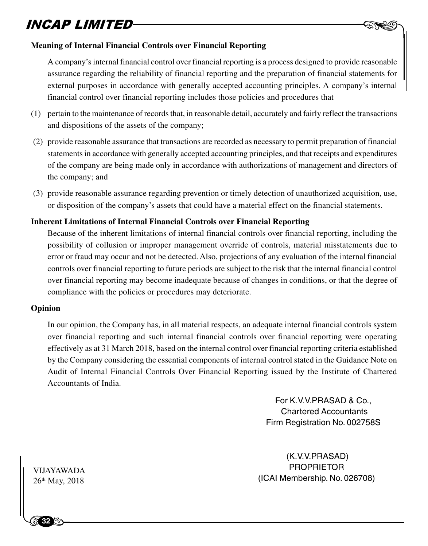

A company's internal financial control over financial reporting is a process designed to provide reasonable assurance regarding the reliability of financial reporting and the preparation of financial statements for external purposes in accordance with generally accepted accounting principles. A company's internal financial control over financial reporting includes those policies and procedures that

- (1) pertain to the maintenance of records that, in reasonable detail, accurately and fairly reflect the transactions and dispositions of the assets of the company;
- (2) provide reasonable assurance that transactions are recorded as necessary to permit preparation of financial statements in accordance with generally accepted accounting principles, and that receipts and expenditures of the company are being made only in accordance with authorizations of management and directors of the company; and
- (3) provide reasonable assurance regarding prevention or timely detection of unauthorized acquisition, use, or disposition of the company's assets that could have a material effect on the financial statements.

#### **Inherent Limitations of Internal Financial Controls over Financial Reporting**

Because of the inherent limitations of internal financial controls over financial reporting, including the possibility of collusion or improper management override of controls, material misstatements due to error or fraud may occur and not be detected. Also, projections of any evaluation of the internal financial controls over financial reporting to future periods are subject to the risk that the internal financial control over financial reporting may become inadequate because of changes in conditions, or that the degree of compliance with the policies or procedures may deteriorate.

#### **Opinion**

In our opinion, the Company has, in all material respects, an adequate internal financial controls system over financial reporting and such internal financial controls over financial reporting were operating effectively as at 31 March 2018, based on the internal control over financial reporting criteria established by the Company considering the essential components of internal control stated in the Guidance Note on Audit of Internal Financial Controls Over Financial Reporting issued by the Institute of Chartered Accountants of India.

> For K.V.V.PRASAD & Co., Chartered Accountants Firm Registration No. 002758S

 $-$  AND

 (K.V.V.PRASAD) PROPRIETOR (ICAI Membership. No. 026708)

VIJAYAWA<br>26<sup>th</sup> May, 20 VIJAYAWADA 26<sup>th</sup> May, 2018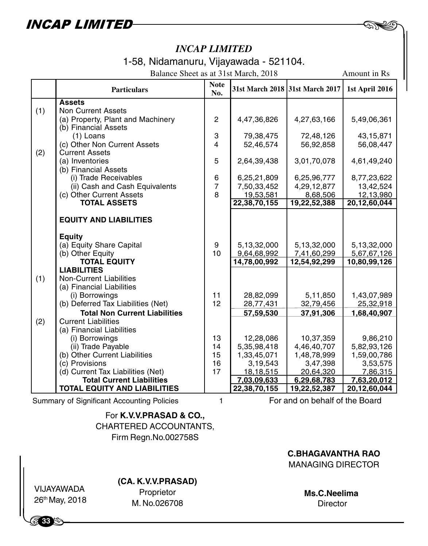1-58, Nidamanuru, Vijayawada - 521104.

|     | Balance Sheet as at 31st March, 2018<br>Amount in Rs       |                     |                                 |                         |                           |  |
|-----|------------------------------------------------------------|---------------------|---------------------------------|-------------------------|---------------------------|--|
|     | <b>Particulars</b>                                         | <b>Note</b><br>No.  | 31st March 2018 31st March 2017 |                         | 1st April 2016            |  |
|     | <b>Assets</b>                                              |                     |                                 |                         |                           |  |
| (1) | <b>Non Current Assets</b>                                  |                     |                                 |                         |                           |  |
|     | (a) Property, Plant and Machinery                          | $\overline{c}$      | 4,47,36,826                     | 4,27,63,166             | 5,49,06,361               |  |
|     | (b) Financial Assets                                       |                     |                                 |                         |                           |  |
|     | $(1)$ Loans                                                | 3                   | 79,38,475                       | 72,48,126               | 43, 15, 871               |  |
|     | (c) Other Non Current Assets                               | 4                   | 52,46,574                       | 56,92,858               | 56,08,447                 |  |
| (2) | <b>Current Assets</b>                                      |                     |                                 |                         |                           |  |
|     | (a) Inventories                                            | 5                   | 2,64,39,438                     | 3,01,70,078             | 4,61,49,240               |  |
|     | (b) Financial Assets                                       |                     |                                 |                         |                           |  |
|     | (i) Trade Receivables                                      | 6<br>$\overline{7}$ | 6,25,21,809                     | 6,25,96,777             | 8,77,23,622               |  |
|     | (ii) Cash and Cash Equivalents<br>(c) Other Current Assets | 8                   | 7,50,33,452                     | 4,29,12,877<br>8,68,506 | 13,42,524                 |  |
|     | <b>TOTAL ASSETS</b>                                        |                     | 19,53,581<br>22,38,70,155       | 19,22,52,388            | 12,13,980<br>20,12,60,044 |  |
|     |                                                            |                     |                                 |                         |                           |  |
|     | <b>EQUITY AND LIABILITIES</b>                              |                     |                                 |                         |                           |  |
|     |                                                            |                     |                                 |                         |                           |  |
|     | <b>Equity</b>                                              |                     |                                 |                         |                           |  |
|     | (a) Equity Share Capital                                   | 9                   | 5,13,32,000                     | 5,13,32,000             | 5,13,32,000               |  |
|     | (b) Other Equity<br><b>TOTAL EQUITY</b>                    | 10                  | 9,64,68,992<br>14,78,00,992     | 7,41,60,299             | 5,67,67,126               |  |
|     | <b>LIABILITIES</b>                                         |                     |                                 | 12,54,92,299            | 10,80,99,126              |  |
| (1) | <b>Non-Current Liabilities</b>                             |                     |                                 |                         |                           |  |
|     | (a) Financial Liabilities                                  |                     |                                 |                         |                           |  |
|     | (i) Borrowings                                             | 11                  | 28,82,099                       | 5,11,850                | 1,43,07,989               |  |
|     | (b) Deferred Tax Liabilities (Net)                         | 12                  | 28,77,431                       | 32,79,456               | 25,32,918                 |  |
|     | <b>Total Non Current Liabilities</b>                       |                     | 57,59,530                       | 37,91,306               | 1,68,40,907               |  |
| (2) | <b>Current Liabilities</b>                                 |                     |                                 |                         |                           |  |
|     | (a) Financial Liabilities                                  |                     |                                 |                         |                           |  |
|     | (i) Borrowings                                             | 13                  | 12,28,086                       | 10,37,359               | 9,86,210                  |  |
|     | (ii) Trade Payable                                         | 14                  | 5,35,98,418                     | 4,46,40,707             | 5,82,93,126               |  |
|     | (b) Other Current Liabilities                              | 15                  | 1,33,45,071                     | 1,48,78,999             | 1,59,00,786               |  |
|     | (c) Provisions                                             | 16                  | 3,19,543                        | 3,47,398                | 3,53,575                  |  |
|     | (d) Current Tax Liabilities (Net)                          | 17                  | 18,18,515                       | 20,64,320               | 7,86,315                  |  |
|     | <b>Total Current Liabilities</b>                           |                     | 7,03,09,633                     | 6,29,68,783             | 7,63,20,012               |  |
|     | <b>TOTAL EQUITY AND LIABILITIES</b>                        |                     | 22,38,70,155                    | 19,22,52,387            | 20.12.60.044              |  |

Summary of Significant Accounting Policies 1

For and on behalf of the Board

 $-$  AND

For **K.V.V.PRASAD & CO.,** CHARTERED ACCOUNTANTS, Firm Regn.No.002758S

**C.BHAGAVANTHA RAO**

MANAGING DIRECTOR

|<br>|<br>| VIJAYAWADA 26th May, 2018

**33**

### **(CA. K.V.V.PRASAD)**

Proprietor M. No.026708

**Ms.C.Neelima Director**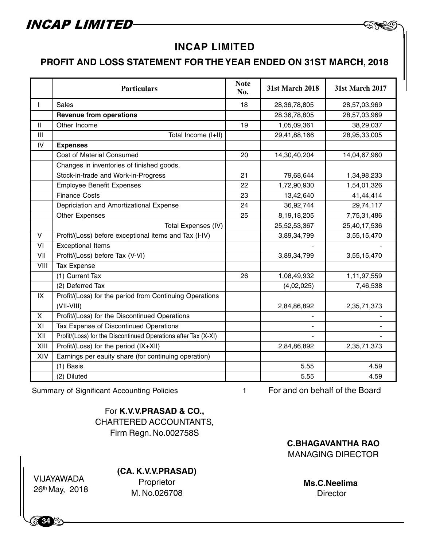### **INCAP LIMITED**

### **PROFIT AND LOSS STATEMENT FOR THE YEAR ENDED ON 31ST MARCH, 2018**

|              | <b>Particulars</b>                                             | <b>Note</b><br>No. | 31st March 2018 | 31st March 2017 |
|--------------|----------------------------------------------------------------|--------------------|-----------------|-----------------|
| $\mathbf{I}$ | Sales                                                          | 18                 | 28,36,78,805    | 28,57,03,969    |
|              | <b>Revenue from operations</b>                                 |                    | 28,36,78,805    | 28,57,03,969    |
| $\mathbf{H}$ | Other Income                                                   | 19                 | 1,05,09,361     | 38,29,037       |
| III          | Total Income (I+II)                                            |                    | 29,41,88,166    | 28,95,33,005    |
| IV           | <b>Expenses</b>                                                |                    |                 |                 |
|              | Cost of Material Consumed                                      | 20                 | 14,30,40,204    | 14,04,67,960    |
|              | Changes in inventories of finished goods,                      |                    |                 |                 |
|              | Stock-in-trade and Work-in-Progress                            | 21                 | 79,68,644       | 1,34,98,233     |
|              | <b>Employee Benefit Expenses</b>                               | 22                 | 1,72,90,930     | 1,54,01,326     |
|              | <b>Finance Costs</b>                                           | 23                 | 13,42,640       | 41,44,414       |
|              | Depriciation and Amortizational Expense                        | 24                 | 36,92,744       | 29,74,117       |
|              | <b>Other Expenses</b>                                          | 25                 | 8,19,18,205     | 7,75,31,486     |
|              | Total Expenses (IV)                                            |                    | 25,52,53,367    | 25,40,17,536    |
| V            | Profit/(Loss) before exceptional items and Tax (I-IV)          |                    | 3,89,34,799     | 3,55,15,470     |
| VI           | <b>Exceptional Items</b>                                       |                    |                 |                 |
| VII          | Profit/(Loss) before Tax (V-VI)                                |                    | 3,89,34,799     | 3,55,15,470     |
| VIII         | Tax Expense                                                    |                    |                 |                 |
|              | (1) Current Tax                                                | 26                 | 1,08,49,932     | 1,11,97,559     |
|              | (2) Deferred Tax                                               |                    | (4,02,025)      | 7,46,538        |
| IX           | Profit/(Loss) for the period from Continuing Operations        |                    |                 |                 |
|              | $(VII-VIII)$                                                   |                    | 2,84,86,892     | 2,35,71,373     |
| X            | Profit/(Loss) for the Discontinued Operations                  |                    |                 |                 |
| XI           | Tax Expense of Discontinued Operations                         |                    |                 |                 |
| XII          | Profit/(Loss) for the Discontinued Operations after Tax (X-XI) |                    |                 |                 |
| XIII         | Profit/(Loss) for the period (IX+XII)                          |                    | 2,84,86,892     | 2,35,71,373     |
| XIV          | Earnings per eauity share (for continuing operation)           |                    |                 |                 |
|              | (1) Basis                                                      |                    | 5.55            | 4.59            |
|              | (2) Diluted                                                    |                    | 5.55            | 4.59            |

Summary of Significant Accounting Policies 1

For **K.V.V.PRASAD & CO.,** CHARTERED ACCOUNTANTS, Firm Regn. No.002758S

**C.BHAGAVANTHA RAO** MANAGING DIRECTOR

|<br>| VIJAYAWADA<br>| 26<sup>th</sup>May, 2018 VIJAYAWADA

**34**

### **(CA. K.V.V.PRASAD)**

Proprietor M. No.026708

**Ms.C.Neelima Director** 

 $-$  AND

For and on behalf of the Board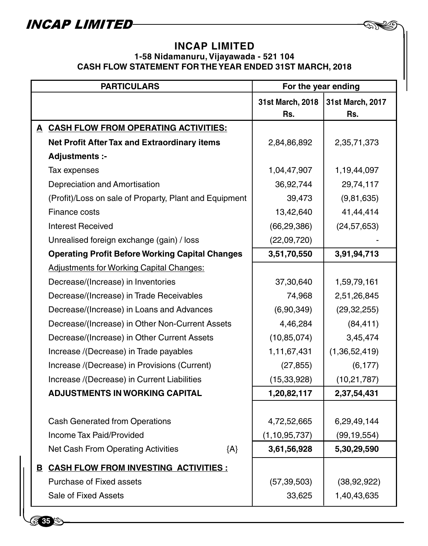**8735** 

### **INCAP LIMITED**

**162** 

### **1-58 Nidamanuru, Vijayawada - 521 104 CASH FLOW STATEMENT FOR THE YEAR ENDED 31ST MARCH, 2018**

| <b>PARTICULARS</b> |                                                        | For the year ending     |                         |  |
|--------------------|--------------------------------------------------------|-------------------------|-------------------------|--|
|                    |                                                        | 31st March, 2018<br>Rs. | 31st March, 2017<br>Rs. |  |
|                    | A CASH FLOW FROM OPERATING ACTIVITIES:                 |                         |                         |  |
|                    | <b>Net Profit After Tax and Extraordinary items</b>    | 2,84,86,892             | 2,35,71,373             |  |
|                    | Adjustments :-                                         |                         |                         |  |
|                    | Tax expenses                                           | 1,04,47,907             | 1,19,44,097             |  |
|                    | Depreciation and Amortisation                          | 36,92,744               | 29,74,117               |  |
|                    | (Profit)/Loss on sale of Proparty, Plant and Equipment | 39,473                  | (9,81,635)              |  |
|                    | Finance costs                                          | 13,42,640               | 41,44,414               |  |
|                    | Interest Received                                      | (66, 29, 386)           | (24, 57, 653)           |  |
|                    | Unrealised foreign exchange (gain) / loss              | (22,09,720)             |                         |  |
|                    | <b>Operating Profit Before Working Capital Changes</b> | 3,51,70,550             | 3,91,94,713             |  |
|                    | <b>Adjustments for Working Capital Changes:</b>        |                         |                         |  |
|                    | Decrease/(Increase) in Inventories                     | 37,30,640               | 1,59,79,161             |  |
|                    | Decrease/(Increase) in Trade Receivables               | 74,968                  | 2,51,26,845             |  |
|                    | Decrease/(Increase) in Loans and Advances              | (6,90,349)              | (29, 32, 255)           |  |
|                    | Decrease/(Increase) in Other Non-Current Assets        | 4,46,284                | (84, 411)               |  |
|                    | Decrease/(Increase) in Other Current Assets            | (10, 85, 074)           | 3,45,474                |  |
|                    | Increase /(Decrease) in Trade payables                 | 1,11,67,431             | (1,36,52,419)           |  |
|                    | Increase /(Decrease) in Provisions (Current)           | (27, 855)               | (6, 177)                |  |
|                    | Increase /(Decrease) in Current Liabilities            | (15, 33, 928)           | (10, 21, 787)           |  |
|                    | <b>ADJUSTMENTS IN WORKING CAPITAL</b>                  | 1,20,82,117             | 2,37,54,431             |  |
|                    |                                                        |                         |                         |  |
|                    | <b>Cash Generated from Operations</b>                  | 4,72,52,665             | 6,29,49,144             |  |
|                    | Income Tax Paid/Provided                               | (1, 10, 95, 737)        | (99, 19, 554)           |  |
|                    | Net Cash From Operating Activities<br>${A}$            | 3,61,56,928             | 5,30,29,590             |  |
|                    | <b>B CASH FLOW FROM INVESTING ACTIVITIES:</b>          |                         |                         |  |
|                    | Purchase of Fixed assets                               | (57, 39, 503)           | (38, 92, 922)           |  |
|                    | Sale of Fixed Assets                                   | 33,625                  | 1,40,43,635             |  |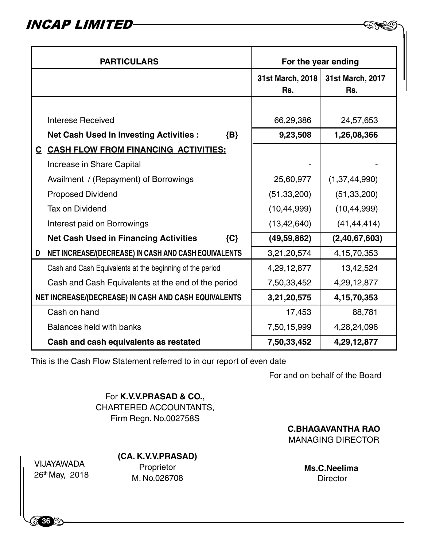| <b>PARTICULARS</b>                                   |                                                          | For the year ending     |                         |  |
|------------------------------------------------------|----------------------------------------------------------|-------------------------|-------------------------|--|
|                                                      |                                                          | 31st March, 2018<br>Rs. | 31st March, 2017<br>Rs. |  |
|                                                      |                                                          |                         |                         |  |
|                                                      | Interese Received                                        | 66,29,386               | 24,57,653               |  |
|                                                      | <b>Net Cash Used In Investing Activities:</b><br>$\{B\}$ | 9,23,508                | 1,26,08,366             |  |
|                                                      | C CASH FLOW FROM FINANCING ACTIVITIES:                   |                         |                         |  |
|                                                      | Increase in Share Capital                                |                         |                         |  |
|                                                      | Availment / (Repayment) of Borrowings                    | 25,60,977               | (1, 37, 44, 990)        |  |
|                                                      | Proposed Dividend                                        | (51, 33, 200)           | (51, 33, 200)           |  |
|                                                      | Tax on Dividend                                          | (10, 44, 999)           | (10, 44, 999)           |  |
|                                                      | Interest paid on Borrowings                              | (13, 42, 640)           | (41, 44, 414)           |  |
|                                                      | <b>Net Cash Used in Financing Activities</b><br>${C}$    | (49, 59, 862)           | (2,40,67,603)           |  |
| D                                                    | NET INCREASE/(DECREASE) IN CASH AND CASH EQUIVALENTS     | 3,21,20,574             | 4, 15, 70, 353          |  |
|                                                      | Cash and Cash Equivalents at the beginning of the period | 4,29,12,877             | 13,42,524               |  |
|                                                      | Cash and Cash Equivalents at the end of the period       | 7,50,33,452             | 4,29,12,877             |  |
| NET INCREASE/(DECREASE) IN CASH AND CASH EQUIVALENTS |                                                          | 3,21,20,575             | 4, 15, 70, 353          |  |
|                                                      | Cash on hand                                             | 17,453                  | 88,781                  |  |
| Balances held with banks                             |                                                          | 7,50,15,999             | 4,28,24,096             |  |
| Cash and cash equivalents as restated                |                                                          | 7,50,33,452             | 4,29,12,877             |  |

This is the Cash Flow Statement referred to in our report of even date

For and on behalf of the Board

 $-$  AND

For **K.V.V.PRASAD & CO.,** CHARTERED ACCOUNTANTS, Firm Regn. No.002758S

**C.BHAGAVANTHA RAO** MANAGING DIRECTOR

VIJAYAWA<br>| 26<sup>th</sup>May, 2<br>| VIJAYAWADA 26th May, 2018

**36**

**(CA. K.V.V.PRASAD)**

Proprietor M. No.026708

**Ms.C.Neelima Director**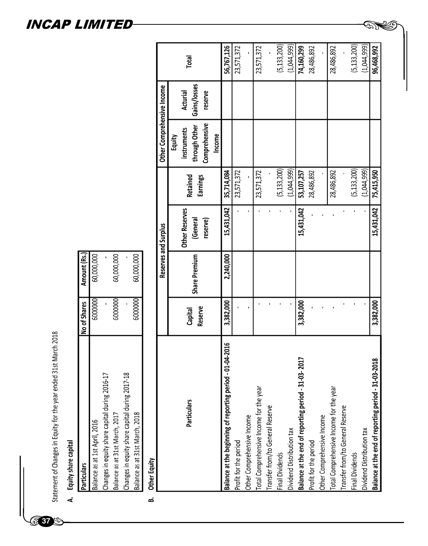Statement of Changes in Equity for the year ended 31st March 2018<br>A. Equity share capital

**37**

E

| <b>Particulars</b>                             | No of Shares | Amount (Rs.) |
|------------------------------------------------|--------------|--------------|
| Balance as at 1st April, 2016                  | 5000000      | 60,000,000   |
| Changes in equity share capital during 2016-17 |              |              |
| Balance as at 31st March, 2017                 | 5000000      | 60,000,000   |
| Changes in equity share capital during 2017-18 |              |              |
| Balance as at 31st March, 2018                 | 6000000      | 60,000,000   |
|                                                |              |              |

Other Equity <u>ය</u>

|                                                           |                |               | Reserves and Surplus  |                 | Other Comprehensive Income |                 |               |
|-----------------------------------------------------------|----------------|---------------|-----------------------|-----------------|----------------------------|-----------------|---------------|
|                                                           |                |               |                       |                 | Equity                     |                 |               |
| Particulars                                               | Capital        |               | <b>Other Reserves</b> | <b>Retained</b> | instruments                | <b>Acturial</b> | Total         |
|                                                           | <b>Reserve</b> | Share Premium | (General              | <b>Earnings</b> | through Other              | Gains/losses    |               |
|                                                           |                |               | reserve)              |                 | Comprehensive              | reserve         |               |
|                                                           |                |               |                       |                 | Income                     |                 |               |
| Balance at the beginning of reporting period - 01-04-2016 | 3,382,000      | 2,240,000     | 15,431,042            | 35,714,084      |                            |                 | 56,767,126    |
| Profit for the period                                     |                |               |                       | 23,571,372      |                            |                 | 23,571,372    |
| Other Comprehensive Income                                |                |               |                       |                 |                            |                 |               |
| Total Comprehensive Income for the year                   |                |               |                       | 23,571,372      |                            |                 | 23,571,372    |
| Transfer from/to General Reserve                          |                |               |                       |                 |                            |                 |               |
| Final Dividends                                           |                |               |                       | (5, 133, 200)   |                            |                 | (5, 133, 200) |
| Dividend Distribution tax                                 |                |               |                       | (1,044,999)     |                            |                 | (1,044,999)   |
| Balance at the end of reporting period - 31-03-2017       | 3,382,000      |               | 15,431,042            | 53,107,257      |                            |                 | 74,160,299    |
| Profit for the period                                     |                |               |                       | 28,486,892      |                            |                 | 28,486,892    |
| Other Comprehensive Income                                |                |               |                       |                 |                            |                 |               |
| Total Comprehensive Income for the year                   |                |               |                       | 28,486,892      |                            |                 | 28,486,892    |
| Transfer from/to General Reserve                          |                |               |                       |                 |                            |                 |               |
| Final Dividends                                           |                |               |                       | (5, 133, 200)   |                            |                 | (5, 133, 200) |
| Dividend Distribution tax                                 |                |               |                       | (1,044,999)     |                            |                 | (1,044,999)   |
| Balance at the end of reporting period - 31-03-2018       | 3,382,000      |               | 15,431,042            | 75,415,950      |                            |                 | 96,468,992    |

**ENS** 

### INCAP LIMITED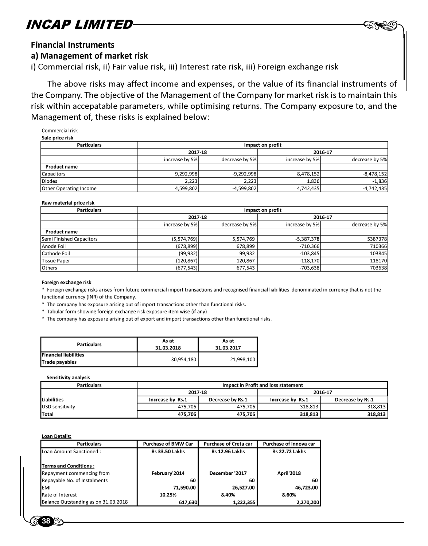

#### Financial Instruments

#### a) Management of market risk

i) Commercial risk, ii) Fair value risk, iii) Interest rate risk, iii) Foreign exchange risk

The above risks may affect income and expenses, or the value of its financial instruments of the Company. The objective of the Management of the Company for market risk is to maintain this risk within accepatable parameters, while optimising returns. The Company exposure to, and the Management of, these risks is explained below:

Commercial risk Sale price risk

| <b>PAID PILES INCH</b>        |                |                |                  |                |
|-------------------------------|----------------|----------------|------------------|----------------|
| <b>Particulars</b>            |                |                | Impact on profit |                |
|                               | 2017-18        |                |                  | 2016-17        |
|                               | increase by 5% | decrease by 5% | increase by 5%   | decrease by 5% |
| <b>Product name</b>           |                |                |                  |                |
| Capacitors                    | 9,292,998      | $-9,292,998$   | 8,478,152        | $-8,478,152$   |
| <b>Diodes</b>                 | 2.223          | 2,223          | 1.836            | $-1,836$       |
| <b>Other Operating Income</b> | 4,599,802      | $-4,599,802$   | 4,742,435        | $-4,742,435$   |

#### Raw material price risk

| <b>Particulars</b>       |                |                | Impact on profit |                |
|--------------------------|----------------|----------------|------------------|----------------|
|                          | 2017-18        |                |                  | 2016-17        |
|                          | increase by 5% | decrease by 5% | increase by 5%   | decrease by 5% |
| <b>Product name</b>      |                |                |                  |                |
| Semi Finished Capacitors | (5,574,769)    | 5,574,769      | $-5,387,378$     | 5387378        |
| Anode Foil               | (678, 899)     | 678,899        | $-710,366$       | 710366         |
| Cathode Foil             | (99, 932)      | 99,932         | $-103,845$       | 103845         |
| <b>Tissue Paper</b>      | (120, 867)     | 120,867        | $-118,170$       | 118170         |
| Others                   | (677, 543)     | 677,543        | $-703,638$       | 703638         |

#### Foreign exchange risk

\* Foreign exchange risks arises from future commercial import transactions and recognised financial liabilities denominated in currency that is not the functional currency (INR) of the Company.

\* The company has exposure arising out of import transactions other than functional risks.

\* Tabular form showing foreign exchange risk exposure item wise (if any)

\* The company has exposure arising out of export and import transactions other than functional risks.

| <b>Particulars</b>                             | As at<br>31.03.2018 | As at<br>31.03.2017 |
|------------------------------------------------|---------------------|---------------------|
| <b>Financial liabilities</b><br>Trade payables | 30,954,180          | 21.998.100          |

#### Sensitivity analysis

| <b>Particulars</b>     |                  |                  | Impact in Profit and loss statement |                  |
|------------------------|------------------|------------------|-------------------------------------|------------------|
|                        | 2017-18          |                  |                                     | 2016-17          |
| Liabilities            | Increase by Rs.1 | Decrease by Rs.1 | Increase by Rs.1                    | Decrease by Rs.1 |
| <b>USD sensitivity</b> | 475,706          | 475,706          | 318,813                             | 318,813          |
| Total                  | 475,706          | 475.706          | 318,813                             | 318,813          |

**Loan Details:** 

| <b>Particulars</b>                   | <b>Purchase of BMW Car</b> | <b>Purchase of Creta car</b> | Purchase of Innova car |
|--------------------------------------|----------------------------|------------------------------|------------------------|
| Loan Amount Sanctioned:              | <b>Rs 33.50 Lakhs</b>      | <b>Rs 12.96 Lakhs</b>        | <b>Rs 22.72 Lakhs</b>  |
| <b>Terms and Conditions:</b>         |                            |                              |                        |
| Repayment commencing from            | February'2014              | December '2017               | <b>April'2018</b>      |
| Repayable No. of Instalments         | 60                         | 60                           | 60                     |
| <b>EMI</b>                           | 71.590.00                  | 26,527.00                    | 46,723.00              |
| Rate of Interest                     | 10.25%                     | 8.40%                        | 8.60%                  |
| Balance Outstanding as on 31.03.2018 | 617,630                    | 1,222,355                    | 2,270,200              |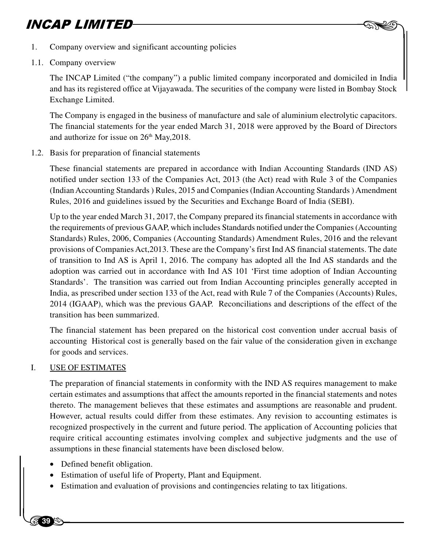

- 1. Company overview and significant accounting policies
- 1.1. Company overview

The INCAP Limited ("the company") a public limited company incorporated and domiciled in India and has its registered office at Vijayawada. The securities of the company were listed in Bombay Stock Exchange Limited.

The Company is engaged in the business of manufacture and sale of aluminium electrolytic capacitors. The financial statements for the year ended March 31, 2018 were approved by the Board of Directors and authorize for issue on  $26<sup>th</sup>$  May,  $2018$ .

1.2. Basis for preparation of financial statements

These financial statements are prepared in accordance with Indian Accounting Standards (IND AS) notified under section 133 of the Companies Act, 2013 (the Act) read with Rule 3 of the Companies (Indian Accounting Standards ) Rules, 2015 and Companies (Indian Accounting Standards ) Amendment Rules, 2016 and guidelines issued by the Securities and Exchange Board of India (SEBI).

Up to the year ended March 31, 2017, the Company prepared its financial statements in accordance with the requirements of previous GAAP, which includes Standards notified under the Companies (Accounting Standards) Rules, 2006, Companies (Accounting Standards) Amendment Rules, 2016 and the relevant provisions of Companies Act,2013. These are the Company's first Ind AS financial statements. The date of transition to Ind AS is April 1, 2016. The company has adopted all the Ind AS standards and the adoption was carried out in accordance with Ind AS 101 'First time adoption of Indian Accounting Standards'. The transition was carried out from Indian Accounting principles generally accepted in India, as prescribed under section 133 of the Act, read with Rule 7 of the Companies (Accounts) Rules, 2014 (IGAAP), which was the previous GAAP. Reconciliations and descriptions of the effect of the transition has been summarized.

The financial statement has been prepared on the historical cost convention under accrual basis of accounting Historical cost is generally based on the fair value of the consideration given in exchange for goods and services.

### I. USE OF ESTIMATES

**87** 39 G

assum<br>
• Def<br>
• Est<br>
• Est The preparation of financial statements in conformity with the IND AS requires management to make certain estimates and assumptions that affect the amounts reported in the financial statements and notes thereto. The management believes that these estimates and assumptions are reasonable and prudent. However, actual results could differ from these estimates. Any revision to accounting estimates is recognized prospectively in the current and future period. The application of Accounting policies that require critical accounting estimates involving complex and subjective judgments and the use of assumptions in these financial statements have been disclosed below.

- Defined benefit obligation.
- Estimation of useful life of Property, Plant and Equipment.
- Estimation and evaluation of provisions and contingencies relating to tax litigations.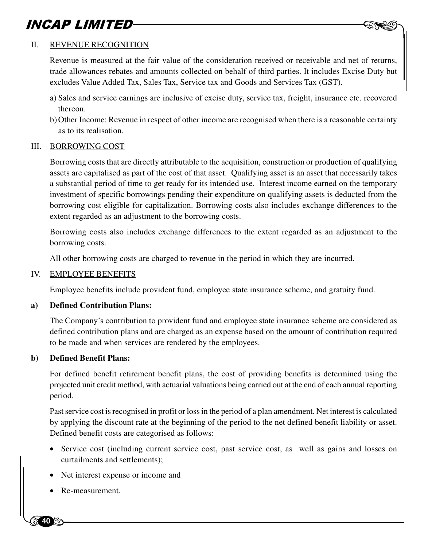### II. REVENUE RECOGNITION

Revenue is measured at the fair value of the consideration received or receivable and net of returns, trade allowances rebates and amounts collected on behalf of third parties. It includes Excise Duty but excludes Value Added Tax, Sales Tax, Service tax and Goods and Services Tax (GST).

 $-$  AND

- a) Sales and service earnings are inclusive of excise duty, service tax, freight, insurance etc. recovered thereon.
- b) Other Income: Revenue in respect of other income are recognised when there is a reasonable certainty as to its realisation.

#### III. BORROWING COST

Borrowing costs that are directly attributable to the acquisition, construction or production of qualifying assets are capitalised as part of the cost of that asset. Qualifying asset is an asset that necessarily takes a substantial period of time to get ready for its intended use. Interest income earned on the temporary investment of specific borrowings pending their expenditure on qualifying assets is deducted from the borrowing cost eligible for capitalization. Borrowing costs also includes exchange differences to the extent regarded as an adjustment to the borrowing costs.

Borrowing costs also includes exchange differences to the extent regarded as an adjustment to the borrowing costs.

All other borrowing costs are charged to revenue in the period in which they are incurred.

### IV. EMPLOYEE BENEFITS

Employee benefits include provident fund, employee state insurance scheme, and gratuity fund.

### **a) Defined Contribution Plans:**

The Company's contribution to provident fund and employee state insurance scheme are considered as defined contribution plans and are charged as an expense based on the amount of contribution required to be made and when services are rendered by the employees.

### **b) Defined Benefit Plans:**

For defined benefit retirement benefit plans, the cost of providing benefits is determined using the projected unit credit method, with actuarial valuations being carried out at the end of each annual reporting period.

Past service cost is recognised in profit or loss in the period of a plan amendment. Net interest is calculated by applying the discount rate at the beginning of the period to the net defined benefit liability or asset. Defined benefit costs are categorised as follows:

- Ser<br>cur<br>• Net<br>• Re-• Service cost (including current service cost, past service cost, as well as gains and losses on curtailments and settlements);
	- Net interest expense or income and
	- Re-measurement.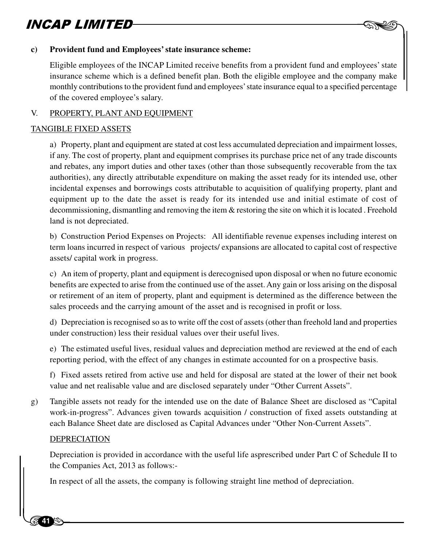

### **c) Provident fund and Employees' state insurance scheme:**

Eligible employees of the INCAP Limited receive benefits from a provident fund and employees' state insurance scheme which is a defined benefit plan. Both the eligible employee and the company make monthly contributions to the provident fund and employees' state insurance equal to a specified percentage of the covered employee's salary.

### V. PROPERTY, PLANT AND EQUIPMENT

### TANGIBLE FIXED ASSETS

a) Property, plant and equipment are stated at cost less accumulated depreciation and impairment losses, if any. The cost of property, plant and equipment comprises its purchase price net of any trade discounts and rebates, any import duties and other taxes (other than those subsequently recoverable from the tax authorities), any directly attributable expenditure on making the asset ready for its intended use, other incidental expenses and borrowings costs attributable to acquisition of qualifying property, plant and equipment up to the date the asset is ready for its intended use and initial estimate of cost of decommissioning, dismantling and removing the item & restoring the site on which it is located . Freehold land is not depreciated.

b) Construction Period Expenses on Projects: All identifiable revenue expenses including interest on term loans incurred in respect of various projects/ expansions are allocated to capital cost of respective assets/ capital work in progress.

c) An item of property, plant and equipment is derecognised upon disposal or when no future economic benefits are expected to arise from the continued use of the asset. Any gain or loss arising on the disposal or retirement of an item of property, plant and equipment is determined as the difference between the sales proceeds and the carrying amount of the asset and is recognised in profit or loss.

d) Depreciation is recognised so as to write off the cost of assets (other than freehold land and properties under construction) less their residual values over their useful lives.

e) The estimated useful lives, residual values and depreciation method are reviewed at the end of each reporting period, with the effect of any changes in estimate accounted for on a prospective basis.

f) Fixed assets retired from active use and held for disposal are stated at the lower of their net book value and net realisable value and are disclosed separately under "Other Current Assets".

g) Tangible assets not ready for the intended use on the date of Balance Sheet are disclosed as "Capital work-in-progress". Advances given towards acquisition / construction of fixed assets outstanding at each Balance Sheet date are disclosed as Capital Advances under "Other Non-Current Assets".

### DEPRECIATION

**541**%

Depreces<br>the Co<br>In resp Depreciation is provided in accordance with the useful life asprescribed under Part C of Schedule II to the Companies Act, 2013 as follows:-

In respect of all the assets, the company is following straight line method of depreciation.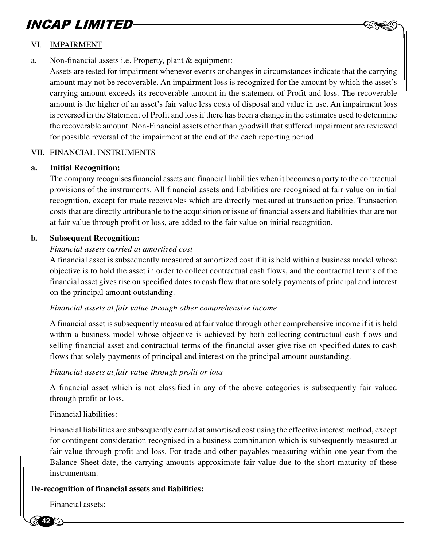

### VI. IMPAIRMENT

a. Non-financial assets i.e. Property, plant & equipment:

Assets are tested for impairment whenever events or changes in circumstances indicate that the carrying amount may not be recoverable. An impairment loss is recognized for the amount by which the asset's carrying amount exceeds its recoverable amount in the statement of Profit and loss. The recoverable amount is the higher of an asset's fair value less costs of disposal and value in use. An impairment loss is reversed in the Statement of Profit and loss if there has been a change in the estimates used to determine the recoverable amount. Non-Financial assets other than goodwill that suffered impairment are reviewed for possible reversal of the impairment at the end of the each reporting period.

### VII. FINANCIAL INSTRUMENTS

### **a. Initial Recognition:**

The company recognises financial assets and financial liabilities when it becomes a party to the contractual provisions of the instruments. All financial assets and liabilities are recognised at fair value on initial recognition, except for trade receivables which are directly measured at transaction price. Transaction costs that are directly attributable to the acquisition or issue of financial assets and liabilities that are not at fair value through profit or loss, are added to the fair value on initial recognition.

### **b. Subsequent Recognition:**

### *Financial assets carried at amortized cost*

A financial asset is subsequently measured at amortized cost if it is held within a business model whose objective is to hold the asset in order to collect contractual cash flows, and the contractual terms of the financial asset gives rise on specified dates to cash flow that are solely payments of principal and interest on the principal amount outstanding.

### *Financial assets at fair value through other comprehensive income*

A financial asset is subsequently measured at fair value through other comprehensive income if it is held within a business model whose objective is achieved by both collecting contractual cash flows and selling financial asset and contractual terms of the financial asset give rise on specified dates to cash flows that solely payments of principal and interest on the principal amount outstanding.

### *Financial assets at fair value through profit or loss*

A financial asset which is not classified in any of the above categories is subsequently fair valued through profit or loss.

### Financial liabilities:

For comingent consideration recognised in a<br>fair value through profit and loss. For trade<br>Balance Sheet date, the carrying amounts ap<br>instrumentsm.<br>**De-recognition of financial assets and liabilities:** Financial liabilities are subsequently carried at amortised cost using the effective interest method, except for contingent consideration recognised in a business combination which is subsequently measured at fair value through profit and loss. For trade and other payables measuring within one year from the Balance Sheet date, the carrying amounts approximate fair value due to the short maturity of these instrumentsm.

Financial assets: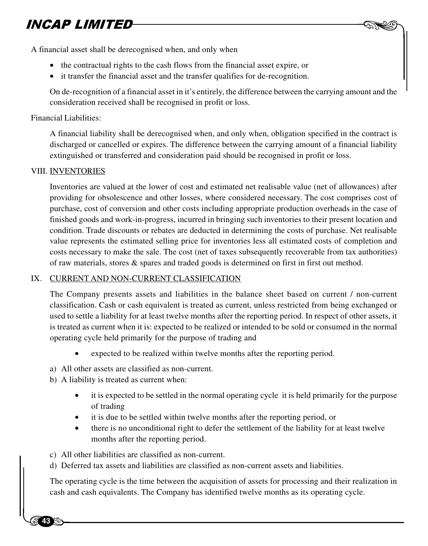

- the contractual rights to the cash flows from the financial asset expire, or
- it transfer the financial asset and the transfer qualifies for de-recognition.

On de-recognition of a financial asset in it's entirely, the difference between the carrying amount and the consideration received shall be recognised in profit or loss.

 $-$  AND

#### Financial Liabilities:

A financial liability shall be derecognised when, and only when, obligation specified in the contract is discharged or cancelled or expires. The difference between the carrying amount of a financial liability extinguished or transferred and consideration paid should be recognised in profit or loss.

#### VIII. INVENTORIES

**13 4** 

Inventories are valued at the lower of cost and estimated net realisable value (net of allowances) after providing for obsolescence and other losses, where considered necessary. The cost comprises cost of purchase, cost of conversion and other costs including appropriate production overheads in the case of finished goods and work-in-progress, incurred in bringing such inventories to their present location and condition. Trade discounts or rebates are deducted in determining the costs of purchase. Net realisable value represents the estimated selling price for inventories less all estimated costs of completion and costs necessary to make the sale. The cost (net of taxes subsequently recoverable from tax authorities) of raw materials, stores & spares and traded goods is determined on first in first out method.

### IX. CURRENT AND NON-CURRENT CLASSIFICATION

The Company presents assets and liabilities in the balance sheet based on current / non-current classification. Cash or cash equivalent is treated as current, unless restricted from being exchanged or used to settle a liability for at least twelve months after the reporting period. In respect of other assets, it is treated as current when it is: expected to be realized or intended to be sold or consumed in the normal operating cycle held primarily for the purpose of trading and

- expected to be realized within twelve months after the reporting period.
- a) All other assets are classified as non-current.
- b) A liability is treated as current when:
	- it is expected to be settled in the normal operating cycle it is held primarily for the purpose of trading
	- it is due to be settled within twelve months after the reporting period, or
	- there is no unconditional right to defer the settlement of the liability for at least twelve months after the reporting period.
- c) All other liabilities are classified as non-current.
- d) Deferred tax assets and liabilities are classified as non-current assets and liabilities.

c) All<br>d) Def<br>The op<br>cash at The operating cycle is the time between the acquisition of assets for processing and their realization in cash and cash equivalents. The Company has identified twelve months as its operating cycle.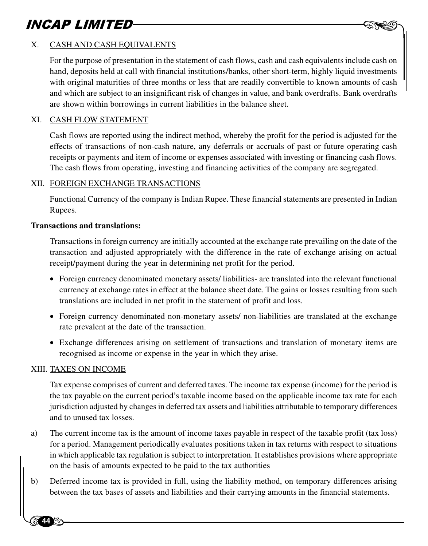

### X. CASH AND CASH EQUIVALENTS

For the purpose of presentation in the statement of cash flows, cash and cash equivalents include cash on hand, deposits held at call with financial institutions/banks, other short-term, highly liquid investments with original maturities of three months or less that are readily convertible to known amounts of cash and which are subject to an insignificant risk of changes in value, and bank overdrafts. Bank overdrafts are shown within borrowings in current liabilities in the balance sheet.

### XI. CASH FLOW STATEMENT

Cash flows are reported using the indirect method, whereby the profit for the period is adjusted for the effects of transactions of non-cash nature, any deferrals or accruals of past or future operating cash receipts or payments and item of income or expenses associated with investing or financing cash flows. The cash flows from operating, investing and financing activities of the company are segregated.

#### XII. FOREIGN EXCHANGE TRANSACTIONS

Functional Currency of the company is Indian Rupee. These financial statements are presented in Indian Rupees.

#### **Transactions and translations:**

Transactions in foreign currency are initially accounted at the exchange rate prevailing on the date of the transaction and adjusted appropriately with the difference in the rate of exchange arising on actual receipt/payment during the year in determining net profit for the period.

- Foreign currency denominated monetary assets/ liabilities- are translated into the relevant functional currency at exchange rates in effect at the balance sheet date. The gains or losses resulting from such translations are included in net profit in the statement of profit and loss.
- Foreign currency denominated non-monetary assets/ non-liabilities are translated at the exchange rate prevalent at the date of the transaction.
- Exchange differences arising on settlement of transactions and translation of monetary items are recognised as income or expense in the year in which they arise.

#### XIII. TAXES ON INCOME

**44**

Tax expense comprises of current and deferred taxes. The income tax expense (income) for the period is the tax payable on the current period's taxable income based on the applicable income tax rate for each jurisdiction adjusted by changes in deferred tax assets and liabilities attributable to temporary differences and to unused tax losses.

- for a point<br>
in which<br>
on the<br>
b) Deferro<br>
between a) The current income tax is the amount of income taxes payable in respect of the taxable profit (tax loss) for a period. Management periodically evaluates positions taken in tax returns with respect to situations in which applicable tax regulation is subject to interpretation. It establishes provisions where appropriate on the basis of amounts expected to be paid to the tax authorities
	- b) Deferred income tax is provided in full, using the liability method, on temporary differences arising between the tax bases of assets and liabilities and their carrying amounts in the financial statements.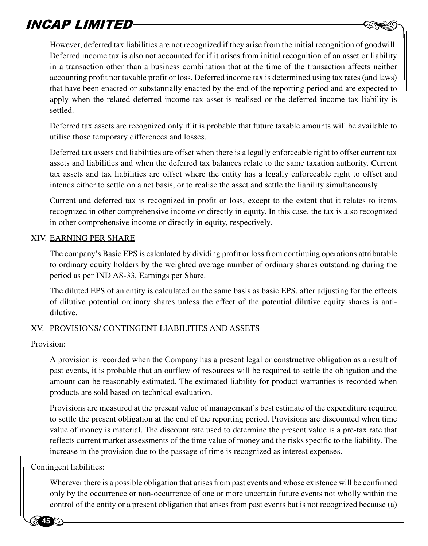**EXTED**<br>Bowever, deferred tax liabilities are not recognized if they arise from the initial recognition of goodwill. Deferred income tax is also not accounted for if it arises from initial recognition of an asset or liability in a transaction other than a business combination that at the time of the transaction affects neither accounting profit nor taxable profit or loss. Deferred income tax is determined using tax rates (and laws) that have been enacted or substantially enacted by the end of the reporting period and are expected to apply when the related deferred income tax asset is realised or the deferred income tax liability is settled.

Deferred tax assets are recognized only if it is probable that future taxable amounts will be available to utilise those temporary differences and losses.

Deferred tax assets and liabilities are offset when there is a legally enforceable right to offset current tax assets and liabilities and when the deferred tax balances relate to the same taxation authority. Current tax assets and tax liabilities are offset where the entity has a legally enforceable right to offset and intends either to settle on a net basis, or to realise the asset and settle the liability simultaneously.

Current and deferred tax is recognized in profit or loss, except to the extent that it relates to items recognized in other comprehensive income or directly in equity. In this case, the tax is also recognized in other comprehensive income or directly in equity, respectively.

### XIV. EARNING PER SHARE

The company's Basic EPS is calculated by dividing profit or loss from continuing operations attributable to ordinary equity holders by the weighted average number of ordinary shares outstanding during the period as per IND AS-33, Earnings per Share.

The diluted EPS of an entity is calculated on the same basis as basic EPS, after adjusting for the effects of dilutive potential ordinary shares unless the effect of the potential dilutive equity shares is antidilutive.

### XV. PROVISIONS/ CONTINGENT LIABILITIES AND ASSETS

Provision:

A provision is recorded when the Company has a present legal or constructive obligation as a result of past events, it is probable that an outflow of resources will be required to settle the obligation and the amount can be reasonably estimated. The estimated liability for product warranties is recorded when products are sold based on technical evaluation.

Provisions are measured at the present value of management's best estimate of the expenditure required to settle the present obligation at the end of the reporting period. Provisions are discounted when time value of money is material. The discount rate used to determine the present value is a pre-tax rate that reflects current market assessments of the time value of money and the risks specific to the liability. The increase in the provision due to the passage of time is recognized as interest expenses.

France<br>
increas<br>
Contingent l<br>
Where<br>
only by Contingent liabilities:

**45**

Wherever there is a possible obligation that arises from past events and whose existence will be confirmed only by the occurrence or non-occurrence of one or more uncertain future events not wholly within the control of the entity or a present obligation that arises from past events but is not recognized because (a)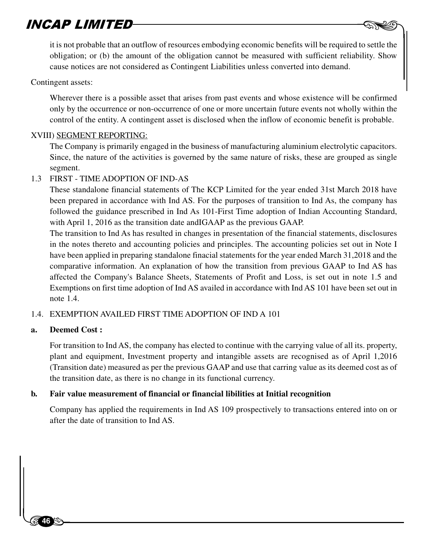**EIMITED**<br>it is not probable that an outflow of resources embodying economic benefits will be required to settle the obligation; or (b) the amount of the obligation cannot be measured with sufficient reliability. Show cause notices are not considered as Contingent Liabilities unless converted into demand.

### Contingent assets:

Wherever there is a possible asset that arises from past events and whose existence will be confirmed only by the occurrence or non-occurrence of one or more uncertain future events not wholly within the control of the entity. A contingent asset is disclosed when the inflow of economic benefit is probable.

### XVIII) SEGMENT REPORTING:

The Company is primarily engaged in the business of manufacturing aluminium electrolytic capacitors. Since, the nature of the activities is governed by the same nature of risks, these are grouped as single segment.

### 1.3 FIRST - TIME ADOPTION OF IND-AS

These standalone financial statements of The KCP Limited for the year ended 31st March 2018 have been prepared in accordance with Ind AS. For the purposes of transition to Ind As, the company has followed the guidance prescribed in Ind As 101-First Time adoption of Indian Accounting Standard, with April 1, 2016 as the transition date andIGAAP as the previous GAAP.

The transition to Ind As has resulted in changes in presentation of the financial statements, disclosures in the notes thereto and accounting policies and principles. The accounting policies set out in Note I have been applied in preparing standalone finacial statements for the year ended March 31,2018 and the comparative information. An explanation of how the transition from previous GAAP to Ind AS has affected the Company's Balance Sheets, Statements of Profit and Loss, is set out in note 1.5 and Exemptions on first time adoption of Ind AS availed in accordance with Ind AS 101 have been set out in note 1.4.

### 1.4. EXEMPTION AVAILED FIRST TIME ADOPTION OF IND A 101

### **a. Deemed Cost :**

 $\begin{bmatrix} 1 & 1 \\ 1 & 1 \end{bmatrix}$ 

**46**

For transition to Ind AS, the company has elected to continue with the carrying value of all its. property, plant and equipment, Investment property and intangible assets are recognised as of April 1,2016 (Transition date) measured as per the previous GAAP and use that carring value as its deemed cost as of the transition date, as there is no change in its functional currency.

### **b. Fair value measurement of financial or financial libilities at Initial recognition**

Company has applied the requirements in Ind AS 109 prospectively to transactions entered into on or after the date of transition to Ind AS.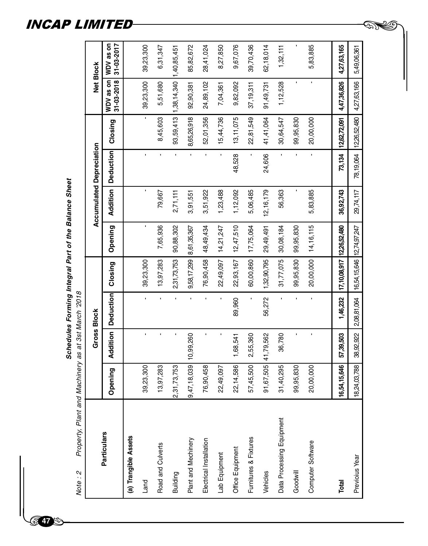Schedules Forming Integral Part of the Balance Sheet **Schedules Forming Integral Part of the Balance Sheet** Property, Plant and Machinery as at 3st March '2018 Note : 2 Property, Plant and Machinery as at 3st March '2018 $\begin{bmatrix} 1 & 1 \\ 1 & 1 \end{bmatrix}$ 

Note: 2

**47**

WDV as on<br>31-03-2017 6,31,347 1,32,111 **Particulars Gross Block Opening Addition Deduction Closing Accumulated Depreciation Opening Addition Deduction Closing Net Block WDV as on 31-03-2018 WDV as on 31-03-2017 (a) Trangible Assets** 85,82,672 9,67,076 39,70,436 62,18,014 39,23,300 Land 39,23,300 - - 39,23,300 - - - - 39,23,300 39,23,300 Road and Culverts - - - - - 13,97,283 | 7,65,936 | 7,65,936 | 7,65,936 | 7,68,936 | 7,680 5,51,880 | 6,31,680 6,31,680 | 6,31,680 | 6,31,680 | 6,31,680 | 6,31,680 | 6,31,680 | 6,31,680 | 6,31,680 | 6,31,680 | 6,31,680 | 6, 93,59,413 1,38,14,340 1,40,85,451 Plant and Mechinery 9,47,18,039 10,99,260 - 9,58,17,299 8,61,35,367 3,91,551 - 8,65,26,918 92,90,381 85,82,672 28,41,024 Electrical Installation 76.901,024 - - - - - - 76,90,458 48,49,434 3,51,922 - - - - - - - 52,01,956 24,031,024 28,41,024 28,41,024 8,27,850 Lab Equipment 22,49,097 - 22,49,097 14,21,247 14,21,247 14,21,247 | 12,3488 | 15,44,736 | 15,44,736 | 8,27,850 Office Equipment 22,14,586 1,68,541 89,960 22,93,167 12,47,510 1,12,092 48,528 13,11,075 9,82,092 9,67,076 Furnitures & Fixtures 57,45,500 2,55,360 - 60,00,860 17,75,064 5,06,485 - 22,81,549 37,19,311 39,70,436 Vehicles 91,67,505 41,79,562 56,272 1,32,90,795 29,49,491 12,16,179 24,606 41,41,064 91,49,731 62,18,014 Goodwill 99,95,830 - - 99,95,830 99,95,830 - - 99,95,830 - - 5,83,885 Computer Software 20,00,000 - - 20,00,000 14,16,115 5,83,885 - 20,00,000 - 5,83,885 4,27,63,165 Total 16,54,15,646 57,39,503 | 1,46,232 |17,10,08,917 |12,26,52,480 | 36,92,743 | 73,134 |12,62,72,091 | 4,47,36,826 | 4,27,63,165 Building 2,31,73,753 - - 2,31,73,753 90,88,302 2,71,111 - 93,59,413 1,38,14,340 1,40,85,451 Data Processing Equipment | 31,40,295 | 36,780 | 36,780 | 36,780 | 56,363 | 30,64,547 | 1,2,528 | 1,32,111 5,49,06,361 Net Block WDV as on<br>31-03-2018 39,23,300 5,51,680 24,89,102 7,04,361 4,47,36,826 4,27,63,166 92,90,381 37,19,311 91,49,731 1,12,528 9,82,092 8,45,603 8,65,26,918 52,01,356 15,44,736 13, 11, 075 22,81,549 41,41,064 12,62,72,091 12,26,52,480 30,64,547 99,95,830 20,00,000 Closing **Accumulated Depreciation Deduction** 48,528 24,606 73,134  $\overline{\phantom{a}}$ 78,19,064 Addition 79,667  $2,71,111$ 3,91,551 1,23,488 56,363 29,74,117 3,51,922 1,12,092 12, 16, 179 5,83,885 36,92,743 5,06,485 14, 16, 115 7,65,936 90,88,302  $12,47,510$ 29,49,491 16,54,15,646 12,74,97,247 Opening 9,58,17,299 8,61,35,367 48,49,434 14,21,247 17,75,064 30,08,184 99,95,830 17,10,08,917 12,26,52,480 76,90,458 22,49,097 22,93,167 13,97,283 2,31,73,753 60,00,860 1,32,90,795 31,77,075 99,95,830 20,00,000 Closing 39,23,300 **Deduction** 56,272 89,960 1,46,232 2,08,81,064 Gross Block **Addition** 38,92,922 36,780 9,47, 18, 039 10, 99, 260 1,68,541 2,55,360 91,67,505 41,79,562 57,39,503 22,14,586 57,45,500 16,54,15,646 18,24,03,788 13,97,283 2,31,73,753 76,90,458 22,49,097 31,40,295 99,95,830 20,00,000 39,23,300 Opening Data Processing Equipment **Particulars** (a) Trangible Assets Furnitures & Fixtures Plant and Mechinery Electrical Installation Computer Software Road and Culverts Office Equipment Lab Equipment Previoius Year Vehicles Goodwill Building Land Total

**GNS 5** 

Previoius Year 18,24,03,788 38,92,922 2,08,81,064 16,54,15,646 12,74,97,247 29,74,117 78,19,064 12,26,52,480 4,27,63,166 5,49,06,361

### INCAP LIMITED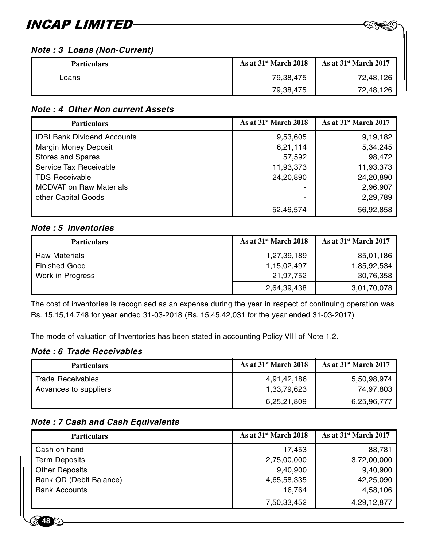### **Note : 3 Loans (Non-Current)**

| <b>Particulars</b> | As at $31st$ March 2018 | As at $31st$ March 2017 |
|--------------------|-------------------------|-------------------------|
| _oans              | 79,38,475               | 72.48.126               |
|                    | 79,38,475               | 72,48,126               |

 $-$  AND

### **Note : 4 Other Non current Assets**

| <b>Particulars</b>                 | As at 31 <sup>st</sup> March 2018 | As at 31 <sup>st</sup> March 2017 |
|------------------------------------|-----------------------------------|-----------------------------------|
| <b>IDBI Bank Dividend Accounts</b> | 9,53,605                          | 9,19,182                          |
| Margin Money Deposit               | 6,21,114                          | 5,34,245                          |
| <b>Stores and Spares</b>           | 57,592                            | 98,472                            |
| Service Tax Receivable             | 11,93,373                         | 11,93,373                         |
| <b>TDS Receivable</b>              | 24,20,890                         | 24,20,890                         |
| <b>MODVAT on Raw Materials</b>     |                                   | 2,96,907                          |
| other Capital Goods                | -                                 | 2,29,789                          |
|                                    | 52,46,574                         | 56,92,858                         |

### **Note : 5 Inventories**

| <b>Particulars</b>   | As at $31st$ March 2018 | As at $31st$ March 2017 |
|----------------------|-------------------------|-------------------------|
| <b>Raw Materials</b> | 1,27,39,189             | 85,01,186               |
| <b>Finished Good</b> | 1,15,02,497             | 1,85,92,534             |
| Work in Progress     | 21.97.752               | 30,76,358               |
|                      | 2,64,39,438             | 3,01,70,078             |

The cost of inventories is recognised as an expense during the year in respect of continuing operation was Rs. 15,15,14,748 for year ended 31-03-2018 (Rs. 15,45,42,031 for the year ended 31-03-2017)

The mode of valuation of Inventories has been stated in accounting Policy VIII of Note 1.2.

### **Note : 6 Trade Receivables**

**48**

| <b>Particulars</b>    | As at $31st$ March 2018 | As at $31st$ March 2017 |
|-----------------------|-------------------------|-------------------------|
| Trade Receivables     | 4,91,42,186             | 5,50,98,974             |
| Advances to suppliers | 1,33,79,623             | 74.97.803               |
|                       | 6,25,21,809             | 6,25,96,777             |

### **Note : 7 Cash and Cash Equivalents**

| <b>Particulars</b>      | As at $31st$ March 2018 | As at $31st$ March 2017 |
|-------------------------|-------------------------|-------------------------|
| Cash on hand            | 17.453                  | 88,781                  |
| <b>Term Deposits</b>    | 2,75,00,000             | 3,72,00,000             |
| <b>Other Deposits</b>   | 9,40,900                | 9,40,900                |
| Bank OD (Debit Balance) | 4,65,58,335             | 42,25,090               |
| <b>Bank Accounts</b>    | 16.764                  | 4,58,106                |
|                         | 7,50,33,452             | 4,29,12,877             |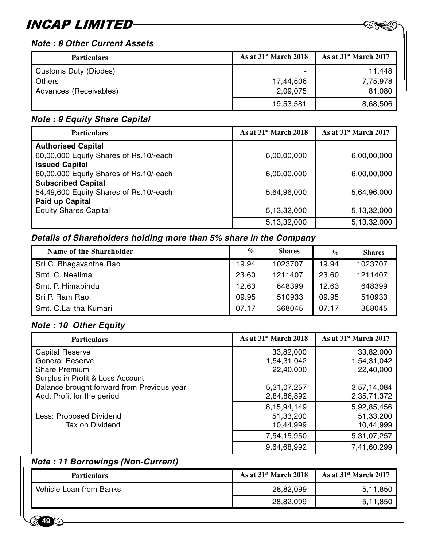### **Note : 8 Other Current Assets**

| <b>Particulars</b>     | As at $31st$ March 2018 | As at $31st$ March 2017 |
|------------------------|-------------------------|-------------------------|
| Customs Duty (Diodes)  | -                       | 11.448                  |
| Others                 | 17,44,506               | 7,75,978                |
| Advances (Receivables) | 2.09.075                | 81,080                  |
|                        | 19,53,581               | 8,68,506                |

 $-$  AND

### **Note : 9 Equity Share Capital**

| <b>Particulars</b>                     | As at $31st$ March 2018 | As at $31st$ March 2017 |
|----------------------------------------|-------------------------|-------------------------|
| <b>Authorised Capital</b>              |                         |                         |
| 60,00,000 Equity Shares of Rs.10/-each | 6,00,00,000             | 6,00,00,000             |
| <b>Issued Capital</b>                  |                         |                         |
| 60,00,000 Equity Shares of Rs.10/-each | 6,00,00,000             | 6,00,00,000             |
| <b>Subscribed Capital</b>              |                         |                         |
| 54,49,600 Equity Shares of Rs.10/-each | 5,64,96,000             | 5,64,96,000             |
| Paid up Capital                        |                         |                         |
| <b>Equity Shares Capital</b>           | 5,13,32,000             | 5,13,32,000             |
|                                        | 5,13,32,000             | 5,13,32,000             |

### **Details of Shareholders holding more than 5% share in the Company**

| Name of the Shareholder | $\%$  | <b>Shares</b> | $\%$  | <b>Shares</b> |
|-------------------------|-------|---------------|-------|---------------|
| Sri C. Bhagavantha Rao  | 19.94 | 1023707       | 19.94 | 1023707       |
| Smt. C. Neelima         | 23.60 | 1211407       | 23.60 | 1211407       |
| Smt. P. Himabindu       | 12.63 | 648399        | 12.63 | 648399        |
| Sri P. Ram Rao          | 09.95 | 510933        | 09.95 | 510933        |
| Smt. C.Lalitha Kumari   | 07.17 | 368045        | 07.17 | 368045        |

### **Note : 10 Other Equity**

| <b>Particulars</b>                         | As at $31st$ March 2018 | As at $31st$ March 2017 |
|--------------------------------------------|-------------------------|-------------------------|
| Capital Reserve                            | 33,82,000               | 33,82,000               |
| <b>General Reserve</b>                     | 1,54,31,042             | 1,54,31,042             |
| Share Premium                              | 22,40,000               | 22,40,000               |
| Surplus in Profit & Loss Account           |                         |                         |
| Balance brought forward from Previous year | 5,31,07,257             | 3,57,14,084             |
| Add. Profit for the period                 | 2,84,86,892             | 2,35,71,372             |
|                                            | 8,15,94,149             | 5,92,85,456             |
| Less: Proposed Dividend                    | 51,33,200               | 51,33,200               |
| Tax on Dividend                            | 10,44,999               | 10,44,999               |
|                                            | 7,54,15,950             | 5,31,07,257             |
|                                            | 9,64,68,992             | 7,41,60,299             |

### **Note : 11 Borrowings (Non-Current)**

|                                          | 9,64,68,992             | 7,41,60,299                       |
|------------------------------------------|-------------------------|-----------------------------------|
| <b>Note: 11 Borrowings (Non-Current)</b> |                         |                                   |
| <b>Particulars</b>                       | As at $31st$ March 2018 | As at $31^{\text{st}}$ March 2017 |
| Vehicle Loan from Banks                  | 28,82,099               | 5,11,850                          |
|                                          | 28,82,099               | 5,11,850                          |

**49**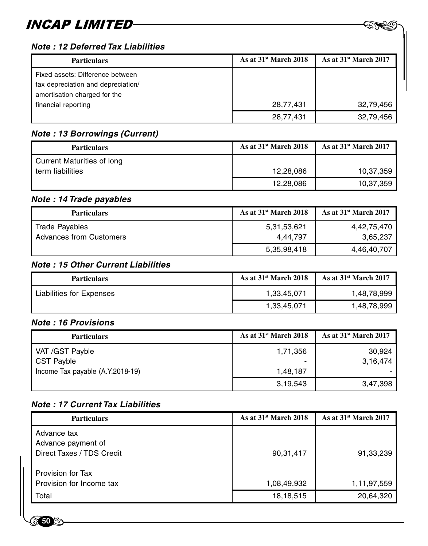### **Note : 12 Deferred Tax Liabilities**

| <b>Particulars</b>                 | As at $31st$ March 2018 | As at $31st$ March 2017 |
|------------------------------------|-------------------------|-------------------------|
| Fixed assets: Difference between   |                         |                         |
| tax depreciation and depreciation/ |                         |                         |
| amortisation charged for the       |                         |                         |
| financial reporting                | 28,77,431               | 32,79,456               |
|                                    | 28,77,431               | 32,79,456               |

### **Note : 13 Borrowings (Current)**

| <b>Particulars</b>         | As at $31st$ March 2018 | As at $31st$ March 2017 |
|----------------------------|-------------------------|-------------------------|
| Current Maturities of long |                         |                         |
| term liabilities           | 12.28.086               | 10,37,359               |
|                            | 12,28,086               | 10,37,359               |

### **Note : 14 Trade payables**

| <b>Particulars</b>                               | As at $31st$ March 2018 | As at $31st$ March 2017 |
|--------------------------------------------------|-------------------------|-------------------------|
| Trade Payables<br><b>Advances from Customers</b> | 5,31,53,621<br>4.44.797 | 4.42.75.470<br>3,65,237 |
|                                                  | 5,35,98,418             | 4,46,40,707             |

### **Note : 15 Other Current Liabilities**

| <b>Particulars</b>       | As at $31st$ March 2018 | As at $31st$ March 2017 |
|--------------------------|-------------------------|-------------------------|
| Liabilities for Expenses | 1,33,45,071             | 1,48,78,999             |
|                          | 1,33,45,071             | 1,48,78,999             |

### **Note : 16 Provisions**

**50**

| <b>Particulars</b>               | As at $31st$ March 2018 | As at $31st$ March 2017 |
|----------------------------------|-------------------------|-------------------------|
| VAT /GST Payble                  | 1,71,356                | 30.924                  |
| <b>CST Payble</b>                |                         | 3.16.474                |
| Income Tax payable (A.Y.2018-19) | 1.48.187                |                         |
|                                  | 3,19,543                | 3.47.398                |

### **Note : 17 Current Tax Liabilities**

| <b>Particulars</b>                                             | As at $31st$ March 2018 | As at $31st$ March 2017 |
|----------------------------------------------------------------|-------------------------|-------------------------|
| Advance tax<br>Advance payment of<br>Direct Taxes / TDS Credit | 90,31,417               | 91,33,239               |
| Provision for Tax<br>Provision for Income tax                  | 1.08.49.932             | 1,11,97,559             |
| Total                                                          | 18, 18, 515             | 20,64,320               |

 $-$  AND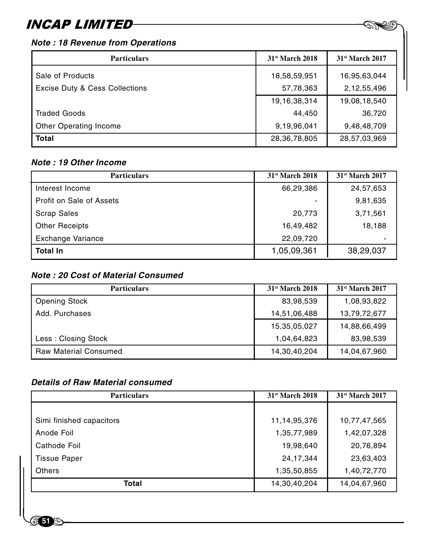### **Note : 18 Revenue from Operations**

| <b>Particulars</b>                        | $31st$ March 2018 | $31st$ March 2017 |
|-------------------------------------------|-------------------|-------------------|
| Sale of Products                          | 18,58,59,951      | 16,95,63,044      |
| <b>Excise Duty &amp; Cess Collections</b> | 57,78,363         | 2,12,55,496       |
|                                           | 19, 16, 38, 314   | 19,08,18,540      |
| <b>Traded Goods</b>                       | 44,450            | 36,720            |
| Other Operating Income                    | 9,19,96,041       | 9,48,48,709       |
| <b>Total</b>                              | 28,36,78,805      | 28,57,03,969      |

 $-$  AND

### **Note : 19 Other Income**

| <b>Particulars</b>       | $31st$ March 2018 | 31 <sup>st</sup> March 2017 |
|--------------------------|-------------------|-----------------------------|
| Interest Income          | 66,29,386         | 24,57,653                   |
| Profit on Sale of Assets |                   | 9,81,635                    |
| <b>Scrap Sales</b>       | 20,773            | 3,71,561                    |
| <b>Other Receipts</b>    | 16,49,482         | 18,188                      |
| Exchange Variance        | 22,09,720         |                             |
| <b>Total In</b>          | 1,05,09,361       | 38,29,037                   |

### **Note : 20 Cost of Material Consumed**

| <b>Particulars</b>           | $31st$ March 2018 | 31 <sup>st</sup> March 2017 |
|------------------------------|-------------------|-----------------------------|
| <b>Opening Stock</b>         | 83,98,539         | 1,08,93,822                 |
| Add. Purchases               | 14,51,06,488      | 13,79,72,677                |
|                              | 15,35,05,027      | 14,88,66,499                |
| Less: Closing Stock          | 1,04,64,823       | 83,98,539                   |
| <b>Raw Material Consumed</b> | 14,30,40,204      | 14,04,67,960                |

### **Details of Raw Material consumed**

| <b>Particulars</b>       | $31st$ March 2018 | 31 <sup>st</sup> March 2017 |
|--------------------------|-------------------|-----------------------------|
|                          |                   |                             |
| Simi finished capacitors | 11,14,95,376      | 10,77,47,565                |
| Anode Foil               | 1,35,77,989       | 1,42,07,328                 |
| Cathode Foil             | 19,98,640         | 20,76,894                   |
| <b>Tissue Paper</b>      | 24, 17, 344       | 23,63,403                   |
| Others                   | 1,35,50,855       | 1,40,72,770                 |
| Total                    | 14,30,40,204      | 14,04,67,960                |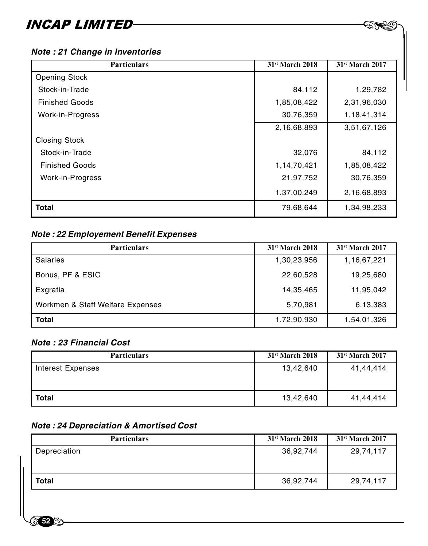| <b>Particulars</b>    | 31 <sup>st</sup> March 2018 | 31 <sup>st</sup> March 2017 |
|-----------------------|-----------------------------|-----------------------------|
| <b>Opening Stock</b>  |                             |                             |
| Stock-in-Trade        | 84,112                      | 1,29,782                    |
| <b>Finished Goods</b> | 1,85,08,422                 | 2,31,96,030                 |
| Work-in-Progress      | 30,76,359                   | 1,18,41,314                 |
|                       | 2,16,68,893                 | 3,51,67,126                 |
| <b>Closing Stock</b>  |                             |                             |
| Stock-in-Trade        | 32,076                      | 84,112                      |
| <b>Finished Goods</b> | 1,14,70,421                 | 1,85,08,422                 |
| Work-in-Progress      | 21,97,752                   | 30,76,359                   |
|                       | 1,37,00,249                 | 2,16,68,893                 |
| <b>Total</b>          | 79,68,644                   | 1,34,98,233                 |

 $-$  AND

### **Note : 21 Change in Inventories**

### **Note : 22 Employement Benefit Expenses**

| <b>Particulars</b>               | 31 <sup>st</sup> March 2018 | 31 <sup>st</sup> March 2017 |
|----------------------------------|-----------------------------|-----------------------------|
| Salaries                         | 1,30,23,956                 | 1,16,67,221                 |
| Bonus, PF & ESIC                 | 22,60,528                   | 19,25,680                   |
| Exgratia                         | 14,35,465                   | 11,95,042                   |
| Workmen & Staff Welfare Expenses | 5,70,981                    | 6,13,383                    |
| <b>Total</b>                     | 1,72,90,930                 | 1,54,01,326                 |

### **Note : 23 Financial Cost**

**52**

| <b>Particulars</b> | $31st$ March 2018 | $31st$ March 2017 |
|--------------------|-------------------|-------------------|
| Interest Expenses  | 13,42,640         | 41,44,414         |
| <b>Total</b>       | 13,42,640         | 41,44,414         |

### **Note : 24 Depreciation & Amortised Cost**

| <b>Particulars</b> | $31st$ March 2018 | $31st$ March 2017 |
|--------------------|-------------------|-------------------|
| Depreciation       | 36,92,744         | 29,74,117         |
| Total              | 36,92,744         | 29,74,117         |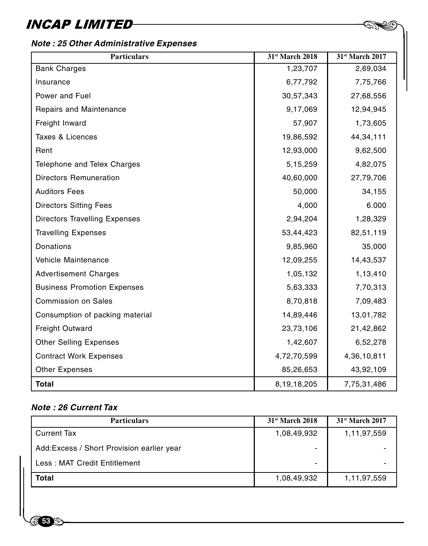### **Note : 25 Other Administrative Expenses**

| <b>Particulars</b>                   | 31st March 2018 | 31st March 2017 |
|--------------------------------------|-----------------|-----------------|
| <b>Bank Charges</b>                  | 1,23,707        | 2,69,034        |
| Insurance                            | 6,77,792        | 7,75,766        |
| Power and Fuel                       | 30,57,343       | 27,68,556       |
| Repairs and Maintenance              | 9,17,069        | 12,94,945       |
| Freight Inward                       | 57,907          | 1,73,605        |
| Taxes & Licences                     | 19,86,592       | 44,34,111       |
| Rent                                 | 12,93,000       | 9,62,500        |
| Telephone and Telex Charges          | 5,15,259        | 4,82,075        |
| <b>Directors Remuneration</b>        | 40,60,000       | 27,79,706       |
| <b>Auditors Fees</b>                 | 50,000          | 34,155          |
| <b>Directors Sitting Fees</b>        | 4,000           | 6.000           |
| <b>Directors Travelling Expenses</b> | 2,94,204        | 1,28,329        |
| <b>Travelling Expenses</b>           | 53,44,423       | 82,51,119       |
| Donations                            | 9,85,960        | 35,000          |
| Vehicle Maintenance                  | 12,09,255       | 14,43,537       |
| <b>Advertisement Charges</b>         | 1,05,132        | 1,13,410        |
| <b>Business Promotion Expenses</b>   | 5,63,333        | 7,70,313        |
| <b>Commission on Sales</b>           | 8,70,818        | 7,09,483        |
| Consumption of packing material      | 14,89,446       | 13,01,782       |
| <b>Freight Outward</b>               | 23,73,106       | 21,42,862       |
| <b>Other Selling Expenses</b>        | 1,42,607        | 6,52,278        |
| <b>Contract Work Expenses</b>        | 4,72,70,599     | 4,36,10,811     |
| <b>Other Expenses</b>                | 85,26,653       | 43,92,109       |
| <b>Total</b>                         | 8,19,18,205     | 7,75,31,486     |

29. S

### **Note : 26 Current Tax**

| <b>Particulars</b>                         | $31st$ March 2018 | 31 <sup>st</sup> March 2017 |
|--------------------------------------------|-------------------|-----------------------------|
| <b>Current Tax</b>                         | 1,08,49,932       | 1,11,97,559                 |
| Add: Excess / Short Provision earlier year | -                 |                             |
| Less: MAT Credit Entitlement               | ٠                 |                             |
| Total                                      | 1,08,49,932       | 1,11,97,559                 |
|                                            |                   |                             |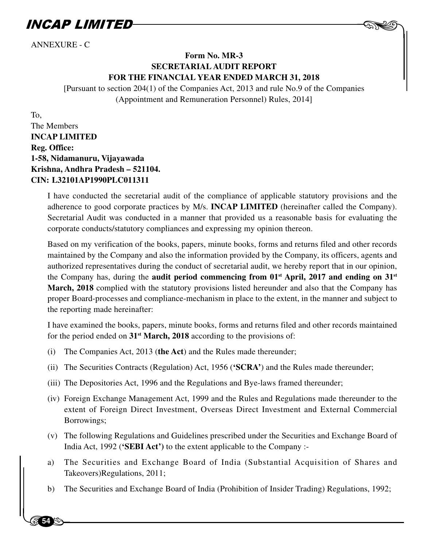ANNEXURE - C

### **Form No. MR-3 SECRETARIAL AUDIT REPORT FOR THE FINANCIAL YEAR ENDED MARCH 31, 2018**

 $-$  AND

[Pursuant to section 204(1) of the Companies Act, 2013 and rule No.9 of the Companies (Appointment and Remuneration Personnel) Rules, 2014]

To,

**54**

The Members **INCAP LIMITED Reg. Office: 1-58, Nidamanuru, Vijayawada Krishna, Andhra Pradesh – 521104. CIN: L32101AP1990PLC011311**

> I have conducted the secretarial audit of the compliance of applicable statutory provisions and the adherence to good corporate practices by M/s. **INCAP LIMITED** (hereinafter called the Company). Secretarial Audit was conducted in a manner that provided us a reasonable basis for evaluating the corporate conducts/statutory compliances and expressing my opinion thereon.

> Based on my verification of the books, papers, minute books, forms and returns filed and other records maintained by the Company and also the information provided by the Company, its officers, agents and authorized representatives during the conduct of secretarial audit, we hereby report that in our opinion, the Company has, during the **audit period commencing from 01st April, 2017 and ending on 31st March, 2018** complied with the statutory provisions listed hereunder and also that the Company has proper Board-processes and compliance-mechanism in place to the extent, in the manner and subject to the reporting made hereinafter:

> I have examined the books, papers, minute books, forms and returns filed and other records maintained for the period ended on **31st March, 2018** according to the provisions of:

- (i) The Companies Act, 2013 (**the Act**) and the Rules made thereunder;
- (ii) The Securities Contracts (Regulation) Act, 1956 (**'SCRA'**) and the Rules made thereunder;
- (iii) The Depositories Act, 1996 and the Regulations and Bye-laws framed thereunder;
- (iv) Foreign Exchange Management Act, 1999 and the Rules and Regulations made thereunder to the extent of Foreign Direct Investment, Overseas Direct Investment and External Commercial Borrowings;
- (v) The following Regulations and Guidelines prescribed under the Securities and Exchange Board of India Act, 1992 (**'SEBI Act')** to the extent applicable to the Company :-
- Inc<br>
a) Th<br>
Ta<br>
b) Th a) The Securities and Exchange Board of India (Substantial Acquisition of Shares and Takeovers)Regulations, 2011;
	- b) The Securities and Exchange Board of India (Prohibition of Insider Trading) Regulations, 1992;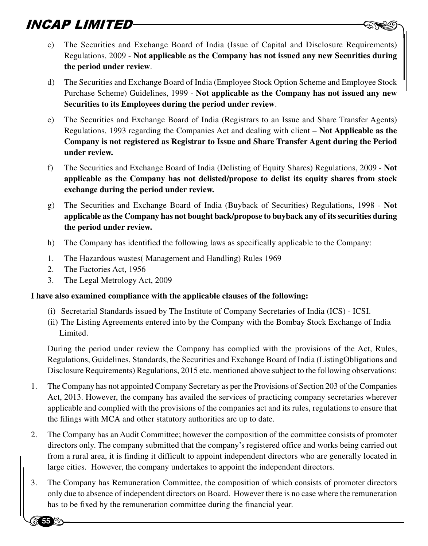- **EXTED**<br>
8 C) The Securities and Exchange Board of India (Issue of Capital and Disclosure Requirements) Regulations, 2009 - **Not applicable as the Company has not issued any new Securities during the period under review**.
- d) The Securities and Exchange Board of India (Employee Stock Option Scheme and Employee Stock Purchase Scheme) Guidelines, 1999 - **Not applicable as the Company has not issued any new Securities to its Employees during the period under review**.
- e) The Securities and Exchange Board of India (Registrars to an Issue and Share Transfer Agents) Regulations, 1993 regarding the Companies Act and dealing with client – **Not Applicable as the Company is not registered as Registrar to Issue and Share Transfer Agent during the Period under review.**
- f) The Securities and Exchange Board of India (Delisting of Equity Shares) Regulations, 2009 **Not applicable as the Company has not delisted/propose to delist its equity shares from stock exchange during the period under review.**
- g) The Securities and Exchange Board of India (Buyback of Securities) Regulations, 1998 **Not applicable as the Company has not bought back/propose to buyback any of its securities during the period under review.**
- h) The Company has identified the following laws as specifically applicable to the Company:
- 1. The Hazardous wastes( Management and Handling) Rules 1969
- 2. The Factories Act, 1956

**55**

3. The Legal Metrology Act, 2009

### **I have also examined compliance with the applicable clauses of the following:**

- (i) Secretarial Standards issued by The Institute of Company Secretaries of India (ICS) ICSI.
- (ii) The Listing Agreements entered into by the Company with the Bombay Stock Exchange of India Limited.

During the period under review the Company has complied with the provisions of the Act, Rules, Regulations, Guidelines, Standards, the Securities and Exchange Board of India (ListingObligations and Disclosure Requirements) Regulations, 2015 etc. mentioned above subject to the following observations:

- 1. The Company has not appointed Company Secretary as per the Provisions of Section 203 of the Companies Act, 2013. However, the company has availed the services of practicing company secretaries wherever applicable and complied with the provisions of the companies act and its rules, regulations to ensure that the filings with MCA and other statutory authorities are up to date.
- director<br>from a<br>large ci<br>3. The Co<br>only du 2. The Company has an Audit Committee; however the composition of the committee consists of promoter directors only. The company submitted that the company's registered office and works being carried out from a rural area, it is finding it difficult to appoint independent directors who are generally located in large cities. However, the company undertakes to appoint the independent directors.
	- 3. The Company has Remuneration Committee, the composition of which consists of promoter directors only due to absence of independent directors on Board. However there is no case where the remuneration has to be fixed by the remuneration committee during the financial year.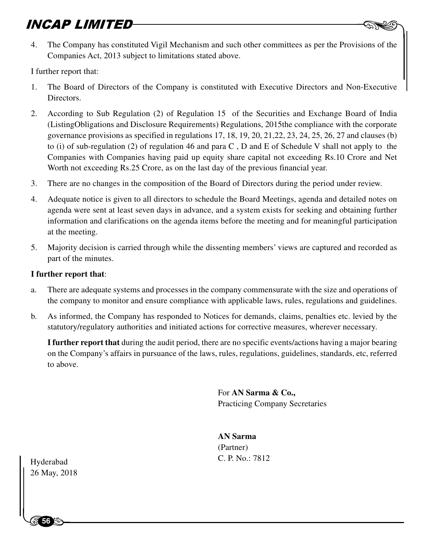**SIMITED**<br>4. The Company has constituted Vigil Mechanism and such other committees as per the Provisions of the Companies Act, 2013 subject to limitations stated above.

I further report that:

- 1. The Board of Directors of the Company is constituted with Executive Directors and Non-Executive Directors.
- 2. According to Sub Regulation (2) of Regulation 15 of the Securities and Exchange Board of India (ListingObligations and Disclosure Requirements) Regulations, 2015the compliance with the corporate governance provisions as specified in regulations 17, 18, 19, 20, 21,22, 23, 24, 25, 26, 27 and clauses (b) to (i) of sub-regulation (2) of regulation 46 and para C , D and E of Schedule V shall not apply to the Companies with Companies having paid up equity share capital not exceeding Rs.10 Crore and Net Worth not exceeding Rs.25 Crore, as on the last day of the previous financial year.
- 3. There are no changes in the composition of the Board of Directors during the period under review.
- 4. Adequate notice is given to all directors to schedule the Board Meetings, agenda and detailed notes on agenda were sent at least seven days in advance, and a system exists for seeking and obtaining further information and clarifications on the agenda items before the meeting and for meaningful participation at the meeting.
- 5. Majority decision is carried through while the dissenting members' views are captured and recorded as part of the minutes.

### **I further report that**:

- a. There are adequate systems and processes in the company commensurate with the size and operations of the company to monitor and ensure compliance with applicable laws, rules, regulations and guidelines.
- b. As informed, the Company has responded to Notices for demands, claims, penalties etc. levied by the statutory/regulatory authorities and initiated actions for corrective measures, wherever necessary.

**I further report that** during the audit period, there are no specific events/actions having a major bearing on the Company's affairs in pursuance of the laws, rules, regulations, guidelines, standards, etc, referred to above.

> For **AN Sarma & Co.,** Practicing Company Secretaries

**AN Sarma** (Partner) C. P. No.: 7812 Hyderabad

 $\begin{array}{c}\n\text{Hyderabad} \\
26 \text{ May, } 201\n\end{array}$ 26 May, 2018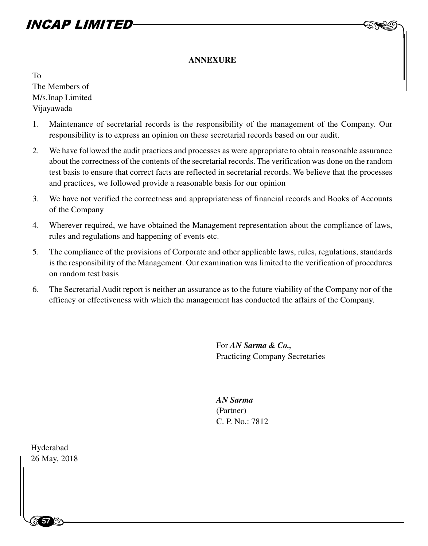### **ANNEXURE**

To The Members of M/s.Inap Limited Vijayawada

- 1. Maintenance of secretarial records is the responsibility of the management of the Company. Our responsibility is to express an opinion on these secretarial records based on our audit.
- 2. We have followed the audit practices and processes as were appropriate to obtain reasonable assurance about the correctness of the contents of the secretarial records. The verification was done on the random test basis to ensure that correct facts are reflected in secretarial records. We believe that the processes and practices, we followed provide a reasonable basis for our opinion
- 3. We have not verified the correctness and appropriateness of financial records and Books of Accounts of the Company
- 4. Wherever required, we have obtained the Management representation about the compliance of laws, rules and regulations and happening of events etc.
- 5. The compliance of the provisions of Corporate and other applicable laws, rules, regulations, standards is the responsibility of the Management. Our examination was limited to the verification of procedures on random test basis
- 6. The Secretarial Audit report is neither an assurance as to the future viability of the Company nor of the efficacy or effectiveness with which the management has conducted the affairs of the Company.

For *AN Sarma & Co.,* Practicing Company Secretaries  $-$  AND

*AN Sarma* (Partner) C. P. No.: 7812

Hyderabad<br>26 May, 201<br>| Hyderabad 26 May, 2018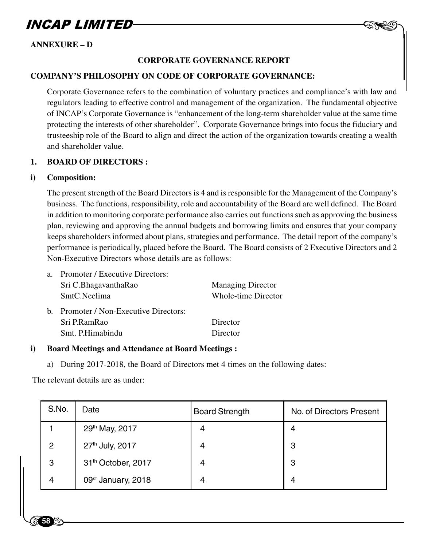

### **ANNEXURE – D**

### **CORPORATE GOVERNANCE REPORT**

#### **COMPANY'S PHILOSOPHY ON CODE OF CORPORATE GOVERNANCE:**

Corporate Governance refers to the combination of voluntary practices and compliance's with law and regulators leading to effective control and management of the organization. The fundamental objective of INCAP's Corporate Governance is "enhancement of the long-term shareholder value at the same time protecting the interests of other shareholder". Corporate Governance brings into focus the fiduciary and trusteeship role of the Board to align and direct the action of the organization towards creating a wealth and shareholder value.

### **1. BOARD OF DIRECTORS :**

#### **i) Composition:**

The present strength of the Board Directors is 4 and is responsible for the Management of the Company's business. The functions, responsibility, role and accountability of the Board are well defined. The Board in addition to monitoring corporate performance also carries out functions such as approving the business plan, reviewing and approving the annual budgets and borrowing limits and ensures that your company keeps shareholders informed about plans, strategies and performance. The detail report of the company's performance is periodically, placed before the Board. The Board consists of 2 Executive Directors and 2 Non-Executive Directors whose details are as follows:

| a. | Promoter / Executive Directors:        |                          |
|----|----------------------------------------|--------------------------|
|    | Sri C.BhagavanthaRao                   | <b>Managing Director</b> |
|    | SmtC.Neelima                           | Whole-time Director      |
|    | b. Promoter / Non-Executive Directors: |                          |
|    | Sri P.RamRao                           | Director                 |
|    | Smt. P.Himabindu                       | Director                 |
|    |                                        |                          |

#### **i) Board Meetings and Attendance at Board Meetings :**

a) During 2017-2018, the Board of Directors met 4 times on the following dates:

The relevant details are as under:

| S.No.          | Date                           | <b>Board Strength</b> | No. of Directors Present |
|----------------|--------------------------------|-----------------------|--------------------------|
|                | 29th May, 2017                 | 4                     | 4                        |
| $\overline{2}$ | 27th July, 2017                | 4                     | 3                        |
| 3              | 31th October, 2017             | 4                     | 3                        |
| 4              | 09 <sup>st</sup> January, 2018 | 4                     | 4                        |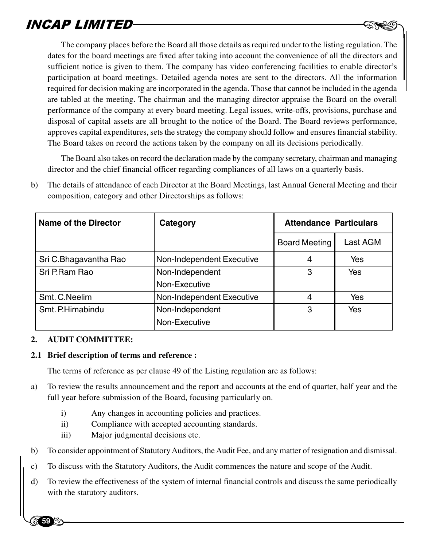**PLIMITED**<br>The company places before the Board all those details as required under to the listing regulation. The dates for the board meetings are fixed after taking into account the convenience of all the directors and sufficient notice is given to them. The company has video conferencing facilities to enable director's participation at board meetings. Detailed agenda notes are sent to the directors. All the information required for decision making are incorporated in the agenda. Those that cannot be included in the agenda are tabled at the meeting. The chairman and the managing director appraise the Board on the overall performance of the company at every board meeting. Legal issues, write-offs, provisions, purchase and disposal of capital assets are all brought to the notice of the Board. The Board reviews performance, approves capital expenditures, sets the strategy the company should follow and ensures financial stability. The Board takes on record the actions taken by the company on all its decisions periodically.

The Board also takes on record the declaration made by the company secretary, chairman and managing director and the chief financial officer regarding compliances of all laws on a quarterly basis.

| Name of the Director  | Category                  | <b>Attendance Particulars</b> |          |
|-----------------------|---------------------------|-------------------------------|----------|
|                       |                           | <b>Board Meeting</b>          | Last AGM |
| Sri C.Bhagavantha Rao | Non-Independent Executive | 4                             | Yes      |
| Sri P.Ram Rao         | Non-Independent           | 3                             | Yes      |
|                       | Non-Executive             |                               |          |
| Smt. C. Neelim        | Non-Independent Executive | 4                             | Yes      |
| Smt. P.Himabindu      | Non-Independent           | 3                             | Yes      |
|                       | Non-Executive             |                               |          |

b) The details of attendance of each Director at the Board Meetings, last Annual General Meeting and their composition, category and other Directorships as follows:

### **2. AUDIT COMMITTEE:**

**59**

#### **2.1 Brief description of terms and reference :**

The terms of reference as per clause 49 of the Listing regulation are as follows:

- a) To review the results announcement and the report and accounts at the end of quarter, half year and the full year before submission of the Board, focusing particularly on.
	- i) Any changes in accounting policies and practices.
	- ii) Compliance with accepted accounting standards.
	- iii) Major judgmental decisions etc.
- b) To consider appointment of Statutory Auditors, the Audit Fee, and any matter of resignation and dismissal.
- c) To discuss with the Statutory Auditors, the Audit commences the nature and scope of the Audit.
- b) To cons<br>c) To disc<br>d) To reviewith the d) To review the effectiveness of the system of internal financial controls and discuss the same periodically with the statutory auditors.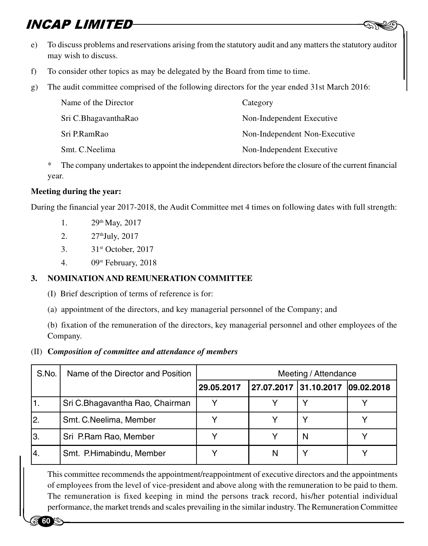- **SECONS AP LIMITED**<br>8. To discuss problems and reservations arising from the statutory audit and any matters the statutory auditor may wish to discuss.
- f) To consider other topics as may be delegated by the Board from time to time.
- g) The audit committee comprised of the following directors for the year ended 31st March 2016:

| Name of the Director | Category                      |
|----------------------|-------------------------------|
| Sri C.BhagavanthaRao | Non-Independent Executive     |
| Sri P.RamRao         | Non-Independent Non-Executive |
| Smt. C. Neelima      | Non-Independent Executive     |

The company undertakes to appoint the independent directors before the closure of the current financial year.

### **Meeting during the year:**

During the financial year 2017-2018, the Audit Committee met 4 times on following dates with full strength:

- 1.  $29^{th}$  May, 2017
- 2. 27<sup>th</sup>July, 2017
- 3. 31st October, 2017
- 4. 09st February, 2018

### **3. NOMINATION AND REMUNERATION COMMITTEE**

- (I) Brief description of terms of reference is for:
- (a) appointment of the directors, and key managerial personnel of the Company; and

(b) fixation of the remuneration of the directors, key managerial personnel and other employees of the Company.

### (II) **C***omposition of committee and attendance of members*

| S.No. | Name of the Director and Position                                                                                                                                                                              | Meeting / Attendance |   |                                  |  |
|-------|----------------------------------------------------------------------------------------------------------------------------------------------------------------------------------------------------------------|----------------------|---|----------------------------------|--|
|       |                                                                                                                                                                                                                | 29.05.2017           |   | 27.07.2017 31.10.2017 09.02.2018 |  |
| 1.    | Sri C.Bhagavantha Rao, Chairman                                                                                                                                                                                |                      |   |                                  |  |
| 2.    | Smt. C. Neelima, Member                                                                                                                                                                                        |                      |   | Υ                                |  |
| 3.    | Sri P.Ram Rao, Member                                                                                                                                                                                          |                      |   | N                                |  |
| 4.    | Smt. P.Himabindu, Member                                                                                                                                                                                       |                      | N | Υ                                |  |
|       | This committee recommends the appointment/reappointment of executive directors and the appointments<br>of employees from the level of vice-president and above along with the remuneration to be paid to them. |                      |   |                                  |  |

This committee recommends the appointment/reappointment of executive directors and the appointments of employees from the level of vice-president and above along with the remuneration to be paid to them. The remuneration is fixed keeping in mind the persons track record, his/her potential individual performance, the market trends and scales prevailing in the similar industry. The Remuneration Committee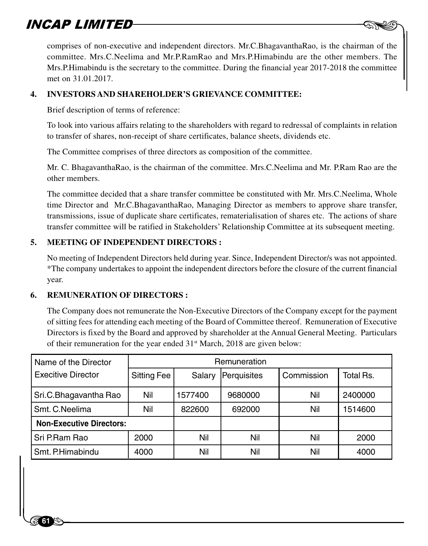$\begin{picture}(20,20) \put(0,0){\line(1,0){10}} \put(15,0){\line(1,0){10}} \put(15,0){\line(1,0){10}} \put(15,0){\line(1,0){10}} \put(15,0){\line(1,0){10}} \put(15,0){\line(1,0){10}} \put(15,0){\line(1,0){10}} \put(15,0){\line(1,0){10}} \put(15,0){\line(1,0){10}} \put(15,0){\line(1,0){10}} \put(15,0){\line(1,0){10}} \put(15,0){\line(1$ comprises of non-executive and independent directors. Mr.C.BhagavanthaRao, is the chairman of the committee. Mrs.C.Neelima and Mr.P.RamRao and Mrs.P.Himabindu are the other members. The Mrs.P.Himabindu is the secretary to the committee. During the financial year 2017-2018 the committee met on 31.01.2017.

### **4. INVESTORS AND SHAREHOLDER'S GRIEVANCE COMMITTEE:**

Brief description of terms of reference:

To look into various affairs relating to the shareholders with regard to redressal of complaints in relation to transfer of shares, non-receipt of share certificates, balance sheets, dividends etc.

The Committee comprises of three directors as composition of the committee.

Mr. C. BhagavanthaRao, is the chairman of the committee. Mrs.C.Neelima and Mr. P.Ram Rao are the other members.

The committee decided that a share transfer committee be constituted with Mr. Mrs.C.Neelima, Whole time Director and Mr.C.BhagavanthaRao, Managing Director as members to approve share transfer, transmissions, issue of duplicate share certificates, rematerialisation of shares etc. The actions of share transfer committee will be ratified in Stakeholders' Relationship Committee at its subsequent meeting.

### **5. MEETING OF INDEPENDENT DIRECTORS :**

No meeting of Independent Directors held during year. Since, Independent Director/s was not appointed. \*The company undertakes to appoint the independent directors before the closure of the current financial year.

### **6. REMUNERATION OF DIRECTORS :**

**61**

The Company does not remunerate the Non-Executive Directors of the Company except for the payment of sitting fees for attending each meeting of the Board of Committee thereof. Remuneration of Executive Directors is fixed by the Board and approved by shareholder at the Annual General Meeting. Particulars of their remuneration for the year ended  $31<sup>st</sup> March$ , 2018 are given below:

| Remuneration |         |         |             |           |
|--------------|---------|---------|-------------|-----------|
| Sitting Fee  | Salary  |         | Commission  | Total Rs. |
| Nil          | 1577400 | 9680000 | Nil         | 2400000   |
| Nil          | 822600  | 692000  | Nil         | 1514600   |
|              |         |         |             |           |
| 2000         | Nil     | Nil     | Nil         | 2000      |
| 4000         | Nil     | Nil     | Nil         | 4000      |
|              |         |         |             |           |
|              |         |         |             |           |
|              |         |         | Perquisites |           |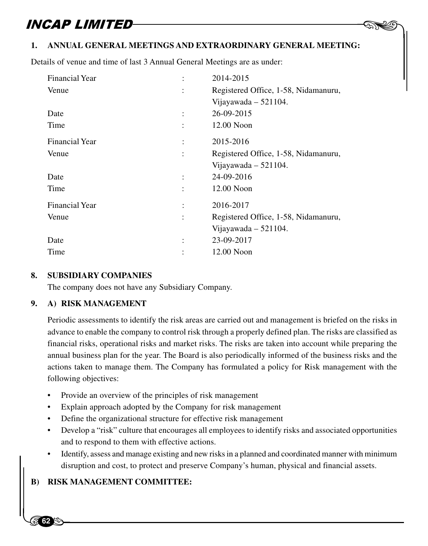### $-$  AND **1. ANNUAL GENERAL MEETINGS AND EXTRAORDINARY GENERAL MEETING:**

Details of venue and time of last 3 Annual General Meetings are as under:

| Financial Year        | 2014-2015                            |
|-----------------------|--------------------------------------|
| Venue                 | Registered Office, 1-58, Nidamanuru, |
|                       | Vijayawada $-521104$ .               |
| Date                  | 26-09-2015                           |
| Time                  | $12.00$ Noon                         |
| <b>Financial Year</b> | 2015-2016                            |
| Venue                 | Registered Office, 1-58, Nidamanuru, |
|                       | Vijayawada $-521104$ .               |
| Date                  | 24-09-2016                           |
| Time                  | $12.00$ Noon                         |
| <b>Financial Year</b> | 2016-2017                            |
| Venue                 | Registered Office, 1-58, Nidamanuru, |
|                       | Vijayawada $-521104$ .               |
| Date                  | 23-09-2017                           |
| Time                  | 12.00 Noon                           |

#### **8. SUBSIDIARY COMPANIES**

The company does not have any Subsidiary Company.

### **9. A) RISK MANAGEMENT**

Periodic assessments to identify the risk areas are carried out and management is briefed on the risks in advance to enable the company to control risk through a properly defined plan. The risks are classified as financial risks, operational risks and market risks. The risks are taken into account while preparing the annual business plan for the year. The Board is also periodically informed of the business risks and the actions taken to manage them. The Company has formulated a policy for Risk management with the following objectives:

- Provide an overview of the principles of risk management
- Explain approach adopted by the Company for risk management
- Define the organizational structure for effective risk management
- Develop a "risk" culture that encourages all employees to identify risks and associated opportunities and to respond to them with effective actions.
- and<br> **b**<br>
dist<br> **B**) RISK M • Identify, assess and manage existing and new risks in a planned and coordinated manner with minimum disruption and cost, to protect and preserve Company's human, physical and financial assets.

### **B) RISK MANAGEMENT COMMITTEE:**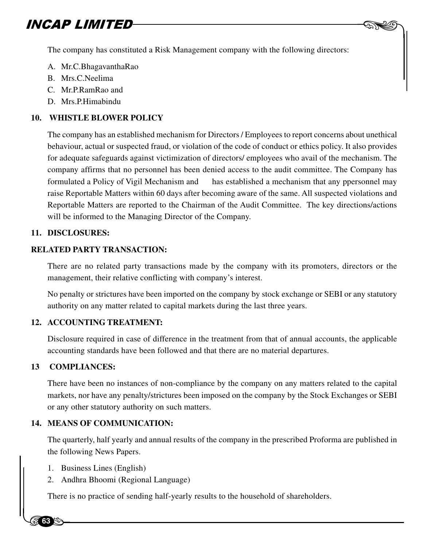The company has constituted a Risk Management company with the following directors:

 $-$  AND

- A. Mr.C.BhagavanthaRao
- B. Mrs.C.Neelima
- C. Mr.P.RamRao and
- D. Mrs.P.Himabindu

### **10. WHISTLE BLOWER POLICY**

The company has an established mechanism for Directors / Employees to report concerns about unethical behaviour, actual or suspected fraud, or violation of the code of conduct or ethics policy. It also provides for adequate safeguards against victimization of directors/ employees who avail of the mechanism. The company affirms that no personnel has been denied access to the audit committee. The Company has formulated a Policy of Vigil Mechanism and has established a mechanism that any ppersonnel may raise Reportable Matters within 60 days after becoming aware of the same. All suspected violations and Reportable Matters are reported to the Chairman of the Audit Committee. The key directions/actions will be informed to the Managing Director of the Company.

### **11. DISCLOSURES:**

### **RELATED PARTY TRANSACTION:**

There are no related party transactions made by the company with its promoters, directors or the management, their relative conflicting with company's interest.

No penalty or strictures have been imported on the company by stock exchange or SEBI or any statutory authority on any matter related to capital markets during the last three years.

### **12. ACCOUNTING TREATMENT:**

Disclosure required in case of difference in the treatment from that of annual accounts, the applicable accounting standards have been followed and that there are no material departures.

### **13 COMPLIANCES:**

**63**

There have been no instances of non-compliance by the company on any matters related to the capital markets, nor have any penalty/strictures been imposed on the company by the Stock Exchanges or SEBI or any other statutory authority on such matters.

### **14. MEANS OF COMMUNICATION:**

the follow<br>the follow<br>2. And<br> $\frac{1}{m}$ The quarterly, half yearly and annual results of the company in the prescribed Proforma are published in the following News Papers.

- 1. Business Lines (English)
- 2. Andhra Bhoomi (Regional Language)

There is no practice of sending half-yearly results to the household of shareholders.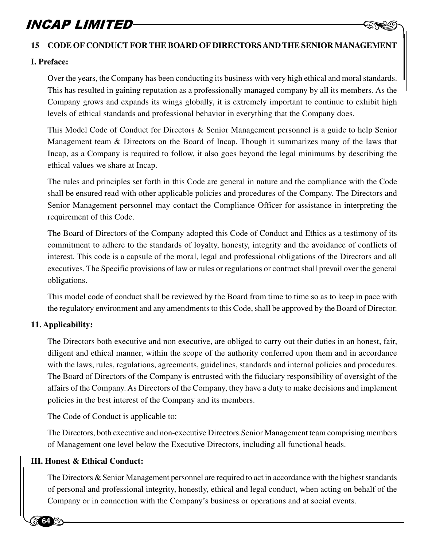# **INCAP LIMITED**<br>15 CODE OF CONDUCT FOR THE BOARD OF DIRECTORS AND THE SENIOR MANAGEMENT

### **I. Preface:**

Over the years, the Company has been conducting its business with very high ethical and moral standards. This has resulted in gaining reputation as a professionally managed company by all its members. As the Company grows and expands its wings globally, it is extremely important to continue to exhibit high levels of ethical standards and professional behavior in everything that the Company does.

This Model Code of Conduct for Directors & Senior Management personnel is a guide to help Senior Management team & Directors on the Board of Incap. Though it summarizes many of the laws that Incap, as a Company is required to follow, it also goes beyond the legal minimums by describing the ethical values we share at Incap.

The rules and principles set forth in this Code are general in nature and the compliance with the Code shall be ensured read with other applicable policies and procedures of the Company. The Directors and Senior Management personnel may contact the Compliance Officer for assistance in interpreting the requirement of this Code.

The Board of Directors of the Company adopted this Code of Conduct and Ethics as a testimony of its commitment to adhere to the standards of loyalty, honesty, integrity and the avoidance of conflicts of interest. This code is a capsule of the moral, legal and professional obligations of the Directors and all executives. The Specific provisions of law or rules or regulations or contract shall prevail over the general obligations.

This model code of conduct shall be reviewed by the Board from time to time so as to keep in pace with the regulatory environment and any amendments to this Code, shall be approved by the Board of Director.

### **11. Applicability:**

The Directors both executive and non executive, are obliged to carry out their duties in an honest, fair, diligent and ethical manner, within the scope of the authority conferred upon them and in accordance with the laws, rules, regulations, agreements, guidelines, standards and internal policies and procedures. The Board of Directors of the Company is entrusted with the fiduciary responsibility of oversight of the affairs of the Company. As Directors of the Company, they have a duty to make decisions and implement policies in the best interest of the Company and its members.

The Code of Conduct is applicable to:

The Directors, both executive and non-executive Directors.Senior Management team comprising members of Management one level below the Executive Directors, including all functional heads.

### **III. Honest & Ethical Conduct:**

**64**

of Man<br> **III. Honest**<br>
The Dir<br>
of person The Directors & Senior Management personnel are required to act in accordance with the highest standards of personal and professional integrity, honestly, ethical and legal conduct, when acting on behalf of the Company or in connection with the Company's business or operations and at social events.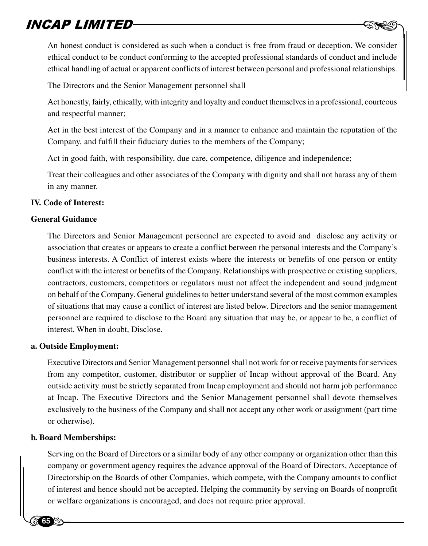$\begin{picture}(20,20) \put(0,0){\line(1,0){10}} \put(15,0){\line(1,0){10}} \put(15,0){\line(1,0){10}} \put(15,0){\line(1,0){10}} \put(15,0){\line(1,0){10}} \put(15,0){\line(1,0){10}} \put(15,0){\line(1,0){10}} \put(15,0){\line(1,0){10}} \put(15,0){\line(1,0){10}} \put(15,0){\line(1,0){10}} \put(15,0){\line(1,0){10}} \put(15,0){\line(1$ An honest conduct is considered as such when a conduct is free from fraud or deception. We consider ethical conduct to be conduct conforming to the accepted professional standards of conduct and include ethical handling of actual or apparent conflicts of interest between personal and professional relationships.

The Directors and the Senior Management personnel shall

Act honestly, fairly, ethically, with integrity and loyalty and conduct themselves in a professional, courteous and respectful manner;

Act in the best interest of the Company and in a manner to enhance and maintain the reputation of the Company, and fulfill their fiduciary duties to the members of the Company;

Act in good faith, with responsibility, due care, competence, diligence and independence;

Treat their colleagues and other associates of the Company with dignity and shall not harass any of them in any manner.

### **IV. Code of Interest:**

### **General Guidance**

The Directors and Senior Management personnel are expected to avoid and disclose any activity or association that creates or appears to create a conflict between the personal interests and the Company's business interests. A Conflict of interest exists where the interests or benefits of one person or entity conflict with the interest or benefits of the Company. Relationships with prospective or existing suppliers, contractors, customers, competitors or regulators must not affect the independent and sound judgment on behalf of the Company. General guidelines to better understand several of the most common examples of situations that may cause a conflict of interest are listed below. Directors and the senior management personnel are required to disclose to the Board any situation that may be, or appear to be, a conflict of interest. When in doubt, Disclose.

### **a. Outside Employment:**

Executive Directors and Senior Management personnel shall not work for or receive payments for services from any competitor, customer, distributor or supplier of Incap without approval of the Board. Any outside activity must be strictly separated from Incap employment and should not harm job performance at Incap. The Executive Directors and the Senior Management personnel shall devote themselves exclusively to the business of the Company and shall not accept any other work or assignment (part time or otherwise).

### **b. Board Memberships:**

**65**

Serving<br>
compar<br>
Directo<br>
of inter Serving on the Board of Directors or a similar body of any other company or organization other than this company or government agency requires the advance approval of the Board of Directors, Acceptance of Directorship on the Boards of other Companies, which compete, with the Company amounts to conflict of interest and hence should not be accepted. Helping the community by serving on Boards of nonprofit or welfare organizations is encouraged, and does not require prior approval.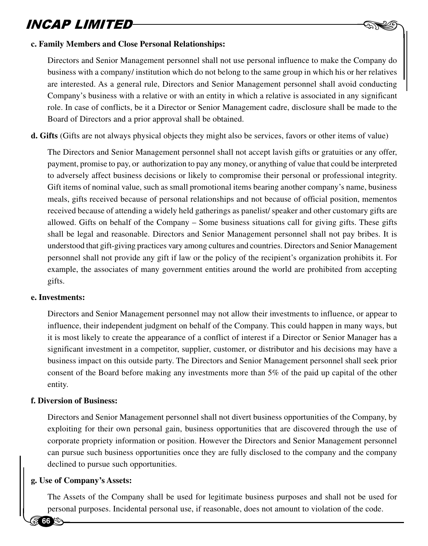

#### **c. Family Members and Close Personal Relationships:**

Directors and Senior Management personnel shall not use personal influence to make the Company do business with a company/ institution which do not belong to the same group in which his or her relatives are interested. As a general rule, Directors and Senior Management personnel shall avoid conducting Company's business with a relative or with an entity in which a relative is associated in any significant role. In case of conflicts, be it a Director or Senior Management cadre, disclosure shall be made to the Board of Directors and a prior approval shall be obtained.

**d. Gifts** (Gifts are not always physical objects they might also be services, favors or other items of value)

The Directors and Senior Management personnel shall not accept lavish gifts or gratuities or any offer, payment, promise to pay, or authorization to pay any money, or anything of value that could be interpreted to adversely affect business decisions or likely to compromise their personal or professional integrity. Gift items of nominal value, such as small promotional items bearing another company's name, business meals, gifts received because of personal relationships and not because of official position, mementos received because of attending a widely held gatherings as panelist/ speaker and other customary gifts are allowed. Gifts on behalf of the Company – Some business situations call for giving gifts. These gifts shall be legal and reasonable. Directors and Senior Management personnel shall not pay bribes. It is understood that gift-giving practices vary among cultures and countries. Directors and Senior Management personnel shall not provide any gift if law or the policy of the recipient's organization prohibits it. For example, the associates of many government entities around the world are prohibited from accepting gifts.

#### **e. Investments:**

Directors and Senior Management personnel may not allow their investments to influence, or appear to influence, their independent judgment on behalf of the Company. This could happen in many ways, but it is most likely to create the appearance of a conflict of interest if a Director or Senior Manager has a significant investment in a competitor, supplier, customer, or distributor and his decisions may have a business impact on this outside party. The Directors and Senior Management personnel shall seek prior consent of the Board before making any investments more than 5% of the paid up capital of the other entity.

#### **f. Diversion of Business:**

Exercise<br>
can pure<br>
decline<br>
g. Use of Co Directors and Senior Management personnel shall not divert business opportunities of the Company, by exploiting for their own personal gain, business opportunities that are discovered through the use of corporate propriety information or position. However the Directors and Senior Management personnel can pursue such business opportunities once they are fully disclosed to the company and the company declined to pursue such opportunities.

#### **g. Use of Company's Assets:**

The Assets of the Company shall be used for legitimate business purposes and shall not be used for personal purposes. Incidental personal use, if reasonable, does not amount to violation of the code.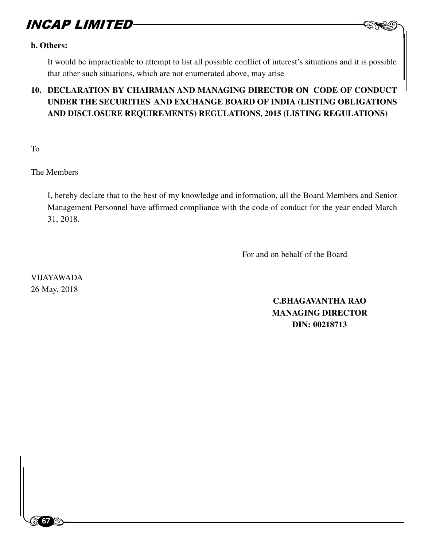#### **h. Others:**

It would be impracticable to attempt to list all possible conflict of interest's situations and it is possible that other such situations, which are not enumerated above, may arise

### **10. DECLARATION BY CHAIRMAN AND MANAGING DIRECTOR ON CODE OF CONDUCT UNDER THE SECURITIES AND EXCHANGE BOARD OF INDIA (LISTING OBLIGATIONS AND DISCLOSURE REQUIREMENTS) REGULATIONS, 2015 (LISTING REGULATIONS)**

To

The Members

I, hereby declare that to the best of my knowledge and information, all the Board Members and Senior Management Personnel have affirmed compliance with the code of conduct for the year ended March 31, 2018.

For and on behalf of the Board

VIJAYAWADA 26 May, 2018

 $\begin{bmatrix} 1 & 1 \\ 1 & 1 \end{bmatrix}$ 

**67**

**C.BHAGAVANTHA RAO MANAGING DIRECTOR DIN: 00218713**

 $-$  AND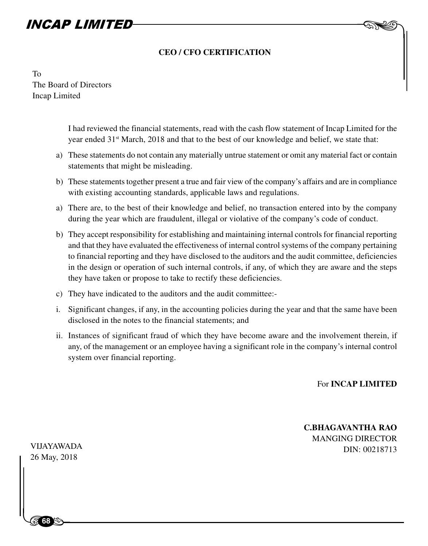### **CEO / CFO CERTIFICATION**

To The Board of Directors Incap Limited

> I had reviewed the financial statements, read with the cash flow statement of Incap Limited for the year ended 31st March, 2018 and that to the best of our knowledge and belief, we state that:

- a) These statements do not contain any materially untrue statement or omit any material fact or contain statements that might be misleading.
- b) These statements together present a true and fair view of the company's affairs and are in compliance with existing accounting standards, applicable laws and regulations.
- a) There are, to the best of their knowledge and belief, no transaction entered into by the company during the year which are fraudulent, illegal or violative of the company's code of conduct.
- b) They accept responsibility for establishing and maintaining internal controls for financial reporting and that they have evaluated the effectiveness of internal control systems of the company pertaining to financial reporting and they have disclosed to the auditors and the audit committee, deficiencies in the design or operation of such internal controls, if any, of which they are aware and the steps they have taken or propose to take to rectify these deficiencies.
- c) They have indicated to the auditors and the audit committee:-
- i. Significant changes, if any, in the accounting policies during the year and that the same have been disclosed in the notes to the financial statements; and
- ii. Instances of significant fraud of which they have become aware and the involvement therein, if any, of the management or an employee having a significant role in the company's internal control system over financial reporting.

For **INCAP LIMITED**

 $-$  AND

**C.BHAGAVANTHA RAO** MANGING DIRECTOR DIN: 00218713 VIJAYAWADA

VIJAYAWAI<br>26 May, 201<br>|<br>| 26 May, 2018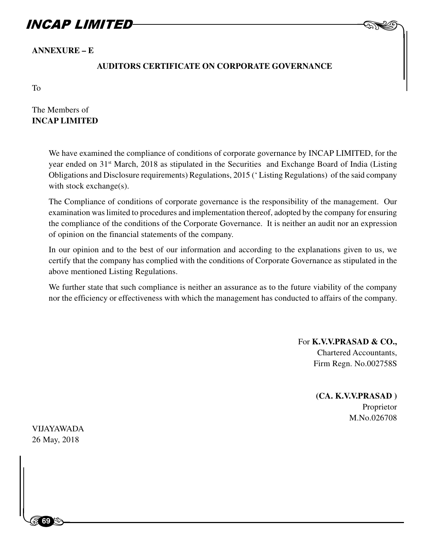**ANNEXURE – E**

### **AUDITORS CERTIFICATE ON CORPORATE GOVERNANCE**

To

The Members of **INCAP LIMITED**

> We have examined the compliance of conditions of corporate governance by INCAP LIMITED, for the year ended on 31<sup>st</sup> March, 2018 as stipulated in the Securities and Exchange Board of India (Listing Obligations and Disclosure requirements) Regulations, 2015 (' Listing Regulations) of the said company with stock exchange(s).

> The Compliance of conditions of corporate governance is the responsibility of the management. Our examination was limited to procedures and implementation thereof, adopted by the company for ensuring the compliance of the conditions of the Corporate Governance. It is neither an audit nor an expression of opinion on the financial statements of the company.

> In our opinion and to the best of our information and according to the explanations given to us, we certify that the company has complied with the conditions of Corporate Governance as stipulated in the above mentioned Listing Regulations.

> We further state that such compliance is neither an assurance as to the future viability of the company nor the efficiency or effectiveness with which the management has conducted to affairs of the company.

> > For **K.V.V.PRASAD & CO.,** Chartered Accountants, Firm Regn. No.002758S

 $-$  AND

 **(CA. K.V.V.PRASAD )** Proprietor M.No.026708

 $\frac{8}{3}$ VIJAYAWADA 26 May, 2018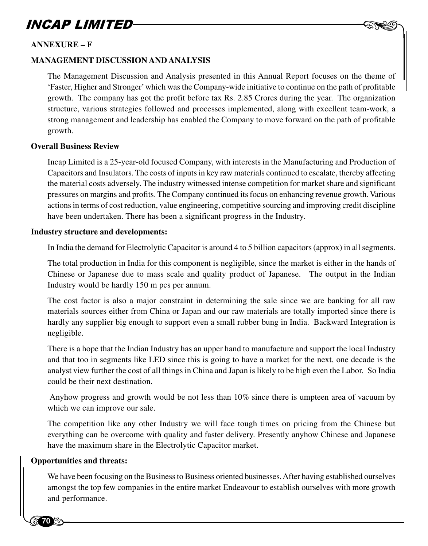# $-$  AND

### **ANNEXURE – F**

#### **MANAGEMENT DISCUSSION AND ANALYSIS**

The Management Discussion and Analysis presented in this Annual Report focuses on the theme of 'Faster, Higher and Stronger' which was the Company-wide initiative to continue on the path of profitable growth. The company has got the profit before tax Rs. 2.85 Crores during the year. The organization structure, various strategies followed and processes implemented, along with excellent team-work, a strong management and leadership has enabled the Company to move forward on the path of profitable growth.

#### **Overall Business Review**

Incap Limited is a 25-year-old focused Company, with interests in the Manufacturing and Production of Capacitors and Insulators. The costs of inputs in key raw materials continued to escalate, thereby affecting the material costs adversely. The industry witnessed intense competition for market share and significant pressures on margins and profits. The Company continued its focus on enhancing revenue growth. Various actions in terms of cost reduction, value engineering, competitive sourcing and improving credit discipline have been undertaken. There has been a significant progress in the Industry.

#### **Industry structure and developments:**

In India the demand for Electrolytic Capacitor is around 4 to 5 billion capacitors (approx) in all segments.

The total production in India for this component is negligible, since the market is either in the hands of Chinese or Japanese due to mass scale and quality product of Japanese. The output in the Indian Industry would be hardly 150 m pcs per annum.

The cost factor is also a major constraint in determining the sale since we are banking for all raw materials sources either from China or Japan and our raw materials are totally imported since there is hardly any supplier big enough to support even a small rubber bung in India. Backward Integration is negligible.

There is a hope that the Indian Industry has an upper hand to manufacture and support the local Industry and that too in segments like LED since this is going to have a market for the next, one decade is the analyst view further the cost of all things in China and Japan is likely to be high even the Labor. So India could be their next destination.

 Anyhow progress and growth would be not less than 10% since there is umpteen area of vacuum by which we can improve our sale.

The competition like any other Industry we will face tough times on pricing from the Chinese but everything can be overcome with quality and faster delivery. Presently anyhow Chinese and Japanese have the maximum share in the Electrolytic Capacitor market.

### **Opportunities and threats:**

have the<br>**Opportunit**<br>We have<br>amongs We have been focusing on the Business to Business oriented businesses. After having established ourselves amongst the top few companies in the entire market Endeavour to establish ourselves with more growth and performance.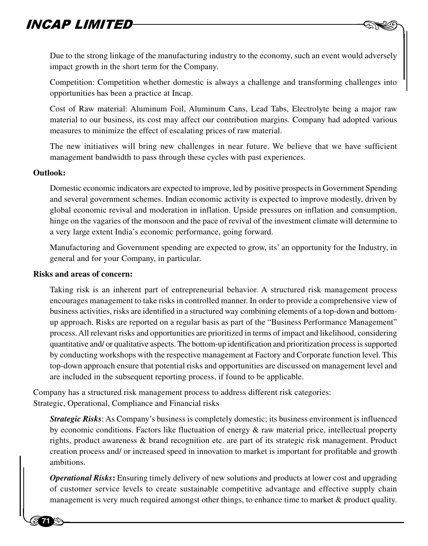Due to the strong linkage of the manufacturing industry to the economy, such an event would adversely impact growth in the short term for the Company.

 $-$  AND

Competition: Competition whether domestic is always a challenge and transforming challenges into opportunities has been a practice at Incap.

Cost of Raw material: Aluminum Foil, Aluminum Cans, Lead Tabs, Electrolyte being a major raw material to our business, its cost may affect our contribution margins. Company had adopted various measures to minimize the effect of escalating prices of raw material.

The new initiatives will bring new challenges in near future. We believe that we have sufficient management bandwidth to pass through these cycles with past experiences.

#### **Outlook:**

**71**

Domestic economic indicators are expected to improve, led by positive prospects in Government Spending and several government schemes. Indian economic activity is expected to improve modestly, driven by global economic revival and moderation in inflation. Upside pressures on inflation and consumption, hinge on the vagaries of the monsoon and the pace of revival of the investment climate will determine to a very large extent India's economic performance, going forward.

Manufacturing and Government spending are expected to grow, its' an opportunity for the Industry, in general and for your Company, in particular.

#### **Risks and areas of concern:**

Taking risk is an inherent part of entrepreneurial behavior. A structured risk management process encourages management to take risks in controlled manner. In order to provide a comprehensive view of business activities, risks are identified in a structured way combining elements of a top-down and bottomup approach. Risks are reported on a regular basis as part of the "Business Performance Management" process. All relevant risks and opportunities are prioritized in terms of impact and likelihood, considering quantitative and/ or qualitative aspects. The bottom-up identification and prioritization process is supported by conducting workshops with the respective management at Factory and Corporate function level. This top-down approach ensure that potential risks and opportunities are discussed on management level and are included in the subsequent reporting process, if found to be applicable.

Company has a structured risk management process to address different risk categories: Strategic, Operational, Compliance and Financial risks

rights,<br>creation<br>ambition<br>*Operation*<br>of customers *Strategic Risks*: As Company's business is completely domestic; its business environment is influenced by economic conditions. Factors like fluctuation of energy & raw material price, intellectual property rights, product awareness & brand recognition etc. are part of its strategic risk management. Product creation process and/ or increased speed in innovation to market is important for profitable and growth ambitions.

*Operational Risks***:** Ensuring timely delivery of new solutions and products at lower cost and upgrading of customer service levels to create sustainable competitive advantage and effective supply chain management is very much required amongst other things, to enhance time to market & product quality.